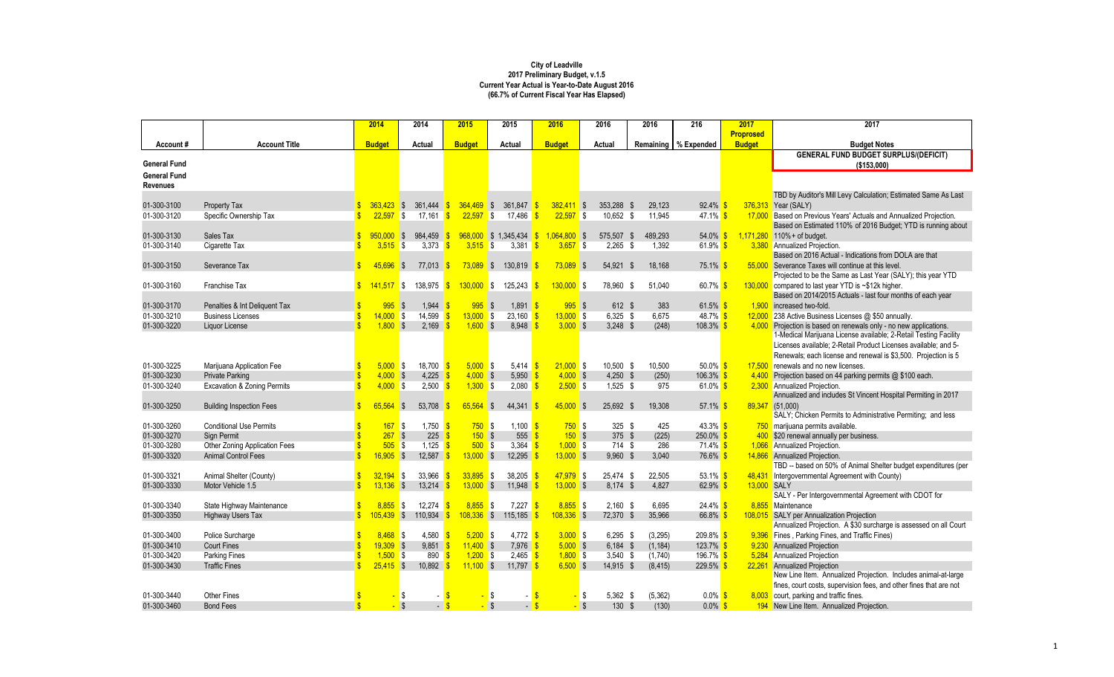| <b>Proprosed</b><br><b>Account Title</b><br>Remaining   % Expended<br><b>Budget</b><br><b>Budget Notes</b><br><b>Budget</b><br><b>Actual</b><br><b>Budget</b><br><b>Actual</b><br><b>Budget</b><br><b>Actual</b><br>Account#<br><b>GENERAL FUND BUDGET SURPLUS/(DEFICIT)</b><br>(\$153,000)<br><b>Revenues</b><br>TBD by Auditor's Mill Levy Calculation; Estimated Same As Last<br>$92.4\%$ \$<br>01-300-3100<br>$363,423$ \$<br>361,444<br>$364,469$ \$<br>361,847 \$<br>$382,411$ \$<br>353,288 \$<br>29,123<br>376,313<br>Year (SALY)<br>Property Tax<br>22,597<br>22,597<br>$22,597$ \$<br>10,652 \$<br>$47.1\%$ \$<br>Based on Previous Years' Actuals and Annualized Projection.<br>01-300-3120<br>Specific Ownership Tax<br><b>S</b><br>17,161<br>$\sqrt{3}$<br>17,486<br>11,945<br>17,000<br>-SS<br>Based on Estimated 110% of 2016 Budget; YTD is running about<br>$064,800$ \$<br>54.0% \$<br>$1,171,280$ 110% + of budget.<br>01-300-3130<br>Sales Tax<br>$950,000$ \$<br>984,459<br>$968,000$ \$ 1,345,434<br>575,507 \$<br>489,293<br>3,373<br>$3,515$ \$<br>3,381<br>$2,265$ \$<br>61.9% $$$<br>3,380 Annualized Projection.<br>01-300-3140<br>$3,515$ \$<br>$3,657$ \$<br>1,392<br>Cigarette Tax<br>Based on 2016 Actual - Indications from DOLA are that<br>$73,089$ \$<br>$73,089$ \$<br>$75.1\%$ \$<br>01-300-3150<br>Severance Tax<br>45.696<br>77,013<br>130,819<br>54,921 \$<br>18,168<br>55,000<br>Severance Taxes will continue at this level.<br>IS.<br>- \$<br>Projected to be the Same as Last Year (SALY); this year YTD<br>$130,000$ \$<br>60.7% $$$<br>01-300-3160<br>Franchise Tax<br>138,975<br>$130,000$ \$<br>125,243 <mark>\$</mark><br>78,960<br>51,040<br>130,000 compared to last year YTD is ~\$12k higher.<br>$141,517$ \$<br>- \$<br>-SS<br>Based on 2014/2015 Actuals - last four months of each year<br>995<br>1,944<br>$995$ \$<br>$1,891$ \$<br>$995$ \$<br>61.5% \$<br>01-300-3170<br>Penalties & Int Deliquent Tax<br>612 \$<br>383<br>1,900<br>increased two-fold.<br>$\sqrt{S}$<br>14,599<br>$13,000$ \$<br>01-300-3210<br>$14,000$ \$<br>$23,160$ \$<br>$13,000$ \$<br>$6,325$ \$<br>6,675<br>$48.7\%$ \$<br>12,000 238 Active Business Licenses @ \$50 annually.<br><b>Business Licenses</b><br>$1,800$ \$<br>2,169<br>$1,600$ \$<br>01-300-3220<br>$8,948$ \$<br>$3,000$ \$<br>3,248 $$$<br>(248)<br>$108.3\%$ \$<br>Projection is based on renewals only - no new applications.<br>Liquor License<br>4,000<br>1-Medical Marijuana License available; 2-Retail Testing Facility<br>Licenses available; 2-Retail Product Licenses available; and 5-<br>Renewals; each license and renewal is \$3,500. Projection is 5<br>$5,000$ \$<br>18,700<br>$5,000$ \$<br>5,414 $\frac{1}{5}$<br>$21,000$ \$<br>50.0% $$$<br>renewals and no new licenses.<br>01-300-3225<br>$10,500$ \$<br>10,500<br>Marijuana Application Fee<br>17,500<br>$4,000$ \$<br>$4,225$ \$<br>$4,000$ \$<br>$5,950$ \$<br>$4,000$ \$<br>$4,250$ \$<br>$106.3\%$ \$<br><b>Private Parking</b><br>(250)<br>Projection based on 44 parking permits @ \$100 each.<br>4,400<br>$4,000$ \$<br>2,500<br>$1,300$ \$<br>$2,080$ \$<br>$2,500$ \$<br>$1,525$ \$<br><b>Excavation &amp; Zoning Permits</b><br>975<br>61.0% $$$<br>2,300 Annualized Projection.<br>Annualized and includes St Vincent Hospital Permiting in 2017<br>53,708<br>65,564<br>$45,000$ \$<br>25,692 \$<br>89,347 (51,000)<br>65,564<br>\$<br>44,341<br>19,308<br>57.1% $$$<br><b>Building Inspection Fees</b><br>-S<br>SALY; Chicken Permits to Administrative Permiting; and less<br>$167$ \$<br>1,750 $\frac{\text{S}}{\text{S}}$<br>$750$ \$<br>$1,100$ \$<br>$43.3\%$ \$<br><b>Conditional Use Permits</b><br>$750$ \$<br>$325$ \$<br>425<br>750 marijuana permits available.<br>$267$ \$<br>$225 \frac{\pi}{2}$<br>$150$ \$<br>555 $\frac{1}{5}$<br>375 $$$<br>(225)<br>$250.0\%$ \$<br>Sign Permit<br>$150$ \$<br>\$20 renewal annually per business.<br>505S<br>1,125 $\frac{1}{5}$<br>$500$ \$<br>Other Zoning Application Fees<br>3,364 $\frac{1}{5}$<br>$1,000$ \$<br>$71.4\%$ \$<br>1,066 Annualized Projection.<br>714 \$<br>286<br>$16,905$ \$<br>$12,587$ \$<br>$13,000$ \$<br>$12,295$ \$<br>$13,000$ \$<br>9,960 \$<br>3,040<br>76.6% \$<br><b>Animal Control Fees</b><br>14,866<br>Annualized Projection.<br>TBD -- based on 50% of Animal Shelter budget expenditures (per<br>$32,194$ \$<br>33,966<br>$33,895$ \$<br>38,205<br>$47,979$ \$<br>53.1% $$$<br>48,431 Intergovernmental Agreement with County)<br>Animal Shelter (County)<br>25,474 \$<br>22,505<br>$13,000$ \$<br>$13,000$ \$<br>62.9% \$<br>$13,136$ \$<br>$13,214$ \$<br>11,948<br>$8,174$ \$<br>4,827<br>13,000 SALY<br>Motor Vehicle 1.5<br>SALY - Per Intergovernmental Agreement with CDOT for<br>$8,855$ \$<br>12,274 $\frac{1}{3}$<br>$8,855$ \$<br>$7,227$ \$<br>$8,855$ \$<br>$2,160$ \$<br>6,695<br>$24.4\%$ \$<br>State Highway Maintenance<br>8,855 Maintenance<br>110,934 \$<br>$108,336$ \$<br>$105,439$ \$<br>115,185 <mark>\$</mark><br>$108,336$ \$<br>72,370 \$<br>35,966<br>66.8% \$<br>108,015 SALY per Annualization Projection<br>Highway Users Tax<br>Annualized Projection. A \$30 surcharge is assessed on all Court<br>$8,468$ \$<br>4,580<br>$5,200$ \$<br>$3,000$ \$<br>$209.8\%$ \$<br>9,396 Fines, Parking Fines, and Traffic Fines)<br>Police Surcharge<br>4,772 $\frac{\epsilon}{2}$<br>$6,295$ \$<br>(3,295)<br>- \$<br>$11,400$ \$<br>$19,309$ \$<br>$9,851$ \$<br>7,976 \$<br>$5,000$ \$<br>$6,184$ \$<br>$123.7\%$ \$<br><b>Annualized Projection</b><br><b>Court Fines</b><br>(1, 184)<br>9,230<br>$1,500$ \$<br>890 $\frac{\text{}}{\text{}}$<br>$1,200$ \$<br>$2,465$ \$<br>$1,800$ \$<br>$3,540$ \$<br>196.7% \$<br><b>Annualized Projection</b><br><b>Parking Fines</b><br>(1,740)<br>5,284<br>$25,415$ \$<br>$10,892$ \$<br>$11,100$ \$<br>$6,500$ \$<br>$229.5\%$<br><b>Annualized Projection</b><br><b>Traffic Fines</b><br>11,797 <mark>\$</mark><br>14,915 \$<br>(8, 415)<br>22,261<br>New Line Item. Annualized Projection. Includes animal-at-large<br>fines, court costs, supervision fees, and other fines that are not |                     |                    | 2014 | 2014 | 2015 | 2015 | 2016 | 2016 | 2016     | 216        | 2017  | 2017                              |
|---------------------------------------------------------------------------------------------------------------------------------------------------------------------------------------------------------------------------------------------------------------------------------------------------------------------------------------------------------------------------------------------------------------------------------------------------------------------------------------------------------------------------------------------------------------------------------------------------------------------------------------------------------------------------------------------------------------------------------------------------------------------------------------------------------------------------------------------------------------------------------------------------------------------------------------------------------------------------------------------------------------------------------------------------------------------------------------------------------------------------------------------------------------------------------------------------------------------------------------------------------------------------------------------------------------------------------------------------------------------------------------------------------------------------------------------------------------------------------------------------------------------------------------------------------------------------------------------------------------------------------------------------------------------------------------------------------------------------------------------------------------------------------------------------------------------------------------------------------------------------------------------------------------------------------------------------------------------------------------------------------------------------------------------------------------------------------------------------------------------------------------------------------------------------------------------------------------------------------------------------------------------------------------------------------------------------------------------------------------------------------------------------------------------------------------------------------------------------------------------------------------------------------------------------------------------------------------------------------------------------------------------------------------------------------------------------------------------------------------------------------------------------------------------------------------------------------------------------------------------------------------------------------------------------------------------------------------------------------------------------------------------------------------------------------------------------------------------------------------------------------------------------------------------------------------------------------------------------------------------------------------------------------------------------------------------------------------------------------------------------------------------------------------------------------------------------------------------------------------------------------------------------------------------------------------------------------------------------------------------------------------------------------------------------------------------------------------------------------------------------------------------------------------------------------------------------------------------------------------------------------------------------------------------------------------------------------------------------------------------------------------------------------------------------------------------------------------------------------------------------------------------------------------------------------------------------------------------------------------------------------------------------------------------------------------------------------------------------------------------------------------------------------------------------------------------------------------------------------------------------------------------------------------------------------------------------------------------------------------------------------------------------------------------------------------------------------------------------------------------------------------------------------------------------------------------------------------------------------------------------------------------------------------------------------------------------------------------------------------------------------------------------------------------------------------------------------------------------------------------------------------------------------------------------------------------------------------------------------------------------------------------------------------------------------------------------------------------------------------------------------------------------------------------------------------------------------------------------------------------------------------------------------------------------------------------------------------------------------------------------------------------------------------------------------------------------------------------------------------------------------------------------------------------------------------------------------------------------------------------------------------------------------------------------------------------------------------------------------------------------------------------------------------------------------------------------------------------------------------------------------------------|---------------------|--------------------|------|------|------|------|------|------|----------|------------|-------|-----------------------------------|
|                                                                                                                                                                                                                                                                                                                                                                                                                                                                                                                                                                                                                                                                                                                                                                                                                                                                                                                                                                                                                                                                                                                                                                                                                                                                                                                                                                                                                                                                                                                                                                                                                                                                                                                                                                                                                                                                                                                                                                                                                                                                                                                                                                                                                                                                                                                                                                                                                                                                                                                                                                                                                                                                                                                                                                                                                                                                                                                                                                                                                                                                                                                                                                                                                                                                                                                                                                                                                                                                                                                                                                                                                                                                                                                                                                                                                                                                                                                                                                                                                                                                                                                                                                                                                                                                                                                                                                                                                                                                                                                                                                                                                                                                                                                                                                                                                                                                                                                                                                                                                                                                                                                                                                                                                                                                                                                                                                                                                                                                                                                                                                                                                                                                                                                                                                                                                                                                                                                                                                                                                                                                                                                                             |                     |                    |      |      |      |      |      |      |          |            |       |                                   |
|                                                                                                                                                                                                                                                                                                                                                                                                                                                                                                                                                                                                                                                                                                                                                                                                                                                                                                                                                                                                                                                                                                                                                                                                                                                                                                                                                                                                                                                                                                                                                                                                                                                                                                                                                                                                                                                                                                                                                                                                                                                                                                                                                                                                                                                                                                                                                                                                                                                                                                                                                                                                                                                                                                                                                                                                                                                                                                                                                                                                                                                                                                                                                                                                                                                                                                                                                                                                                                                                                                                                                                                                                                                                                                                                                                                                                                                                                                                                                                                                                                                                                                                                                                                                                                                                                                                                                                                                                                                                                                                                                                                                                                                                                                                                                                                                                                                                                                                                                                                                                                                                                                                                                                                                                                                                                                                                                                                                                                                                                                                                                                                                                                                                                                                                                                                                                                                                                                                                                                                                                                                                                                                                             |                     |                    |      |      |      |      |      |      |          |            |       |                                   |
|                                                                                                                                                                                                                                                                                                                                                                                                                                                                                                                                                                                                                                                                                                                                                                                                                                                                                                                                                                                                                                                                                                                                                                                                                                                                                                                                                                                                                                                                                                                                                                                                                                                                                                                                                                                                                                                                                                                                                                                                                                                                                                                                                                                                                                                                                                                                                                                                                                                                                                                                                                                                                                                                                                                                                                                                                                                                                                                                                                                                                                                                                                                                                                                                                                                                                                                                                                                                                                                                                                                                                                                                                                                                                                                                                                                                                                                                                                                                                                                                                                                                                                                                                                                                                                                                                                                                                                                                                                                                                                                                                                                                                                                                                                                                                                                                                                                                                                                                                                                                                                                                                                                                                                                                                                                                                                                                                                                                                                                                                                                                                                                                                                                                                                                                                                                                                                                                                                                                                                                                                                                                                                                                             |                     |                    |      |      |      |      |      |      |          |            |       |                                   |
|                                                                                                                                                                                                                                                                                                                                                                                                                                                                                                                                                                                                                                                                                                                                                                                                                                                                                                                                                                                                                                                                                                                                                                                                                                                                                                                                                                                                                                                                                                                                                                                                                                                                                                                                                                                                                                                                                                                                                                                                                                                                                                                                                                                                                                                                                                                                                                                                                                                                                                                                                                                                                                                                                                                                                                                                                                                                                                                                                                                                                                                                                                                                                                                                                                                                                                                                                                                                                                                                                                                                                                                                                                                                                                                                                                                                                                                                                                                                                                                                                                                                                                                                                                                                                                                                                                                                                                                                                                                                                                                                                                                                                                                                                                                                                                                                                                                                                                                                                                                                                                                                                                                                                                                                                                                                                                                                                                                                                                                                                                                                                                                                                                                                                                                                                                                                                                                                                                                                                                                                                                                                                                                                             | <b>General Fund</b> |                    |      |      |      |      |      |      |          |            |       |                                   |
|                                                                                                                                                                                                                                                                                                                                                                                                                                                                                                                                                                                                                                                                                                                                                                                                                                                                                                                                                                                                                                                                                                                                                                                                                                                                                                                                                                                                                                                                                                                                                                                                                                                                                                                                                                                                                                                                                                                                                                                                                                                                                                                                                                                                                                                                                                                                                                                                                                                                                                                                                                                                                                                                                                                                                                                                                                                                                                                                                                                                                                                                                                                                                                                                                                                                                                                                                                                                                                                                                                                                                                                                                                                                                                                                                                                                                                                                                                                                                                                                                                                                                                                                                                                                                                                                                                                                                                                                                                                                                                                                                                                                                                                                                                                                                                                                                                                                                                                                                                                                                                                                                                                                                                                                                                                                                                                                                                                                                                                                                                                                                                                                                                                                                                                                                                                                                                                                                                                                                                                                                                                                                                                                             | <b>General Fund</b> |                    |      |      |      |      |      |      |          |            |       |                                   |
|                                                                                                                                                                                                                                                                                                                                                                                                                                                                                                                                                                                                                                                                                                                                                                                                                                                                                                                                                                                                                                                                                                                                                                                                                                                                                                                                                                                                                                                                                                                                                                                                                                                                                                                                                                                                                                                                                                                                                                                                                                                                                                                                                                                                                                                                                                                                                                                                                                                                                                                                                                                                                                                                                                                                                                                                                                                                                                                                                                                                                                                                                                                                                                                                                                                                                                                                                                                                                                                                                                                                                                                                                                                                                                                                                                                                                                                                                                                                                                                                                                                                                                                                                                                                                                                                                                                                                                                                                                                                                                                                                                                                                                                                                                                                                                                                                                                                                                                                                                                                                                                                                                                                                                                                                                                                                                                                                                                                                                                                                                                                                                                                                                                                                                                                                                                                                                                                                                                                                                                                                                                                                                                                             |                     |                    |      |      |      |      |      |      |          |            |       |                                   |
|                                                                                                                                                                                                                                                                                                                                                                                                                                                                                                                                                                                                                                                                                                                                                                                                                                                                                                                                                                                                                                                                                                                                                                                                                                                                                                                                                                                                                                                                                                                                                                                                                                                                                                                                                                                                                                                                                                                                                                                                                                                                                                                                                                                                                                                                                                                                                                                                                                                                                                                                                                                                                                                                                                                                                                                                                                                                                                                                                                                                                                                                                                                                                                                                                                                                                                                                                                                                                                                                                                                                                                                                                                                                                                                                                                                                                                                                                                                                                                                                                                                                                                                                                                                                                                                                                                                                                                                                                                                                                                                                                                                                                                                                                                                                                                                                                                                                                                                                                                                                                                                                                                                                                                                                                                                                                                                                                                                                                                                                                                                                                                                                                                                                                                                                                                                                                                                                                                                                                                                                                                                                                                                                             |                     |                    |      |      |      |      |      |      |          |            |       |                                   |
|                                                                                                                                                                                                                                                                                                                                                                                                                                                                                                                                                                                                                                                                                                                                                                                                                                                                                                                                                                                                                                                                                                                                                                                                                                                                                                                                                                                                                                                                                                                                                                                                                                                                                                                                                                                                                                                                                                                                                                                                                                                                                                                                                                                                                                                                                                                                                                                                                                                                                                                                                                                                                                                                                                                                                                                                                                                                                                                                                                                                                                                                                                                                                                                                                                                                                                                                                                                                                                                                                                                                                                                                                                                                                                                                                                                                                                                                                                                                                                                                                                                                                                                                                                                                                                                                                                                                                                                                                                                                                                                                                                                                                                                                                                                                                                                                                                                                                                                                                                                                                                                                                                                                                                                                                                                                                                                                                                                                                                                                                                                                                                                                                                                                                                                                                                                                                                                                                                                                                                                                                                                                                                                                             |                     |                    |      |      |      |      |      |      |          |            |       |                                   |
|                                                                                                                                                                                                                                                                                                                                                                                                                                                                                                                                                                                                                                                                                                                                                                                                                                                                                                                                                                                                                                                                                                                                                                                                                                                                                                                                                                                                                                                                                                                                                                                                                                                                                                                                                                                                                                                                                                                                                                                                                                                                                                                                                                                                                                                                                                                                                                                                                                                                                                                                                                                                                                                                                                                                                                                                                                                                                                                                                                                                                                                                                                                                                                                                                                                                                                                                                                                                                                                                                                                                                                                                                                                                                                                                                                                                                                                                                                                                                                                                                                                                                                                                                                                                                                                                                                                                                                                                                                                                                                                                                                                                                                                                                                                                                                                                                                                                                                                                                                                                                                                                                                                                                                                                                                                                                                                                                                                                                                                                                                                                                                                                                                                                                                                                                                                                                                                                                                                                                                                                                                                                                                                                             |                     |                    |      |      |      |      |      |      |          |            |       |                                   |
|                                                                                                                                                                                                                                                                                                                                                                                                                                                                                                                                                                                                                                                                                                                                                                                                                                                                                                                                                                                                                                                                                                                                                                                                                                                                                                                                                                                                                                                                                                                                                                                                                                                                                                                                                                                                                                                                                                                                                                                                                                                                                                                                                                                                                                                                                                                                                                                                                                                                                                                                                                                                                                                                                                                                                                                                                                                                                                                                                                                                                                                                                                                                                                                                                                                                                                                                                                                                                                                                                                                                                                                                                                                                                                                                                                                                                                                                                                                                                                                                                                                                                                                                                                                                                                                                                                                                                                                                                                                                                                                                                                                                                                                                                                                                                                                                                                                                                                                                                                                                                                                                                                                                                                                                                                                                                                                                                                                                                                                                                                                                                                                                                                                                                                                                                                                                                                                                                                                                                                                                                                                                                                                                             |                     |                    |      |      |      |      |      |      |          |            |       |                                   |
|                                                                                                                                                                                                                                                                                                                                                                                                                                                                                                                                                                                                                                                                                                                                                                                                                                                                                                                                                                                                                                                                                                                                                                                                                                                                                                                                                                                                                                                                                                                                                                                                                                                                                                                                                                                                                                                                                                                                                                                                                                                                                                                                                                                                                                                                                                                                                                                                                                                                                                                                                                                                                                                                                                                                                                                                                                                                                                                                                                                                                                                                                                                                                                                                                                                                                                                                                                                                                                                                                                                                                                                                                                                                                                                                                                                                                                                                                                                                                                                                                                                                                                                                                                                                                                                                                                                                                                                                                                                                                                                                                                                                                                                                                                                                                                                                                                                                                                                                                                                                                                                                                                                                                                                                                                                                                                                                                                                                                                                                                                                                                                                                                                                                                                                                                                                                                                                                                                                                                                                                                                                                                                                                             |                     |                    |      |      |      |      |      |      |          |            |       |                                   |
|                                                                                                                                                                                                                                                                                                                                                                                                                                                                                                                                                                                                                                                                                                                                                                                                                                                                                                                                                                                                                                                                                                                                                                                                                                                                                                                                                                                                                                                                                                                                                                                                                                                                                                                                                                                                                                                                                                                                                                                                                                                                                                                                                                                                                                                                                                                                                                                                                                                                                                                                                                                                                                                                                                                                                                                                                                                                                                                                                                                                                                                                                                                                                                                                                                                                                                                                                                                                                                                                                                                                                                                                                                                                                                                                                                                                                                                                                                                                                                                                                                                                                                                                                                                                                                                                                                                                                                                                                                                                                                                                                                                                                                                                                                                                                                                                                                                                                                                                                                                                                                                                                                                                                                                                                                                                                                                                                                                                                                                                                                                                                                                                                                                                                                                                                                                                                                                                                                                                                                                                                                                                                                                                             |                     |                    |      |      |      |      |      |      |          |            |       |                                   |
|                                                                                                                                                                                                                                                                                                                                                                                                                                                                                                                                                                                                                                                                                                                                                                                                                                                                                                                                                                                                                                                                                                                                                                                                                                                                                                                                                                                                                                                                                                                                                                                                                                                                                                                                                                                                                                                                                                                                                                                                                                                                                                                                                                                                                                                                                                                                                                                                                                                                                                                                                                                                                                                                                                                                                                                                                                                                                                                                                                                                                                                                                                                                                                                                                                                                                                                                                                                                                                                                                                                                                                                                                                                                                                                                                                                                                                                                                                                                                                                                                                                                                                                                                                                                                                                                                                                                                                                                                                                                                                                                                                                                                                                                                                                                                                                                                                                                                                                                                                                                                                                                                                                                                                                                                                                                                                                                                                                                                                                                                                                                                                                                                                                                                                                                                                                                                                                                                                                                                                                                                                                                                                                                             |                     |                    |      |      |      |      |      |      |          |            |       |                                   |
|                                                                                                                                                                                                                                                                                                                                                                                                                                                                                                                                                                                                                                                                                                                                                                                                                                                                                                                                                                                                                                                                                                                                                                                                                                                                                                                                                                                                                                                                                                                                                                                                                                                                                                                                                                                                                                                                                                                                                                                                                                                                                                                                                                                                                                                                                                                                                                                                                                                                                                                                                                                                                                                                                                                                                                                                                                                                                                                                                                                                                                                                                                                                                                                                                                                                                                                                                                                                                                                                                                                                                                                                                                                                                                                                                                                                                                                                                                                                                                                                                                                                                                                                                                                                                                                                                                                                                                                                                                                                                                                                                                                                                                                                                                                                                                                                                                                                                                                                                                                                                                                                                                                                                                                                                                                                                                                                                                                                                                                                                                                                                                                                                                                                                                                                                                                                                                                                                                                                                                                                                                                                                                                                             |                     |                    |      |      |      |      |      |      |          |            |       |                                   |
|                                                                                                                                                                                                                                                                                                                                                                                                                                                                                                                                                                                                                                                                                                                                                                                                                                                                                                                                                                                                                                                                                                                                                                                                                                                                                                                                                                                                                                                                                                                                                                                                                                                                                                                                                                                                                                                                                                                                                                                                                                                                                                                                                                                                                                                                                                                                                                                                                                                                                                                                                                                                                                                                                                                                                                                                                                                                                                                                                                                                                                                                                                                                                                                                                                                                                                                                                                                                                                                                                                                                                                                                                                                                                                                                                                                                                                                                                                                                                                                                                                                                                                                                                                                                                                                                                                                                                                                                                                                                                                                                                                                                                                                                                                                                                                                                                                                                                                                                                                                                                                                                                                                                                                                                                                                                                                                                                                                                                                                                                                                                                                                                                                                                                                                                                                                                                                                                                                                                                                                                                                                                                                                                             |                     |                    |      |      |      |      |      |      |          |            |       |                                   |
|                                                                                                                                                                                                                                                                                                                                                                                                                                                                                                                                                                                                                                                                                                                                                                                                                                                                                                                                                                                                                                                                                                                                                                                                                                                                                                                                                                                                                                                                                                                                                                                                                                                                                                                                                                                                                                                                                                                                                                                                                                                                                                                                                                                                                                                                                                                                                                                                                                                                                                                                                                                                                                                                                                                                                                                                                                                                                                                                                                                                                                                                                                                                                                                                                                                                                                                                                                                                                                                                                                                                                                                                                                                                                                                                                                                                                                                                                                                                                                                                                                                                                                                                                                                                                                                                                                                                                                                                                                                                                                                                                                                                                                                                                                                                                                                                                                                                                                                                                                                                                                                                                                                                                                                                                                                                                                                                                                                                                                                                                                                                                                                                                                                                                                                                                                                                                                                                                                                                                                                                                                                                                                                                             |                     |                    |      |      |      |      |      |      |          |            |       |                                   |
|                                                                                                                                                                                                                                                                                                                                                                                                                                                                                                                                                                                                                                                                                                                                                                                                                                                                                                                                                                                                                                                                                                                                                                                                                                                                                                                                                                                                                                                                                                                                                                                                                                                                                                                                                                                                                                                                                                                                                                                                                                                                                                                                                                                                                                                                                                                                                                                                                                                                                                                                                                                                                                                                                                                                                                                                                                                                                                                                                                                                                                                                                                                                                                                                                                                                                                                                                                                                                                                                                                                                                                                                                                                                                                                                                                                                                                                                                                                                                                                                                                                                                                                                                                                                                                                                                                                                                                                                                                                                                                                                                                                                                                                                                                                                                                                                                                                                                                                                                                                                                                                                                                                                                                                                                                                                                                                                                                                                                                                                                                                                                                                                                                                                                                                                                                                                                                                                                                                                                                                                                                                                                                                                             |                     |                    |      |      |      |      |      |      |          |            |       |                                   |
|                                                                                                                                                                                                                                                                                                                                                                                                                                                                                                                                                                                                                                                                                                                                                                                                                                                                                                                                                                                                                                                                                                                                                                                                                                                                                                                                                                                                                                                                                                                                                                                                                                                                                                                                                                                                                                                                                                                                                                                                                                                                                                                                                                                                                                                                                                                                                                                                                                                                                                                                                                                                                                                                                                                                                                                                                                                                                                                                                                                                                                                                                                                                                                                                                                                                                                                                                                                                                                                                                                                                                                                                                                                                                                                                                                                                                                                                                                                                                                                                                                                                                                                                                                                                                                                                                                                                                                                                                                                                                                                                                                                                                                                                                                                                                                                                                                                                                                                                                                                                                                                                                                                                                                                                                                                                                                                                                                                                                                                                                                                                                                                                                                                                                                                                                                                                                                                                                                                                                                                                                                                                                                                                             |                     |                    |      |      |      |      |      |      |          |            |       |                                   |
|                                                                                                                                                                                                                                                                                                                                                                                                                                                                                                                                                                                                                                                                                                                                                                                                                                                                                                                                                                                                                                                                                                                                                                                                                                                                                                                                                                                                                                                                                                                                                                                                                                                                                                                                                                                                                                                                                                                                                                                                                                                                                                                                                                                                                                                                                                                                                                                                                                                                                                                                                                                                                                                                                                                                                                                                                                                                                                                                                                                                                                                                                                                                                                                                                                                                                                                                                                                                                                                                                                                                                                                                                                                                                                                                                                                                                                                                                                                                                                                                                                                                                                                                                                                                                                                                                                                                                                                                                                                                                                                                                                                                                                                                                                                                                                                                                                                                                                                                                                                                                                                                                                                                                                                                                                                                                                                                                                                                                                                                                                                                                                                                                                                                                                                                                                                                                                                                                                                                                                                                                                                                                                                                             |                     |                    |      |      |      |      |      |      |          |            |       |                                   |
|                                                                                                                                                                                                                                                                                                                                                                                                                                                                                                                                                                                                                                                                                                                                                                                                                                                                                                                                                                                                                                                                                                                                                                                                                                                                                                                                                                                                                                                                                                                                                                                                                                                                                                                                                                                                                                                                                                                                                                                                                                                                                                                                                                                                                                                                                                                                                                                                                                                                                                                                                                                                                                                                                                                                                                                                                                                                                                                                                                                                                                                                                                                                                                                                                                                                                                                                                                                                                                                                                                                                                                                                                                                                                                                                                                                                                                                                                                                                                                                                                                                                                                                                                                                                                                                                                                                                                                                                                                                                                                                                                                                                                                                                                                                                                                                                                                                                                                                                                                                                                                                                                                                                                                                                                                                                                                                                                                                                                                                                                                                                                                                                                                                                                                                                                                                                                                                                                                                                                                                                                                                                                                                                             |                     |                    |      |      |      |      |      |      |          |            |       |                                   |
|                                                                                                                                                                                                                                                                                                                                                                                                                                                                                                                                                                                                                                                                                                                                                                                                                                                                                                                                                                                                                                                                                                                                                                                                                                                                                                                                                                                                                                                                                                                                                                                                                                                                                                                                                                                                                                                                                                                                                                                                                                                                                                                                                                                                                                                                                                                                                                                                                                                                                                                                                                                                                                                                                                                                                                                                                                                                                                                                                                                                                                                                                                                                                                                                                                                                                                                                                                                                                                                                                                                                                                                                                                                                                                                                                                                                                                                                                                                                                                                                                                                                                                                                                                                                                                                                                                                                                                                                                                                                                                                                                                                                                                                                                                                                                                                                                                                                                                                                                                                                                                                                                                                                                                                                                                                                                                                                                                                                                                                                                                                                                                                                                                                                                                                                                                                                                                                                                                                                                                                                                                                                                                                                             |                     |                    |      |      |      |      |      |      |          |            |       |                                   |
|                                                                                                                                                                                                                                                                                                                                                                                                                                                                                                                                                                                                                                                                                                                                                                                                                                                                                                                                                                                                                                                                                                                                                                                                                                                                                                                                                                                                                                                                                                                                                                                                                                                                                                                                                                                                                                                                                                                                                                                                                                                                                                                                                                                                                                                                                                                                                                                                                                                                                                                                                                                                                                                                                                                                                                                                                                                                                                                                                                                                                                                                                                                                                                                                                                                                                                                                                                                                                                                                                                                                                                                                                                                                                                                                                                                                                                                                                                                                                                                                                                                                                                                                                                                                                                                                                                                                                                                                                                                                                                                                                                                                                                                                                                                                                                                                                                                                                                                                                                                                                                                                                                                                                                                                                                                                                                                                                                                                                                                                                                                                                                                                                                                                                                                                                                                                                                                                                                                                                                                                                                                                                                                                             |                     |                    |      |      |      |      |      |      |          |            |       |                                   |
|                                                                                                                                                                                                                                                                                                                                                                                                                                                                                                                                                                                                                                                                                                                                                                                                                                                                                                                                                                                                                                                                                                                                                                                                                                                                                                                                                                                                                                                                                                                                                                                                                                                                                                                                                                                                                                                                                                                                                                                                                                                                                                                                                                                                                                                                                                                                                                                                                                                                                                                                                                                                                                                                                                                                                                                                                                                                                                                                                                                                                                                                                                                                                                                                                                                                                                                                                                                                                                                                                                                                                                                                                                                                                                                                                                                                                                                                                                                                                                                                                                                                                                                                                                                                                                                                                                                                                                                                                                                                                                                                                                                                                                                                                                                                                                                                                                                                                                                                                                                                                                                                                                                                                                                                                                                                                                                                                                                                                                                                                                                                                                                                                                                                                                                                                                                                                                                                                                                                                                                                                                                                                                                                             |                     |                    |      |      |      |      |      |      |          |            |       |                                   |
|                                                                                                                                                                                                                                                                                                                                                                                                                                                                                                                                                                                                                                                                                                                                                                                                                                                                                                                                                                                                                                                                                                                                                                                                                                                                                                                                                                                                                                                                                                                                                                                                                                                                                                                                                                                                                                                                                                                                                                                                                                                                                                                                                                                                                                                                                                                                                                                                                                                                                                                                                                                                                                                                                                                                                                                                                                                                                                                                                                                                                                                                                                                                                                                                                                                                                                                                                                                                                                                                                                                                                                                                                                                                                                                                                                                                                                                                                                                                                                                                                                                                                                                                                                                                                                                                                                                                                                                                                                                                                                                                                                                                                                                                                                                                                                                                                                                                                                                                                                                                                                                                                                                                                                                                                                                                                                                                                                                                                                                                                                                                                                                                                                                                                                                                                                                                                                                                                                                                                                                                                                                                                                                                             |                     |                    |      |      |      |      |      |      |          |            |       |                                   |
|                                                                                                                                                                                                                                                                                                                                                                                                                                                                                                                                                                                                                                                                                                                                                                                                                                                                                                                                                                                                                                                                                                                                                                                                                                                                                                                                                                                                                                                                                                                                                                                                                                                                                                                                                                                                                                                                                                                                                                                                                                                                                                                                                                                                                                                                                                                                                                                                                                                                                                                                                                                                                                                                                                                                                                                                                                                                                                                                                                                                                                                                                                                                                                                                                                                                                                                                                                                                                                                                                                                                                                                                                                                                                                                                                                                                                                                                                                                                                                                                                                                                                                                                                                                                                                                                                                                                                                                                                                                                                                                                                                                                                                                                                                                                                                                                                                                                                                                                                                                                                                                                                                                                                                                                                                                                                                                                                                                                                                                                                                                                                                                                                                                                                                                                                                                                                                                                                                                                                                                                                                                                                                                                             | 01-300-3230         |                    |      |      |      |      |      |      |          |            |       |                                   |
|                                                                                                                                                                                                                                                                                                                                                                                                                                                                                                                                                                                                                                                                                                                                                                                                                                                                                                                                                                                                                                                                                                                                                                                                                                                                                                                                                                                                                                                                                                                                                                                                                                                                                                                                                                                                                                                                                                                                                                                                                                                                                                                                                                                                                                                                                                                                                                                                                                                                                                                                                                                                                                                                                                                                                                                                                                                                                                                                                                                                                                                                                                                                                                                                                                                                                                                                                                                                                                                                                                                                                                                                                                                                                                                                                                                                                                                                                                                                                                                                                                                                                                                                                                                                                                                                                                                                                                                                                                                                                                                                                                                                                                                                                                                                                                                                                                                                                                                                                                                                                                                                                                                                                                                                                                                                                                                                                                                                                                                                                                                                                                                                                                                                                                                                                                                                                                                                                                                                                                                                                                                                                                                                             | 01-300-3240         |                    |      |      |      |      |      |      |          |            |       |                                   |
|                                                                                                                                                                                                                                                                                                                                                                                                                                                                                                                                                                                                                                                                                                                                                                                                                                                                                                                                                                                                                                                                                                                                                                                                                                                                                                                                                                                                                                                                                                                                                                                                                                                                                                                                                                                                                                                                                                                                                                                                                                                                                                                                                                                                                                                                                                                                                                                                                                                                                                                                                                                                                                                                                                                                                                                                                                                                                                                                                                                                                                                                                                                                                                                                                                                                                                                                                                                                                                                                                                                                                                                                                                                                                                                                                                                                                                                                                                                                                                                                                                                                                                                                                                                                                                                                                                                                                                                                                                                                                                                                                                                                                                                                                                                                                                                                                                                                                                                                                                                                                                                                                                                                                                                                                                                                                                                                                                                                                                                                                                                                                                                                                                                                                                                                                                                                                                                                                                                                                                                                                                                                                                                                             |                     |                    |      |      |      |      |      |      |          |            |       |                                   |
|                                                                                                                                                                                                                                                                                                                                                                                                                                                                                                                                                                                                                                                                                                                                                                                                                                                                                                                                                                                                                                                                                                                                                                                                                                                                                                                                                                                                                                                                                                                                                                                                                                                                                                                                                                                                                                                                                                                                                                                                                                                                                                                                                                                                                                                                                                                                                                                                                                                                                                                                                                                                                                                                                                                                                                                                                                                                                                                                                                                                                                                                                                                                                                                                                                                                                                                                                                                                                                                                                                                                                                                                                                                                                                                                                                                                                                                                                                                                                                                                                                                                                                                                                                                                                                                                                                                                                                                                                                                                                                                                                                                                                                                                                                                                                                                                                                                                                                                                                                                                                                                                                                                                                                                                                                                                                                                                                                                                                                                                                                                                                                                                                                                                                                                                                                                                                                                                                                                                                                                                                                                                                                                                             | 01-300-3250         |                    |      |      |      |      |      |      |          |            |       |                                   |
|                                                                                                                                                                                                                                                                                                                                                                                                                                                                                                                                                                                                                                                                                                                                                                                                                                                                                                                                                                                                                                                                                                                                                                                                                                                                                                                                                                                                                                                                                                                                                                                                                                                                                                                                                                                                                                                                                                                                                                                                                                                                                                                                                                                                                                                                                                                                                                                                                                                                                                                                                                                                                                                                                                                                                                                                                                                                                                                                                                                                                                                                                                                                                                                                                                                                                                                                                                                                                                                                                                                                                                                                                                                                                                                                                                                                                                                                                                                                                                                                                                                                                                                                                                                                                                                                                                                                                                                                                                                                                                                                                                                                                                                                                                                                                                                                                                                                                                                                                                                                                                                                                                                                                                                                                                                                                                                                                                                                                                                                                                                                                                                                                                                                                                                                                                                                                                                                                                                                                                                                                                                                                                                                             |                     |                    |      |      |      |      |      |      |          |            |       |                                   |
|                                                                                                                                                                                                                                                                                                                                                                                                                                                                                                                                                                                                                                                                                                                                                                                                                                                                                                                                                                                                                                                                                                                                                                                                                                                                                                                                                                                                                                                                                                                                                                                                                                                                                                                                                                                                                                                                                                                                                                                                                                                                                                                                                                                                                                                                                                                                                                                                                                                                                                                                                                                                                                                                                                                                                                                                                                                                                                                                                                                                                                                                                                                                                                                                                                                                                                                                                                                                                                                                                                                                                                                                                                                                                                                                                                                                                                                                                                                                                                                                                                                                                                                                                                                                                                                                                                                                                                                                                                                                                                                                                                                                                                                                                                                                                                                                                                                                                                                                                                                                                                                                                                                                                                                                                                                                                                                                                                                                                                                                                                                                                                                                                                                                                                                                                                                                                                                                                                                                                                                                                                                                                                                                             | 01-300-3260         |                    |      |      |      |      |      |      |          |            |       |                                   |
|                                                                                                                                                                                                                                                                                                                                                                                                                                                                                                                                                                                                                                                                                                                                                                                                                                                                                                                                                                                                                                                                                                                                                                                                                                                                                                                                                                                                                                                                                                                                                                                                                                                                                                                                                                                                                                                                                                                                                                                                                                                                                                                                                                                                                                                                                                                                                                                                                                                                                                                                                                                                                                                                                                                                                                                                                                                                                                                                                                                                                                                                                                                                                                                                                                                                                                                                                                                                                                                                                                                                                                                                                                                                                                                                                                                                                                                                                                                                                                                                                                                                                                                                                                                                                                                                                                                                                                                                                                                                                                                                                                                                                                                                                                                                                                                                                                                                                                                                                                                                                                                                                                                                                                                                                                                                                                                                                                                                                                                                                                                                                                                                                                                                                                                                                                                                                                                                                                                                                                                                                                                                                                                                             | 01-300-3270         |                    |      |      |      |      |      |      |          |            |       |                                   |
|                                                                                                                                                                                                                                                                                                                                                                                                                                                                                                                                                                                                                                                                                                                                                                                                                                                                                                                                                                                                                                                                                                                                                                                                                                                                                                                                                                                                                                                                                                                                                                                                                                                                                                                                                                                                                                                                                                                                                                                                                                                                                                                                                                                                                                                                                                                                                                                                                                                                                                                                                                                                                                                                                                                                                                                                                                                                                                                                                                                                                                                                                                                                                                                                                                                                                                                                                                                                                                                                                                                                                                                                                                                                                                                                                                                                                                                                                                                                                                                                                                                                                                                                                                                                                                                                                                                                                                                                                                                                                                                                                                                                                                                                                                                                                                                                                                                                                                                                                                                                                                                                                                                                                                                                                                                                                                                                                                                                                                                                                                                                                                                                                                                                                                                                                                                                                                                                                                                                                                                                                                                                                                                                             | 01-300-3280         |                    |      |      |      |      |      |      |          |            |       |                                   |
|                                                                                                                                                                                                                                                                                                                                                                                                                                                                                                                                                                                                                                                                                                                                                                                                                                                                                                                                                                                                                                                                                                                                                                                                                                                                                                                                                                                                                                                                                                                                                                                                                                                                                                                                                                                                                                                                                                                                                                                                                                                                                                                                                                                                                                                                                                                                                                                                                                                                                                                                                                                                                                                                                                                                                                                                                                                                                                                                                                                                                                                                                                                                                                                                                                                                                                                                                                                                                                                                                                                                                                                                                                                                                                                                                                                                                                                                                                                                                                                                                                                                                                                                                                                                                                                                                                                                                                                                                                                                                                                                                                                                                                                                                                                                                                                                                                                                                                                                                                                                                                                                                                                                                                                                                                                                                                                                                                                                                                                                                                                                                                                                                                                                                                                                                                                                                                                                                                                                                                                                                                                                                                                                             | 01-300-3320         |                    |      |      |      |      |      |      |          |            |       |                                   |
|                                                                                                                                                                                                                                                                                                                                                                                                                                                                                                                                                                                                                                                                                                                                                                                                                                                                                                                                                                                                                                                                                                                                                                                                                                                                                                                                                                                                                                                                                                                                                                                                                                                                                                                                                                                                                                                                                                                                                                                                                                                                                                                                                                                                                                                                                                                                                                                                                                                                                                                                                                                                                                                                                                                                                                                                                                                                                                                                                                                                                                                                                                                                                                                                                                                                                                                                                                                                                                                                                                                                                                                                                                                                                                                                                                                                                                                                                                                                                                                                                                                                                                                                                                                                                                                                                                                                                                                                                                                                                                                                                                                                                                                                                                                                                                                                                                                                                                                                                                                                                                                                                                                                                                                                                                                                                                                                                                                                                                                                                                                                                                                                                                                                                                                                                                                                                                                                                                                                                                                                                                                                                                                                             |                     |                    |      |      |      |      |      |      |          |            |       |                                   |
|                                                                                                                                                                                                                                                                                                                                                                                                                                                                                                                                                                                                                                                                                                                                                                                                                                                                                                                                                                                                                                                                                                                                                                                                                                                                                                                                                                                                                                                                                                                                                                                                                                                                                                                                                                                                                                                                                                                                                                                                                                                                                                                                                                                                                                                                                                                                                                                                                                                                                                                                                                                                                                                                                                                                                                                                                                                                                                                                                                                                                                                                                                                                                                                                                                                                                                                                                                                                                                                                                                                                                                                                                                                                                                                                                                                                                                                                                                                                                                                                                                                                                                                                                                                                                                                                                                                                                                                                                                                                                                                                                                                                                                                                                                                                                                                                                                                                                                                                                                                                                                                                                                                                                                                                                                                                                                                                                                                                                                                                                                                                                                                                                                                                                                                                                                                                                                                                                                                                                                                                                                                                                                                                             | 01-300-3321         |                    |      |      |      |      |      |      |          |            |       |                                   |
|                                                                                                                                                                                                                                                                                                                                                                                                                                                                                                                                                                                                                                                                                                                                                                                                                                                                                                                                                                                                                                                                                                                                                                                                                                                                                                                                                                                                                                                                                                                                                                                                                                                                                                                                                                                                                                                                                                                                                                                                                                                                                                                                                                                                                                                                                                                                                                                                                                                                                                                                                                                                                                                                                                                                                                                                                                                                                                                                                                                                                                                                                                                                                                                                                                                                                                                                                                                                                                                                                                                                                                                                                                                                                                                                                                                                                                                                                                                                                                                                                                                                                                                                                                                                                                                                                                                                                                                                                                                                                                                                                                                                                                                                                                                                                                                                                                                                                                                                                                                                                                                                                                                                                                                                                                                                                                                                                                                                                                                                                                                                                                                                                                                                                                                                                                                                                                                                                                                                                                                                                                                                                                                                             | 01-300-3330         |                    |      |      |      |      |      |      |          |            |       |                                   |
|                                                                                                                                                                                                                                                                                                                                                                                                                                                                                                                                                                                                                                                                                                                                                                                                                                                                                                                                                                                                                                                                                                                                                                                                                                                                                                                                                                                                                                                                                                                                                                                                                                                                                                                                                                                                                                                                                                                                                                                                                                                                                                                                                                                                                                                                                                                                                                                                                                                                                                                                                                                                                                                                                                                                                                                                                                                                                                                                                                                                                                                                                                                                                                                                                                                                                                                                                                                                                                                                                                                                                                                                                                                                                                                                                                                                                                                                                                                                                                                                                                                                                                                                                                                                                                                                                                                                                                                                                                                                                                                                                                                                                                                                                                                                                                                                                                                                                                                                                                                                                                                                                                                                                                                                                                                                                                                                                                                                                                                                                                                                                                                                                                                                                                                                                                                                                                                                                                                                                                                                                                                                                                                                             |                     |                    |      |      |      |      |      |      |          |            |       |                                   |
|                                                                                                                                                                                                                                                                                                                                                                                                                                                                                                                                                                                                                                                                                                                                                                                                                                                                                                                                                                                                                                                                                                                                                                                                                                                                                                                                                                                                                                                                                                                                                                                                                                                                                                                                                                                                                                                                                                                                                                                                                                                                                                                                                                                                                                                                                                                                                                                                                                                                                                                                                                                                                                                                                                                                                                                                                                                                                                                                                                                                                                                                                                                                                                                                                                                                                                                                                                                                                                                                                                                                                                                                                                                                                                                                                                                                                                                                                                                                                                                                                                                                                                                                                                                                                                                                                                                                                                                                                                                                                                                                                                                                                                                                                                                                                                                                                                                                                                                                                                                                                                                                                                                                                                                                                                                                                                                                                                                                                                                                                                                                                                                                                                                                                                                                                                                                                                                                                                                                                                                                                                                                                                                                             | 01-300-3340         |                    |      |      |      |      |      |      |          |            |       |                                   |
|                                                                                                                                                                                                                                                                                                                                                                                                                                                                                                                                                                                                                                                                                                                                                                                                                                                                                                                                                                                                                                                                                                                                                                                                                                                                                                                                                                                                                                                                                                                                                                                                                                                                                                                                                                                                                                                                                                                                                                                                                                                                                                                                                                                                                                                                                                                                                                                                                                                                                                                                                                                                                                                                                                                                                                                                                                                                                                                                                                                                                                                                                                                                                                                                                                                                                                                                                                                                                                                                                                                                                                                                                                                                                                                                                                                                                                                                                                                                                                                                                                                                                                                                                                                                                                                                                                                                                                                                                                                                                                                                                                                                                                                                                                                                                                                                                                                                                                                                                                                                                                                                                                                                                                                                                                                                                                                                                                                                                                                                                                                                                                                                                                                                                                                                                                                                                                                                                                                                                                                                                                                                                                                                             | 01-300-3350         |                    |      |      |      |      |      |      |          |            |       |                                   |
|                                                                                                                                                                                                                                                                                                                                                                                                                                                                                                                                                                                                                                                                                                                                                                                                                                                                                                                                                                                                                                                                                                                                                                                                                                                                                                                                                                                                                                                                                                                                                                                                                                                                                                                                                                                                                                                                                                                                                                                                                                                                                                                                                                                                                                                                                                                                                                                                                                                                                                                                                                                                                                                                                                                                                                                                                                                                                                                                                                                                                                                                                                                                                                                                                                                                                                                                                                                                                                                                                                                                                                                                                                                                                                                                                                                                                                                                                                                                                                                                                                                                                                                                                                                                                                                                                                                                                                                                                                                                                                                                                                                                                                                                                                                                                                                                                                                                                                                                                                                                                                                                                                                                                                                                                                                                                                                                                                                                                                                                                                                                                                                                                                                                                                                                                                                                                                                                                                                                                                                                                                                                                                                                             |                     |                    |      |      |      |      |      |      |          |            |       |                                   |
|                                                                                                                                                                                                                                                                                                                                                                                                                                                                                                                                                                                                                                                                                                                                                                                                                                                                                                                                                                                                                                                                                                                                                                                                                                                                                                                                                                                                                                                                                                                                                                                                                                                                                                                                                                                                                                                                                                                                                                                                                                                                                                                                                                                                                                                                                                                                                                                                                                                                                                                                                                                                                                                                                                                                                                                                                                                                                                                                                                                                                                                                                                                                                                                                                                                                                                                                                                                                                                                                                                                                                                                                                                                                                                                                                                                                                                                                                                                                                                                                                                                                                                                                                                                                                                                                                                                                                                                                                                                                                                                                                                                                                                                                                                                                                                                                                                                                                                                                                                                                                                                                                                                                                                                                                                                                                                                                                                                                                                                                                                                                                                                                                                                                                                                                                                                                                                                                                                                                                                                                                                                                                                                                             | 01-300-3400         |                    |      |      |      |      |      |      |          |            |       |                                   |
|                                                                                                                                                                                                                                                                                                                                                                                                                                                                                                                                                                                                                                                                                                                                                                                                                                                                                                                                                                                                                                                                                                                                                                                                                                                                                                                                                                                                                                                                                                                                                                                                                                                                                                                                                                                                                                                                                                                                                                                                                                                                                                                                                                                                                                                                                                                                                                                                                                                                                                                                                                                                                                                                                                                                                                                                                                                                                                                                                                                                                                                                                                                                                                                                                                                                                                                                                                                                                                                                                                                                                                                                                                                                                                                                                                                                                                                                                                                                                                                                                                                                                                                                                                                                                                                                                                                                                                                                                                                                                                                                                                                                                                                                                                                                                                                                                                                                                                                                                                                                                                                                                                                                                                                                                                                                                                                                                                                                                                                                                                                                                                                                                                                                                                                                                                                                                                                                                                                                                                                                                                                                                                                                             | 01-300-3410         |                    |      |      |      |      |      |      |          |            |       |                                   |
|                                                                                                                                                                                                                                                                                                                                                                                                                                                                                                                                                                                                                                                                                                                                                                                                                                                                                                                                                                                                                                                                                                                                                                                                                                                                                                                                                                                                                                                                                                                                                                                                                                                                                                                                                                                                                                                                                                                                                                                                                                                                                                                                                                                                                                                                                                                                                                                                                                                                                                                                                                                                                                                                                                                                                                                                                                                                                                                                                                                                                                                                                                                                                                                                                                                                                                                                                                                                                                                                                                                                                                                                                                                                                                                                                                                                                                                                                                                                                                                                                                                                                                                                                                                                                                                                                                                                                                                                                                                                                                                                                                                                                                                                                                                                                                                                                                                                                                                                                                                                                                                                                                                                                                                                                                                                                                                                                                                                                                                                                                                                                                                                                                                                                                                                                                                                                                                                                                                                                                                                                                                                                                                                             | 01-300-3420         |                    |      |      |      |      |      |      |          |            |       |                                   |
|                                                                                                                                                                                                                                                                                                                                                                                                                                                                                                                                                                                                                                                                                                                                                                                                                                                                                                                                                                                                                                                                                                                                                                                                                                                                                                                                                                                                                                                                                                                                                                                                                                                                                                                                                                                                                                                                                                                                                                                                                                                                                                                                                                                                                                                                                                                                                                                                                                                                                                                                                                                                                                                                                                                                                                                                                                                                                                                                                                                                                                                                                                                                                                                                                                                                                                                                                                                                                                                                                                                                                                                                                                                                                                                                                                                                                                                                                                                                                                                                                                                                                                                                                                                                                                                                                                                                                                                                                                                                                                                                                                                                                                                                                                                                                                                                                                                                                                                                                                                                                                                                                                                                                                                                                                                                                                                                                                                                                                                                                                                                                                                                                                                                                                                                                                                                                                                                                                                                                                                                                                                                                                                                             | 01-300-3430         |                    |      |      |      |      |      |      |          |            |       |                                   |
|                                                                                                                                                                                                                                                                                                                                                                                                                                                                                                                                                                                                                                                                                                                                                                                                                                                                                                                                                                                                                                                                                                                                                                                                                                                                                                                                                                                                                                                                                                                                                                                                                                                                                                                                                                                                                                                                                                                                                                                                                                                                                                                                                                                                                                                                                                                                                                                                                                                                                                                                                                                                                                                                                                                                                                                                                                                                                                                                                                                                                                                                                                                                                                                                                                                                                                                                                                                                                                                                                                                                                                                                                                                                                                                                                                                                                                                                                                                                                                                                                                                                                                                                                                                                                                                                                                                                                                                                                                                                                                                                                                                                                                                                                                                                                                                                                                                                                                                                                                                                                                                                                                                                                                                                                                                                                                                                                                                                                                                                                                                                                                                                                                                                                                                                                                                                                                                                                                                                                                                                                                                                                                                                             |                     |                    |      |      |      |      |      |      |          |            |       |                                   |
|                                                                                                                                                                                                                                                                                                                                                                                                                                                                                                                                                                                                                                                                                                                                                                                                                                                                                                                                                                                                                                                                                                                                                                                                                                                                                                                                                                                                                                                                                                                                                                                                                                                                                                                                                                                                                                                                                                                                                                                                                                                                                                                                                                                                                                                                                                                                                                                                                                                                                                                                                                                                                                                                                                                                                                                                                                                                                                                                                                                                                                                                                                                                                                                                                                                                                                                                                                                                                                                                                                                                                                                                                                                                                                                                                                                                                                                                                                                                                                                                                                                                                                                                                                                                                                                                                                                                                                                                                                                                                                                                                                                                                                                                                                                                                                                                                                                                                                                                                                                                                                                                                                                                                                                                                                                                                                                                                                                                                                                                                                                                                                                                                                                                                                                                                                                                                                                                                                                                                                                                                                                                                                                                             |                     |                    |      |      |      |      |      |      |          |            |       |                                   |
| $5,362$ \$                                                                                                                                                                                                                                                                                                                                                                                                                                                                                                                                                                                                                                                                                                                                                                                                                                                                                                                                                                                                                                                                                                                                                                                                                                                                                                                                                                                                                                                                                                                                                                                                                                                                                                                                                                                                                                                                                                                                                                                                                                                                                                                                                                                                                                                                                                                                                                                                                                                                                                                                                                                                                                                                                                                                                                                                                                                                                                                                                                                                                                                                                                                                                                                                                                                                                                                                                                                                                                                                                                                                                                                                                                                                                                                                                                                                                                                                                                                                                                                                                                                                                                                                                                                                                                                                                                                                                                                                                                                                                                                                                                                                                                                                                                                                                                                                                                                                                                                                                                                                                                                                                                                                                                                                                                                                                                                                                                                                                                                                                                                                                                                                                                                                                                                                                                                                                                                                                                                                                                                                                                                                                                                                  | 01-300-3440         | <b>Other Fines</b> |      | S,   |      | \$   |      | S    | (5, 362) | $0.0\%$ \$ | 8,003 | court, parking and traffic fines. |
| $-$ \$<br>$-$ \$<br>$-$ \$<br>$\sqrt{3}$<br>$130$ \$<br>$0.0\%$ \$<br>194 New Line Item. Annualized Projection.<br><b>Bond Fees</b><br>$-$ \$<br>(130)                                                                                                                                                                                                                                                                                                                                                                                                                                                                                                                                                                                                                                                                                                                                                                                                                                                                                                                                                                                                                                                                                                                                                                                                                                                                                                                                                                                                                                                                                                                                                                                                                                                                                                                                                                                                                                                                                                                                                                                                                                                                                                                                                                                                                                                                                                                                                                                                                                                                                                                                                                                                                                                                                                                                                                                                                                                                                                                                                                                                                                                                                                                                                                                                                                                                                                                                                                                                                                                                                                                                                                                                                                                                                                                                                                                                                                                                                                                                                                                                                                                                                                                                                                                                                                                                                                                                                                                                                                                                                                                                                                                                                                                                                                                                                                                                                                                                                                                                                                                                                                                                                                                                                                                                                                                                                                                                                                                                                                                                                                                                                                                                                                                                                                                                                                                                                                                                                                                                                                                      | 01-300-3460         |                    |      |      |      |      |      |      |          |            |       |                                   |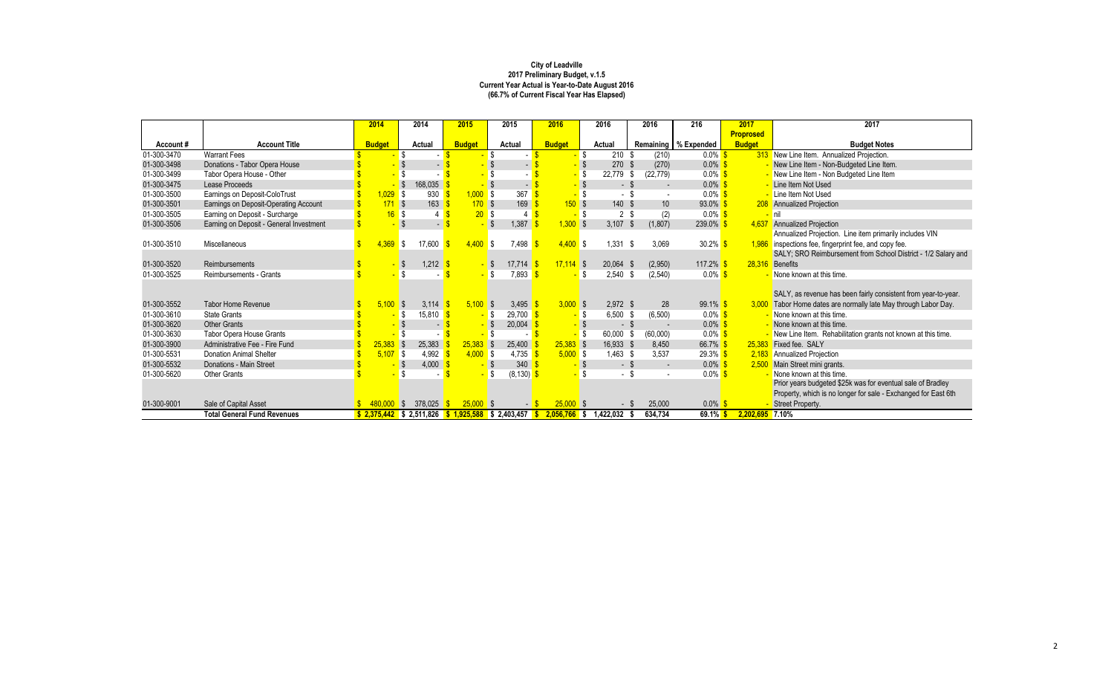|             |                                         | 2014          | 2014                                                                                                    | 2015          | 2015                 | 2016           | 2016                             | 2016             | 216                    | 2017             | 2017                                                           |
|-------------|-----------------------------------------|---------------|---------------------------------------------------------------------------------------------------------|---------------|----------------------|----------------|----------------------------------|------------------|------------------------|------------------|----------------------------------------------------------------|
|             |                                         |               |                                                                                                         |               |                      |                |                                  |                  |                        | <b>Proprosed</b> |                                                                |
| Account#    | <b>Account Title</b>                    | <b>Budget</b> | <b>Actual</b>                                                                                           | <b>Budget</b> | Actual               | <b>Budget</b>  | <b>Actual</b>                    |                  | Remaining   % Expended | <b>Budget</b>    | <b>Budget Notes</b>                                            |
| 01-300-3470 | <b>Warrant Fees</b>                     |               |                                                                                                         |               |                      |                | $210$ \$                         | (210)            | $0.0\%$ \$             |                  | 313 New Line Item. Annualized Projection.                      |
| 01-300-3498 | Donations - Tabor Opera House           |               |                                                                                                         |               |                      |                | 270 \$                           | (270)            | $0.0\%$                |                  | New Line Item - Non-Budgeted Line Item.                        |
| 01-300-3499 | Tabor Opera House - Other               |               |                                                                                                         |               |                      |                | 22,779                           | \$<br>(22, 779)  | $0.0\%$ \$             |                  | New Line Item - Non Budgeted Line Item                         |
| 01-300-3475 | Lease Proceeds                          |               | $\boldsymbol{\mathsf{S}}$<br>168,035                                                                    |               |                      |                | $-$ \$                           | $\sim$           | $0.0\%$                |                  | Line Item Not Used                                             |
| 01-300-3500 | Earnings on Deposit-ColoTrust           | ,029          | S.<br>930                                                                                               | 1,000         | <b>S</b><br>367      |                |                                  |                  | $0.0\%$ \$             |                  | Line Item Not Used                                             |
| 01-300-3501 | Earnings on Deposit-Operating Account   | $171$ \$      | 163                                                                                                     | 170S          | 169                  | 150S           | 140 \$                           | 10               | $93.0\%$               |                  | 208 Annualized Projection                                      |
| 01-300-3505 | Earning on Deposit - Surcharge          | $16-$         | <b>S</b><br>4                                                                                           | 20S           | 4                    |                | <mark>-</mark> \$<br>$2^{\circ}$ | (2)<br>-\$       | $0.0\%$ \$             |                  | <b>nil</b>                                                     |
| 01-300-3506 | Earning on Deposit - General Investment |               | -\$<br>$\blacksquare$                                                                                   |               | 1,387                | $1,300$ \$     | 3,107                            | (1, 807)<br>-S   | 239.0%                 | 4,637            | <b>Annualized Projection</b>                                   |
|             |                                         |               |                                                                                                         |               |                      |                |                                  |                  |                        |                  | Annualized Projection. Line item primarily includes VIN        |
| 01-300-3510 | Miscellaneous                           | 4.369         | 17,600<br>\$                                                                                            | 4,400         | \$<br>7,498          | $4,400$ \$     | 1,331                            | 3,069<br>-S      | $30.2\%$ \$            | 1.986            | inspections fee, fingerprint fee, and copy fee.                |
|             |                                         |               |                                                                                                         |               |                      |                |                                  |                  |                        |                  | SALY; SRO Reimbursement from School District - 1/2 Salary and  |
| 01-300-3520 | Reimbursements                          |               | $1,212$ \$<br>- \$                                                                                      | $-$ \$        | $17,714$ \$          | $17,114$ \$    | 20,064                           | (2,950)<br>- \$  | 117.2% $$$             | 28,316           | Benefits                                                       |
| 01-300-3525 | Reimbursements - Grants                 |               |                                                                                                         |               | 7,893<br>-\$         |                | 2,540                            | (2, 540)<br>- \$ | $0.0\%$ \$             |                  | None known at this time.                                       |
|             |                                         |               |                                                                                                         |               |                      |                |                                  |                  |                        |                  |                                                                |
|             |                                         |               |                                                                                                         |               |                      |                |                                  |                  |                        |                  | SALY, as revenue has been fairly consistent from year-to-year. |
| 01-300-3552 | <b>Tabor Home Revenue</b>               | 5,100         | 3,114 $\frac{1}{5}$<br>$\sqrt{3}$                                                                       | $5,100$ \$    | 3,495                | $3,000$ \$     | $2,972$ \$                       | 28               | $99.1\%$ \$            |                  | Tabor Home dates are normally late May through Labor Day.      |
| 01-300-3610 | <b>State Grants</b>                     |               | 15,810<br>\$                                                                                            |               | 29,700<br>-\$        |                | 6,500                            | (6,500)<br>-S    | $0.0\%$ \$             |                  | None known at this time.                                       |
| 01-300-3620 | <b>Other Grants</b>                     |               | $\sim$                                                                                                  |               | 20,004<br>- \$       |                | $-$ \$                           |                  | $0.0\%$                |                  | None known at this time.                                       |
| 01-300-3630 | Tabor Opera House Grants                |               |                                                                                                         |               | \$                   |                | 60,000                           | (60,000)         | $0.0\%$ \$             |                  | New Line Item. Rehabilitation grants not known at this time.   |
| 01-300-3900 | Administrative Fee - Fire Fund          | 25,383        | 25,383<br>$\sqrt{3}$                                                                                    | 25,383        | $\sqrt{3}$<br>25,400 | $25,383$ \$    | 16,933 \$                        | 8,450            | 66.7% \$               | 25,383           | Fixed fee. SALY                                                |
| 01-300-5531 | <b>Donation Animal Shelter</b>          | $5,107$ \$    | 4,992                                                                                                   | $4,000$ \$    | 4,735                | 5,000S         | $1,463$ \$                       | 3,537            | $29.3\%$ \$            | 2,183            | <b>Annualized Projection</b>                                   |
| 01-300-5532 | Donations - Main Street                 |               | 4,000<br>- \$                                                                                           |               | 340<br>S             |                | - \$                             | $\sim$           | $0.0\%$ \$             | 2,500            | Main Street mini grants.                                       |
| 01-300-5620 | <b>Other Grants</b>                     |               | \$                                                                                                      |               | \$<br>$(8, 130)$ \$  |                | - \$                             |                  | $0.0\%$ \$             |                  | None known at this time.                                       |
|             |                                         |               |                                                                                                         |               |                      |                |                                  |                  |                        |                  | Prior years budgeted \$25k was for eventual sale of Bradley    |
|             |                                         |               |                                                                                                         |               |                      |                |                                  |                  |                        |                  | Property, which is no longer for sale - Exchanged for East 6th |
| 01-300-9001 | Sale of Capital Asset                   |               | 378,025                                                                                                 | 25,000        |                      | $25,000$ \$    |                                  | 25,000           | $0.0\%$ \$             |                  | Street Property.                                               |
|             | <b>Total General Fund Revenues</b>      |               | $\frac{1}{2}$ , 2,375,442 $\frac{1}{2}$ , 2,511,826 $\frac{1}{2}$ , 1,925,588 $\frac{1}{2}$ , 2,403,457 |               |                      | $2,056,766$ \$ | 1,422,032                        | 634,734          | 69.1%                  | 2,202,695 7.10%  |                                                                |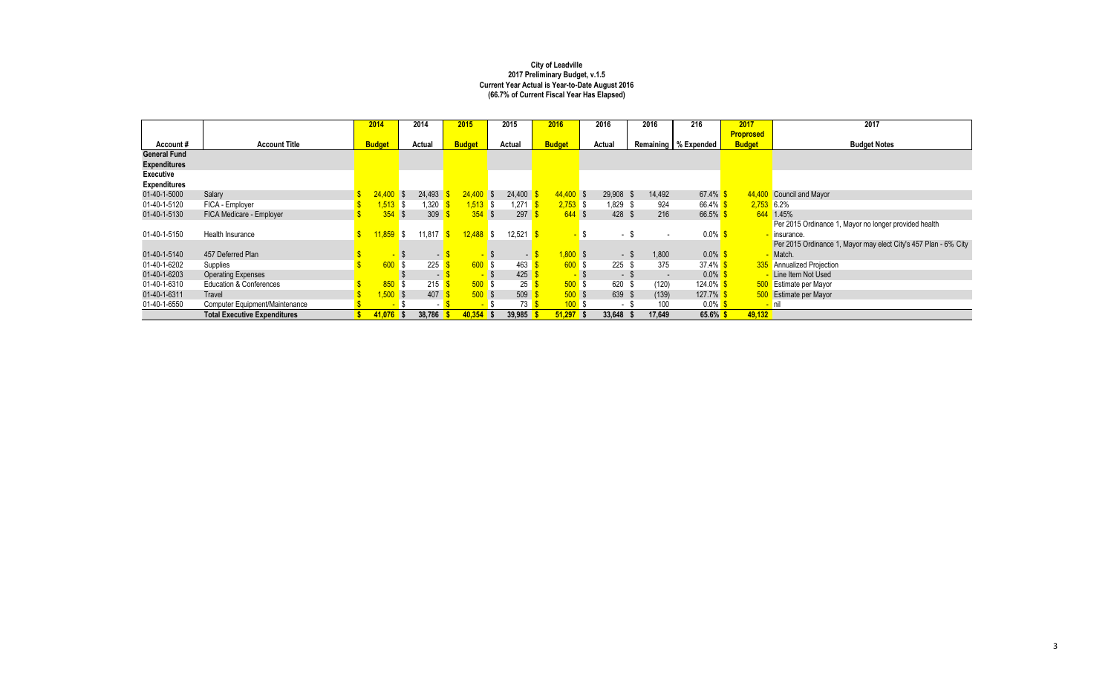|                     |                                     | 2014          | 2014     |        | 2015          |            | 2015   | 2016          |                | 2016        | 2016   | 216                    | 2017             | 2017                                                            |
|---------------------|-------------------------------------|---------------|----------|--------|---------------|------------|--------|---------------|----------------|-------------|--------|------------------------|------------------|-----------------------------------------------------------------|
|                     |                                     |               |          |        |               |            |        |               |                |             |        |                        | <b>Proprosed</b> |                                                                 |
| Account#            | <b>Account Title</b>                | <b>Budget</b> | Actual   |        | <b>Budget</b> |            | Actual | <b>Budget</b> |                | Actual      |        | Remaining   % Expended | <b>Budget</b>    | <b>Budget Notes</b>                                             |
| <b>General Fund</b> |                                     |               |          |        |               |            |        |               |                |             |        |                        |                  |                                                                 |
| <b>Expenditures</b> |                                     |               |          |        |               |            |        |               |                |             |        |                        |                  |                                                                 |
| <b>Executive</b>    |                                     |               |          |        |               |            |        |               |                |             |        |                        |                  |                                                                 |
| <b>Expenditures</b> |                                     |               |          |        |               |            |        |               |                |             |        |                        |                  |                                                                 |
| 01-40-1-5000        | Salary                              | $24,400$ \$   |          | 24,493 | $24,400$ \$   |            | 24,400 | $44,400$ \$   |                | $29,908$ \$ | 14,492 | 67.4% \$               | 44,400           | Council and Mayor                                               |
| 01-40-1-5120        | FICA - Employer                     | 1,513 \$      |          | ,320   | $1,513$ \$    |            | ,271   | $2,753$ \$    |                | 1,829 \$    | 924    | 66.4% $$$              | $2,753$ 6.2%     |                                                                 |
| 01-40-1-5130        | FICA Medicare - Employer            | 354           | l S      | 309    |               | $354$ \$   | 297    | $644$ \$      |                | $428$ \$    | 216    | 66.5%                  |                  | 644 1.45%                                                       |
|                     |                                     |               |          |        |               |            |        |               |                |             |        |                        |                  | Per 2015 Ordinance 1, Mayor no longer provided health           |
| 01-40-1-5150        | Health Insurance                    | 11,859        | \$       | 11,817 | $12,488$ \$   |            | 12,521 |               |                | - \$        |        | $0.0\%$ \$             |                  | insurance.                                                      |
|                     |                                     |               |          |        |               |            |        |               |                |             |        |                        |                  | Per 2015 Ordinance 1, Mayor may elect City's 457 Plan - 6% City |
| 01-40-1-5140        | 457 Deferred Plan                   |               |          | т.     |               |            | $\sim$ | $1,800$ \$    |                | - \$        | 1,800  | $0.0\%$ \$             |                  | Match.                                                          |
| 01-40-1-6202        | Supplies                            | 600           | <b>S</b> | 225    |               | $600$ \$   | 463    | $600$ \$      |                | $225$ \$    | 375    | 37.4% $$$              |                  | 335 Annualized Projection                                       |
| 01-40-1-6203        | <b>Operating Expenses</b>           |               |          | $\sim$ |               |            | 425    |               | $\blacksquare$ | - \$        | $\sim$ | $0.0\%$                |                  | Line Item Not Used                                              |
| 01-40-1-6310        | <b>Education &amp; Conferences</b>  | 850           |          | 215    |               | 500S       | 25     | $500$ \$      |                | 620 \$      | (120)  | 124.0% \$              | <b>500</b>       | Estimate per Mayor                                              |
| 01-40-1-6311        | Travel                              | $1,500$ \$    |          | 407    |               | $500$ \$   | 509    | $500$ \$      |                | 639 \$      | (139)  | 127.7%                 |                  | 500 Estimate per Mayor                                          |
| 01-40-1-6550        | Computer Equipment/Maintenance      |               |          |        |               |            | 73     | 100S          |                | $\sim$      | 100    | $0.0\%$ \$             |                  | <mark>– nil</mark>                                              |
|                     | <b>Total Executive Expenditures</b> | $41,076$ \$   |          | 38,786 | 40,354        | $\sqrt{5}$ | 39,985 | $51,297$ \$   |                | 33,648      | 17,649 | $65.6\%$               | 49,132           |                                                                 |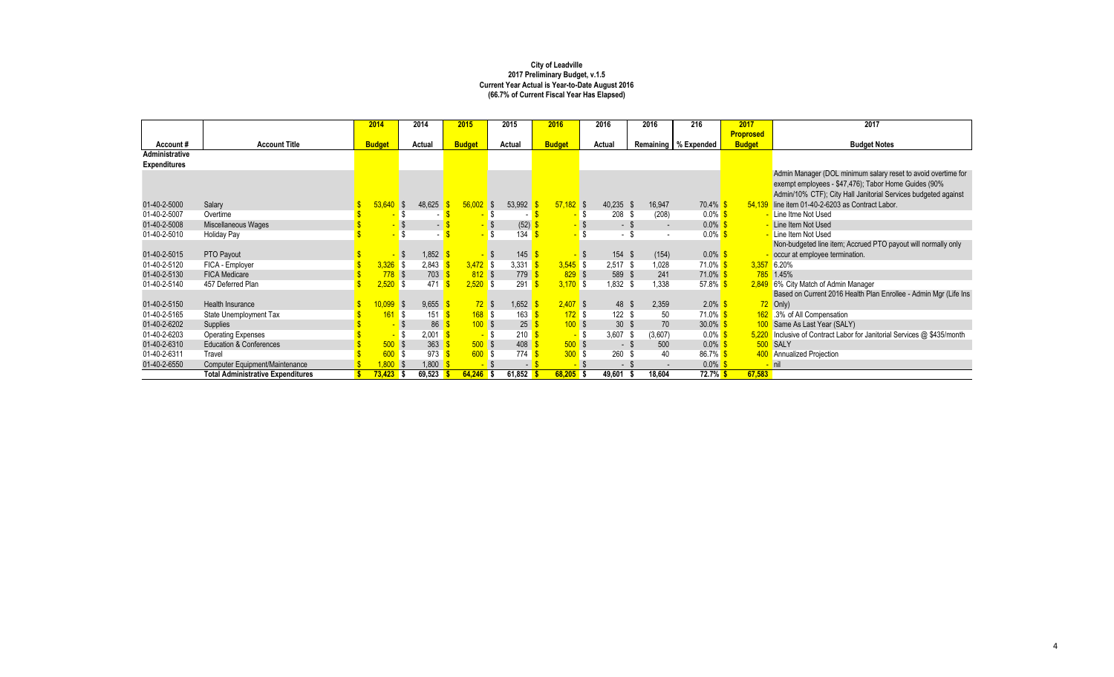|                     |                                          | 2014          |              | 2014   | 2015          |             | 2015   |        | 2016          |      | 2016            |      | 2016           | 216                    | 2017             | 2017                                                              |
|---------------------|------------------------------------------|---------------|--------------|--------|---------------|-------------|--------|--------|---------------|------|-----------------|------|----------------|------------------------|------------------|-------------------------------------------------------------------|
|                     |                                          |               |              |        |               |             |        |        |               |      |                 |      |                |                        | <b>Proprosed</b> |                                                                   |
| Account#            | <b>Account Title</b>                     | <b>Budget</b> |              | Actual | <b>Budget</b> |             | Actual |        | <b>Budget</b> |      | Actual          |      |                | Remaining   % Expended | <b>Budget</b>    | <b>Budget Notes</b>                                               |
| Administrative      |                                          |               |              |        |               |             |        |        |               |      |                 |      |                |                        |                  |                                                                   |
| <b>Expenditures</b> |                                          |               |              |        |               |             |        |        |               |      |                 |      |                |                        |                  |                                                                   |
|                     |                                          |               |              |        |               |             |        |        |               |      |                 |      |                |                        |                  | Admin Manager (DOL minimum salary reset to avoid overtime for     |
|                     |                                          |               |              |        |               |             |        |        |               |      |                 |      |                |                        |                  | exempt employees - \$47,476); Tabor Home Guides (90%              |
|                     |                                          |               |              |        |               |             |        |        |               |      |                 |      |                |                        |                  | Admin/10% CTF); City Hall Janitorial Services budgeted against    |
| 01-40-2-5000        | Salary                                   | 53,640        | <b>S</b>     | 48,625 |               | 56,002      | - \$   | 53,992 | $57,182$ \$   |      | $40,235$ \$     |      | 16,947         | $70.4\%$               | 54.139           | line item 01-40-2-6203 as Contract Labor.                         |
| 01-40-2-5007        | Overtime                                 |               |              |        |               |             |        |        |               | - \$ | $208$ \$        |      | (208)          | $0.0\%$ \$             |                  | - Line Itme Not Used                                              |
| 01-40-2-5008        | Miscellaneous Wages                      |               |              |        |               |             |        | (52)   |               |      |                 |      | $\blacksquare$ | $0.0\%$                |                  | - Line Item Not Used                                              |
| 01-40-2-5010        | <b>Holiday Pay</b>                       |               |              |        |               |             |        | 134    |               |      | $\sim$          | - \$ |                | $0.0\%$ \$             |                  | - Line Item Not Used                                              |
|                     |                                          |               |              |        |               |             |        |        |               |      |                 |      |                |                        |                  | Non-budgeted line item; Accrued PTO payout will normally only     |
| 01-40-2-5015        | PTO Payout                               |               | <b>S</b>     | 1,852  |               |             | -\$    | 145    |               |      | 154 \$          |      | (154)          | $0.0\%$ \$             |                  | occur at employee termination.                                    |
| 01-40-2-5120        | FICA - Employer                          | $3,326$ \$    |              | 2,843  |               | $3,472$ \$  |        | 3,331  | $3,545$ \$    |      | $2,517$ \$      |      | 1,028          | 71.0% <mark>\$</mark>  |                  | $3,357$ 6.20%                                                     |
| 01-40-2-5130        | <b>FICA Medicare</b>                     | $778$ \$      |              | 703    |               | 812S        |        | 779    | $829$ \$      |      | 589 \$          |      | 241            | $71.0\%$ \$            |                  | 785 1.45%                                                         |
| 01-40-2-5140        | 457 Deferred Plan                        | 2,520         | l \$         | 471    |               | 2,520       | l \$   | 291    | $3,170$ \$    |      | $1,832$ \$      |      | 1,338          | 57.8% $$$              |                  | 2,849 6% City Match of Admin Manager                              |
|                     |                                          |               |              |        |               |             |        |        |               |      |                 |      |                |                        |                  | Based on Current 2016 Health Plan Enrollee - Admin Mgr (Life Ins  |
| 01-40-2-5150        | Health Insurance                         | 10,099        | <b>S</b>     | 9,655  |               | $72$ \$     |        | 1,652  | $2,407$ \$    |      | 48 \$           |      | 2,359          | $2.0\%$ \$             |                  | 72 Only)                                                          |
| 01-40-2-5165        | State Unemployment Tax                   | 161           | -\$          | 151    |               | $168$ \$    |        | 163    | $172$ \$      |      | $122$ \$        |      | 50             | $71.0\%$ \$            |                  | 162 .3% of All Compensation                                       |
| 01-40-2-6202        | Supplies                                 |               |              | 86     |               | 100S        |        | 25     | $100$ \$      |      | 30 <sup>°</sup> |      | 70             | $30.0\%$               |                  | 100 Same As Last Year (SALY)                                      |
| 01-40-2-6203        | <b>Operating Expenses</b>                |               |              | 2,001  |               |             |        | 210    |               | - \$ | 3,607           | - \$ | (3,607)        | $0.0\%$ \$             | 5,220            | Inclusive of Contract Labor for Janitorial Services @ \$435/month |
| 01-40-2-6310        | <b>Education &amp; Conferences</b>       | $500$ \$      |              | 363    |               | $500$ \$    |        | 408    | $500$ \$      |      | - \$            |      | 500            | $0.0\%$ \$             |                  | 500 SALY                                                          |
| 01-40-2-6311        | Travel                                   | 600           | <b>S</b>     | 973    |               | 600S        |        | 774    | 300S          |      | 260             |      | 40             | 86.7% \$               |                  | 400 Annualized Projection                                         |
| 01-40-2-6550        | <b>Computer Equipment/Maintenance</b>    | ,800          | $\mathsf{S}$ | 1,800  |               | $\sim$      |        | $\sim$ |               |      | $\sim$          |      |                | $0.0\%$                |                  | <mark>–</mark> nil                                                |
|                     | <b>Total Administrative Expenditures</b> | $73,423$ \$   |              | 69,523 |               | $64,246$ \$ |        | 61,852 | $68,205$ \$   |      | 49,601          |      | 18,604         | 72.7% <sup>S</sup>     | 67,583           |                                                                   |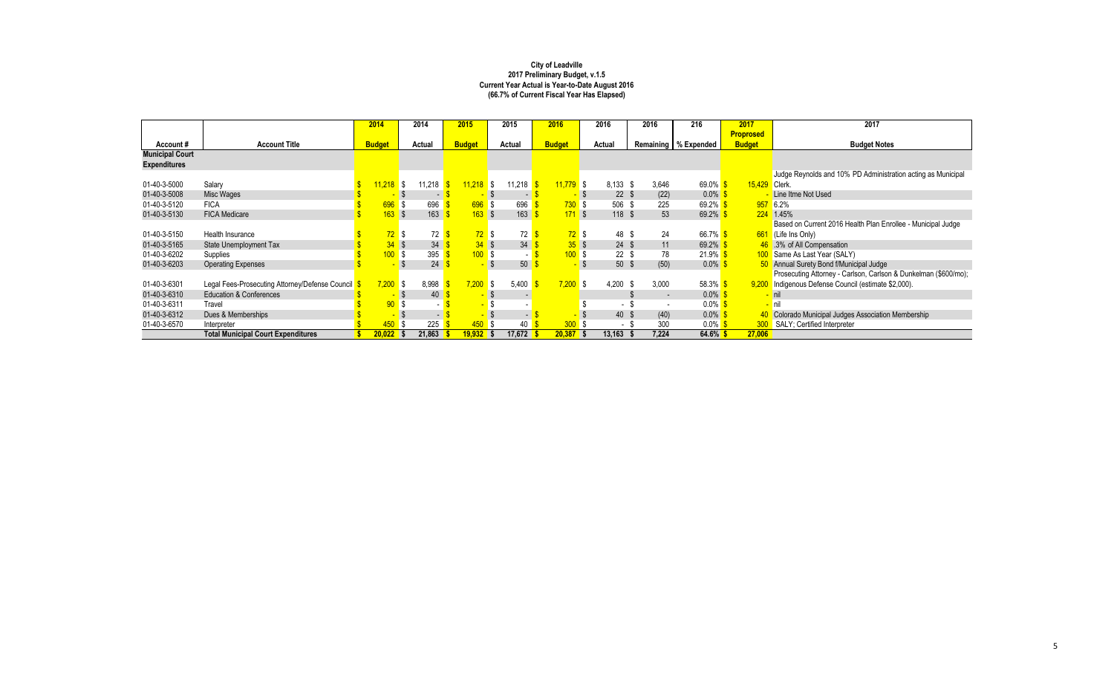|                        |                                                 | 2014                   |      | 2014   | 2015             |     | 2015                     | 2016          |          | 2016            |      | 2016                     | 216                    | 2017             | 2017                                                            |
|------------------------|-------------------------------------------------|------------------------|------|--------|------------------|-----|--------------------------|---------------|----------|-----------------|------|--------------------------|------------------------|------------------|-----------------------------------------------------------------|
|                        |                                                 |                        |      |        |                  |     |                          |               |          |                 |      |                          |                        | <b>Proprosed</b> |                                                                 |
| Account#               | <b>Account Title</b>                            | <b>Budget</b>          |      | Actual | <b>Budget</b>    |     | Actual                   | <b>Budget</b> |          | Actual          |      |                          | Remaining   % Expended | <b>Budget</b>    | <b>Budget Notes</b>                                             |
| <b>Municipal Court</b> |                                                 |                        |      |        |                  |     |                          |               |          |                 |      |                          |                        |                  |                                                                 |
| <b>Expenditures</b>    |                                                 |                        |      |        |                  |     |                          |               |          |                 |      |                          |                        |                  |                                                                 |
|                        |                                                 |                        |      |        |                  |     |                          |               |          |                 |      |                          |                        |                  | Judge Reynolds and 10% PD Administration acting as Municipal    |
| 01-40-3-5000           | Salary                                          | <mark>11,218</mark> \$ |      | 11,218 | $11,218$ \$      |     | 11,218                   | $11,779$ \$   |          | 8,133           | - \$ | 3,646                    | $69.0\%$               | 15,429 Clerk.    |                                                                 |
| 01-40-3-5008           | Misc Wages                                      |                        |      | $\sim$ |                  |     | $\overline{\phantom{0}}$ |               |          | $22 \quad $$    |      | (22)                     | $0.0\%$                |                  | Line Itme Not Used                                              |
| 01-40-3-5120           | <b>FICA</b>                                     | 696 \$                 |      | 696    | 696S             |     | 696                      |               | $730$ \$ | 506 \$          |      | 225                      | 69.2%                  |                  | 957 6.2%                                                        |
| 01-40-3-5130           | <b>FICA Medicare</b>                            | $163$ \$               |      | 163    | 163S             |     | 163                      |               | 171S     | $118$ \$        |      | 53                       | 69.2%                  |                  | 224 1.45%                                                       |
|                        |                                                 |                        |      |        |                  |     |                          |               |          |                 |      |                          |                        |                  | Based on Current 2016 Health Plan Enrollee - Municipal Judge    |
| 01-40-3-5150           | Health Insurance                                | $72$ \$                |      | 72     | $72$ \$          |     | 72                       |               | $72$ \$  | 48 \$           |      | 24                       | 66.7% \$               |                  | 661 (Life Ins Only)                                             |
| 01-40-3-5165           | <b>State Unemployment Tax</b>                   | $34$ \$                |      | 34     | $34 \text{ }$ \$ |     | 34                       |               | 35S      | $24 \quad$      |      | 11                       | 69.2%                  |                  | 46 .3% of All Compensation                                      |
| 01-40-3-6202           | Supplies                                        | $100$ \$               |      | 395    | 100S             |     |                          |               | 100S     | $22 \quad$      |      | 78                       | $21.9\%$ \$            |                  | 100 Same As Last Year (SALY)                                    |
| 01-40-3-6203           | <b>Operating Expenses</b>                       |                        |      | 24     |                  |     | 50                       |               |          | 50 <sup>°</sup> |      | (50)                     | $0.0\%$                |                  | 50 Annual Surety Bond f/Municipal Judge                         |
|                        |                                                 |                        |      |        |                  |     |                          |               |          |                 |      |                          |                        |                  | Prosecuting Attorney - Carlson, Carlson & Dunkelman (\$600/mo); |
| 01-40-3-6301           | Legal Fees-Prosecuting Attorney/Defense Council | $7,200$ \$             |      | 8,998  | 7,200            | IS. | 5,400                    | 7,200         | IS.      | 4,200           | -S   | 3,000                    | 58.3% $$$              |                  | 9,200 Indigenous Defense Council (estimate \$2,000).            |
| 01-40-3-6310           | <b>Education &amp; Conferences</b>              |                        |      | 40     |                  |     |                          |               |          |                 |      | $\overline{\phantom{0}}$ | $0.0\%$                |                  |                                                                 |
| 01-40-3-6311           | Travel                                          | $90°$ \$               |      |        |                  |     |                          |               |          |                 |      |                          | $0.0\%$                |                  |                                                                 |
| 01-40-3-6312           | Dues & Memberships                              |                        |      | $\sim$ |                  |     | $\sim$                   |               |          | 40 \$           |      | (40)                     | $0.0\%$                |                  | Colorado Municipal Judges Association Membership                |
| 01-40-3-6570           | Interpreter                                     | 450 <sub>1</sub>       | l \$ | 225    | 450              |     | 40                       |               | 300S     | - \$            |      | 300                      | $0.0\%$ \$             |                  | <b>300</b> SALY; Certified Interpreter                          |
|                        | <b>Total Municipal Court Expenditures</b>       | $20,022$ \$            |      | 21,863 | <u> 19,932  </u> |     | 17,672                   | 20,387        |          | 13,163          |      | 7,224                    | $64.6\%$ \$            | 27,006           |                                                                 |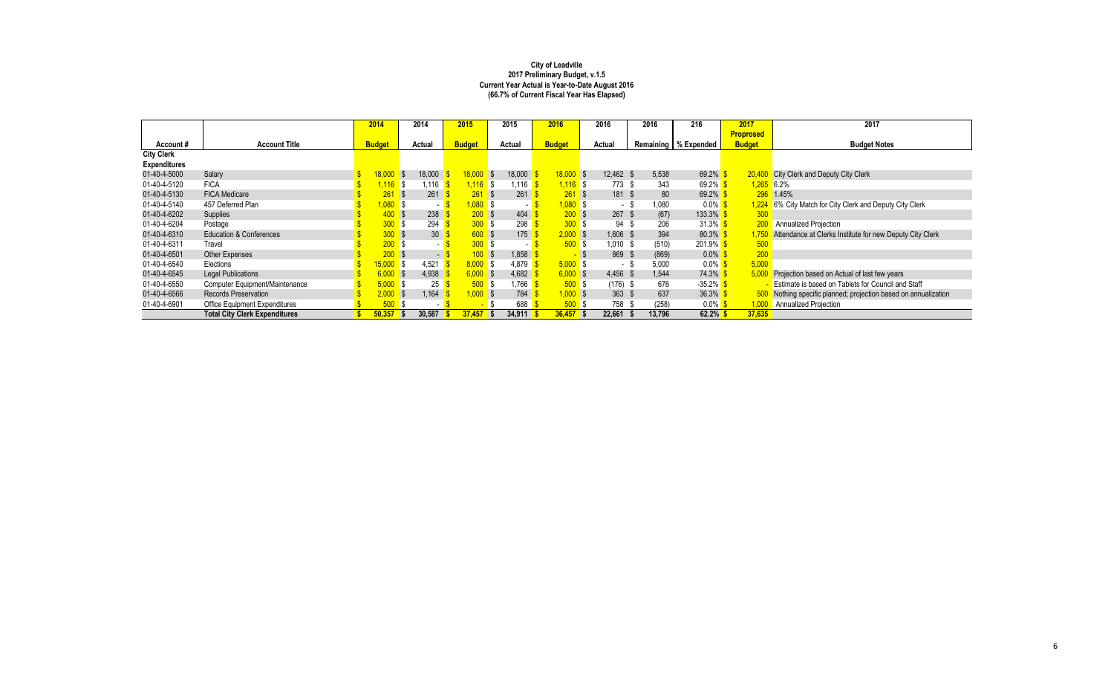|                     |                                      | 2014             | 2014                    | 2015          |             | 2015       | 2016                                   |      | 2016       | 2016          | 216                    | 2017             | 2017                                                        |
|---------------------|--------------------------------------|------------------|-------------------------|---------------|-------------|------------|----------------------------------------|------|------------|---------------|------------------------|------------------|-------------------------------------------------------------|
|                     |                                      |                  |                         |               |             |            |                                        |      |            |               |                        | <b>Proprosed</b> |                                                             |
| Account#            | <b>Account Title</b>                 | <b>Budget</b>    | Actual                  | <b>Budget</b> |             | Actual     | <b>Budget</b>                          |      | Actual     |               | Remaining   % Expended | <b>Budget</b>    | <b>Budget Notes</b>                                         |
| <b>City Clerk</b>   |                                      |                  |                         |               |             |            |                                        |      |            |               |                        |                  |                                                             |
| <b>Expenditures</b> |                                      |                  |                         |               |             |            |                                        |      |            |               |                        |                  |                                                             |
| 01-40-4-5000        | Salary                               | 18,000           | 18,000<br><b>S</b>      |               | $18,000$ \$ | 18,000     | $18,000$ \$                            |      | 12,462 \$  | 5,538         | 69.2%                  | 20,400           | City Clerk and Deputy City Clerk                            |
| 01-40-4-5120        | <b>FICA</b>                          | $.116$ \$        | 1,116                   |               | $1.116$ \$  | 1,116      | $1,116$ \$                             |      | 773 \$     | 343           | 69.2%                  | $1,265$ 6.2%     |                                                             |
| 01-40-4-5130        | <b>FICA Medicare</b>                 | 261              | 261<br>l S              |               | 261         | 261<br>∣\$ | $261$ \$                               |      | 181 \$     | 80            | 69.2%                  |                  | 296 1.45%                                                   |
| 01-40-4-5140        | 457 Deferred Plan                    | $0.080$ \$       | $\sim$                  |               | $,080$ \$   |            | $1,080$ \$<br>$\overline{\phantom{0}}$ |      | - 8        | 1,080         | $0.0\%$                | <u>  1,224 </u>  | 6% City Match for City Clerk and Deputy City Clerk          |
| 01-40-4-6202        | Supplies                             | 400 <sub>1</sub> | 238                     |               | 200S        | 404        | $200$ \$                               |      | $267$ \$   | (67)          | 133.3%                 | 300              |                                                             |
| 01-40-4-6204        | Postage                              | 300S             | 294                     |               | 300S        | 298        | 300S                                   |      | 94         | 206           | 31.3%                  |                  | 200 Annualized Projection                                   |
| 01-40-4-6310        | <b>Education &amp; Conferences</b>   | $300$ \$         | 30 <sup>°</sup>         |               | 600S        | 175        | $2,000$ \$                             |      | 1,606 \$   | 394           | 80.3%                  | 1.750            | Attendance at Clerks Institute for new Deputy City Clerk    |
| 01-40-4-6311        | Travel                               | 200S             |                         | $\sim$        | 300S        |            | $\overline{\phantom{0}}$               | 500S | 1,010 \$   | (510)         | 201.9%                 | 500              |                                                             |
| 01-40-4-6501        | Other Expenses                       | $200$ \$         |                         | $\sim$ 1      | 100S        | 1,858      |                                        |      | 869        | (869)<br>- \$ | $0.0\%$                | 200              |                                                             |
| 01-40-4-6540        | Elections                            | 15,000 \$        | 4,521                   |               | $8,000$ \$  | 4,879      | $5,000$ \$                             |      | - 8        | 5,000         | $0.0\%$                | 5,000            |                                                             |
| 01-40-4-6545        | <b>Legal Publications</b>            | 6,000            | 4,938<br>$\sqrt{S}$     |               | $6,000$ \$  | 4,682      | $6,000$ \$                             |      | 4,456 \$   | 1,544         | 74.3%                  | 5,000            | Projection based on Actual of last few years                |
| 01-40-4-6550        | Computer Equipment/Maintenance       | 5,000            | 25<br>∎ \$              |               | 500S        | ,766       | $500$ \$                               |      | $(176)$ \$ | 676           | $-35.2\%$              |                  | Estimate is based on Tablets for Council and Staff          |
| 01-40-4-6566        | <b>Records Preservation</b>          | 2,000            | 1,164<br>$\blacksquare$ |               | $0.000$ \$  | 784        | 1,000 \$                               |      | $363$ \$   | 637           | 36.3%                  |                  | Nothing specific planned; projection based on annualization |
| 01-40-4-6901        | <b>Office Equipment Expenditures</b> | $500$ \$         | $\sim$                  |               |             | 688        | $500$ \$                               |      | 758 \$     | (258)         | $0.0\%$                | $1,000$ .        | Annualized Projection                                       |
|                     | <b>Total City Clerk Expenditures</b> | 50,357           | 30,587                  |               | 37,457      | 34,911     | 36,457                                 |      | 22,661     | 13,796        | 62.2%                  | 37,635           |                                                             |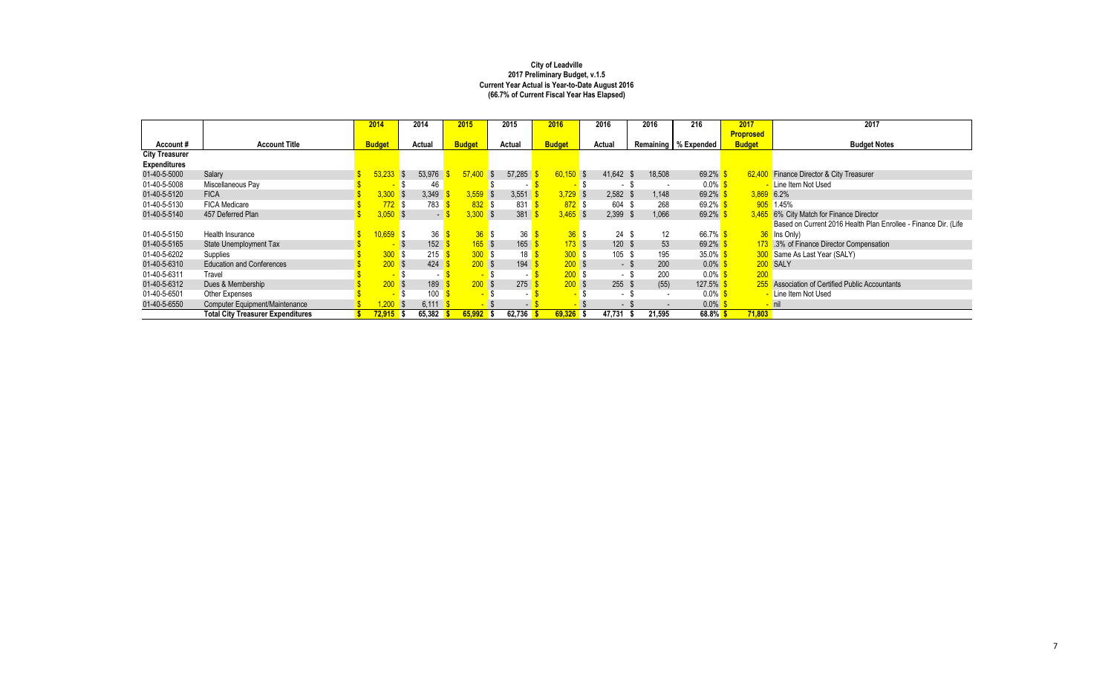|                       |                                          | 2014                   |            | 2014     | 2015          |                      | 2015     | 2016          | 2016                     | 2016        | 216                    | 2017             | 2017                                                            |
|-----------------------|------------------------------------------|------------------------|------------|----------|---------------|----------------------|----------|---------------|--------------------------|-------------|------------------------|------------------|-----------------------------------------------------------------|
|                       |                                          |                        |            |          |               |                      |          |               |                          |             |                        | <b>Proprosed</b> |                                                                 |
| Account#              | <b>Account Title</b>                     | <b>Budget</b>          |            | Actual   | <b>Budget</b> |                      | Actual   | <b>Budget</b> | <b>Actual</b>            |             | Remaining   % Expended | <b>Budget</b>    | <b>Budget Notes</b>                                             |
| <b>City Treasurer</b> |                                          |                        |            |          |               |                      |          |               |                          |             |                        |                  |                                                                 |
| <b>Expenditures</b>   |                                          |                        |            |          |               |                      |          |               |                          |             |                        |                  |                                                                 |
| 01-40-5-5000          | Salary                                   | 53,233                 | $\sqrt{3}$ | 53,976   |               | 57,400<br>$\sqrt{S}$ | 57,285   | $60,150$ \$   | 41,642                   | 18,508      | 69.2%                  | 62,400           | Finance Director & City Treasurer                               |
| 01-40-5-5008          | Miscellaneous Pay                        |                        |            | 46       |               |                      |          |               | $\overline{\phantom{a}}$ |             | $0.0\%$ \$             |                  | Line Item Not Used                                              |
| 01-40-5-5120          | <b>FICA</b>                              | $3,300$ \$             |            | 3,349    |               | $3,559$ \$           | 3,551    | $3,729$ \$    | 2,582                    | 1,148       | 69.2%                  | $3,869$ 6.2%     |                                                                 |
| 01-40-5-5130          | <b>FICA Medicare</b>                     | $772$ \$               |            | 783      |               | 832S                 | 831      | $872$ \$      | 604                      | 268         | $69.2\%$               |                  | 905 1.45%                                                       |
| 01-40-5-5140          | 457 Deferred Plan                        | $3,050$ \$             |            | $\sim$ 1 |               | $3,300$ \$           | 381      | $3,465$ \$    | 2,399                    | 1,066<br>-S | 69.2%                  |                  | 3,465 6% City Match for Finance Director                        |
|                       |                                          |                        |            |          |               |                      |          |               |                          |             |                        |                  | Based on Current 2016 Health Plan Enrollee - Finance Dir. (Life |
| 01-40-5-5150          | Health Insurance                         | <mark>10,659</mark> \$ |            | 36       |               | 36S                  | 36       | 36S           | 24                       | 12          | 66.7% $$$              |                  | 36 Ins Only)                                                    |
| 01-40-5-5165          | State Unemployment Tax                   |                        |            | 152      |               | 165S                 | 165      | 173S          | $120$ \$                 | 53          | 69.2%                  |                  | 173 .3% of Finance Director Compensation                        |
| 01-40-5-6202          | Supplies                                 | $300$ \$               |            | 215      |               | 300S                 | 18       | 300S          | 105                      | 195         | 35.0% $$$              |                  | 300 Same As Last Year (SALY)                                    |
| 01-40-5-6310          | <b>Education and Conferences</b>         | $200$ \$               |            | 424      |               | $200$ \$             | 194      | 200S          | - \$                     | 200         | $0.0\%$                |                  | 200 SALY                                                        |
| 01-40-5-6311          | Travel                                   |                        |            | $\sim$   |               | $\sim$               | $\sim$   | 200S          | - 5                      | 200         | $0.0\%$                | 200              |                                                                 |
| 01-40-5-6312          | Dues & Membership                        | 200S                   |            | 189      |               | 200S                 | 275      | 200S          | $255$ \$                 | (55)        | 127.5%                 |                  | 255 Association of Certified Public Accountants                 |
| 01-40-5-6501          | Other Expenses                           |                        |            | 100      |               |                      |          |               | $\sim$                   | $\sim$      | $0.0\%$                |                  | - Line Item Not Used                                            |
| 01-40-5-6550          | Computer Equipment/Maintenance           | $,200$ \$              |            | 6,111    |               |                      | $\sim$ 1 |               | $\sim$                   |             | $0.0\%$                |                  | <mark>– nil</mark>                                              |
|                       | <b>Total City Treasurer Expenditures</b> | $72,915$ \$            |            | 65,382   |               | $65,992$ \$          | 62,736   | $69,326$ \$   | 47,731                   | 21,595      | $68.8\%$ \$            | 71,803           |                                                                 |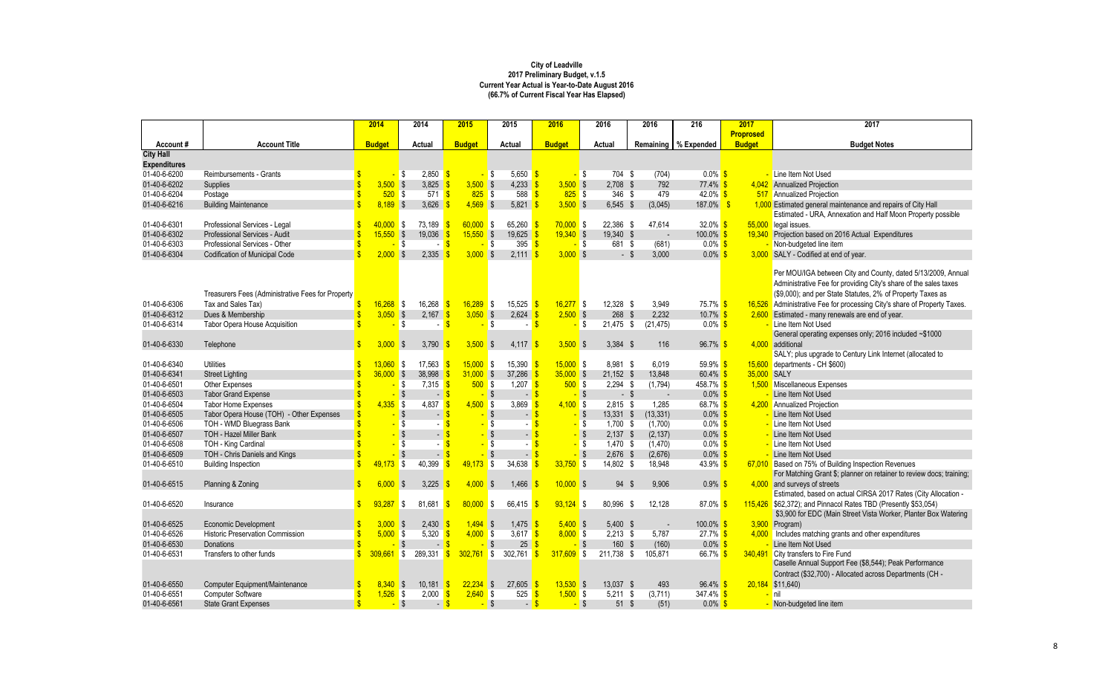|                     |                                                   | 2014                        | 2014                         | 2015               | 2015                            | 2016          | 2016                        | 2016                             | 216                    | 2017             | 2017                                                                 |
|---------------------|---------------------------------------------------|-----------------------------|------------------------------|--------------------|---------------------------------|---------------|-----------------------------|----------------------------------|------------------------|------------------|----------------------------------------------------------------------|
|                     |                                                   |                             |                              |                    |                                 |               |                             |                                  |                        | <b>Proprosed</b> |                                                                      |
| Account#            | <b>Account Title</b>                              | <b>Budget</b>               | <b>Actual</b>                | <b>Budget</b>      | <b>Actual</b>                   | <b>Budget</b> | Actual                      |                                  | Remaining   % Expended | <b>Budget</b>    | <b>Budget Notes</b>                                                  |
| <b>City Hall</b>    |                                                   |                             |                              |                    |                                 |               |                             |                                  |                        |                  |                                                                      |
| <b>Expenditures</b> |                                                   |                             |                              |                    |                                 |               |                             |                                  |                        |                  |                                                                      |
| 01-40-6-6200        | Reimbursements - Grants                           |                             | 2,850<br>l\$                 | <mark>-</mark> \$  | 5,650 $\frac{1}{5}$             |               | 704 \$<br><mark>-</mark> \$ | (704)                            | $0.0\%$ \$             |                  | Line Item Not Used                                                   |
| 01-40-6-6202        | Supplies                                          | $3,500$ \$                  | 3,825                        | $3,500$ \$         | $4,233$ \$                      | $3,500$ \$    | $2,708$ \$                  | 792                              | $77.4\%$ \$            |                  | 4,042 Annualized Projection                                          |
| 01-40-6-6204        | Postage                                           | $520$ \$                    | $571$ \$                     | $825$ \$           | 588 $$$                         | $825$ \$      | 346 \$                      | 479                              | $42.0\%$ \$            |                  | 517 Annualized Projection                                            |
| 01-40-6-6216        | <b>Building Maintenance</b>                       | $8,189$ \$                  | 3,626                        | $4,569$ \$         | $5,821$ \$                      | $3,500$ \$    | $6,545$ \$                  | (3,045)                          | $187.0\%$ \$           |                  | 1,000 Estimated general maintenance and repairs of City Hall         |
|                     |                                                   |                             |                              |                    |                                 |               |                             |                                  |                        |                  | Estimated - URA, Annexation and Half Moon Property possible          |
| 01-40-6-6301        | Professional Services - Legal                     | 40,000                      | 73,189<br>l S                | $60,000$ \$        | 65,260 $\frac{9}{3}$            | $70,000$ \$   | 22,386 \$                   | 47,614                           | 32.0% $$$              |                  | 55,000 legal issues.                                                 |
| 01-40-6-6302        | Professional Services - Audit                     | $15,550$ \$                 | 19,036                       | $15,550$ \$        | 19,625                          | $19,340$ \$   | 19,340 \$                   |                                  | $100.0\%$ \$           | 19,340           | Projection based on 2016 Actual Expenditures                         |
| 01-40-6-6303        | Professional Services - Other                     |                             | <b>S</b>                     |                    | 395 $\frac{1}{5}$<br><b>S</b>   |               | <mark>-</mark> \$<br>681 \$ | (681)                            | $0.0\%$ \$             |                  | Non-budgeted line item                                               |
| 01-40-6-6304        | <b>Codification of Municipal Code</b>             | $2,000$ \$                  | 2,335                        | $3,000$ \$         | $2,111$ \$                      | $3,000$ \$    | $-$ \$                      | 3,000                            | $0.0\%$ \$             |                  | 3,000 SALY - Codified at end of year.                                |
|                     |                                                   |                             |                              |                    |                                 |               |                             |                                  |                        |                  |                                                                      |
|                     |                                                   |                             |                              |                    |                                 |               |                             |                                  |                        |                  | Per MOU/IGA between City and County, dated 5/13/2009, Annual         |
|                     |                                                   |                             |                              |                    |                                 |               |                             |                                  |                        |                  | Administrative Fee for providing City's share of the sales taxes     |
|                     | Treasurers Fees (Administrative Fees for Property |                             |                              |                    |                                 |               |                             |                                  |                        |                  | (\$9,000); and per State Statutes, 2% of Property Taxes as           |
| 01-40-6-6306        | Tax and Sales Tax)                                | $16,268$ \$                 | 16,268                       | $16,289$ \$        | 15,525                          | $16,277$ \$   | $12,328$ \$                 | 3,949                            | 75.7% \$               | 16,526           | Administrative Fee for processing City's share of Property Taxes.    |
| 01-40-6-6312        | Dues & Membership                                 | $3,050$ \$                  | 2,167                        | $3,050$ \$         | 2,624                           | $2,500$ \$    | 268                         | $\sqrt[6]{\frac{1}{2}}$<br>2,232 | 10.7% \$               | 2,600            | Estimated - many renewals are end of year.                           |
| 01-40-6-6314        | Tabor Opera House Acquisition                     |                             | <b>S</b>                     |                    | - \$                            |               | 21,475<br>- \$              | (21, 475)<br>\$                  | $0.0\%$ \$             |                  | Line Item Not Used                                                   |
|                     |                                                   |                             |                              |                    |                                 |               |                             |                                  |                        |                  | General operating expenses only; 2016 included ~\$1000               |
| 01-40-6-6330        | Telephone                                         | 3,000                       | 3,790<br>$\sqrt{3}$          | $3,500$ \$         | $4,117$ \$                      | $3,500$ \$    | $3,384$ \$                  | 116                              | $96.7\%$ \$            | 4,000            | additional                                                           |
|                     |                                                   |                             |                              |                    |                                 |               |                             |                                  |                        |                  | SALY; plus upgrade to Century Link Internet (allocated to            |
| 01-40-6-6340        | <b>Utilities</b>                                  | 13,060                      | 17,563<br><b>S</b>           | $15,000$ \$        | $15,390$ \$                     | $15,000$ \$   | 8,981 \$                    | 6,019                            | 59.9% $$$              | 15,600           | departments - CH \$600)                                              |
| 01-40-6-6341        | <b>Street Lighting</b>                            | $36,000$ \$                 | 38,998                       | $31,000$ \$        | 37,286 \$                       | $35,000$ \$   | $21,152$ \$                 | 13,848                           | $60.4\%$ \$            | 35,000 SALY      |                                                                      |
| 01-40-6-6501        | Other Expenses                                    |                             | 7,315<br>IS.                 | $500$ \$           | 1,207 $\sqrt{s}$                | $500$ \$      | $2,294$ \$                  | (1,794)                          | 458.7% \$              | 1,500            | Miscellaneous Expenses                                               |
| 01-40-6-6503        | <b>Tabor Grand Expense</b>                        |                             | $\sqrt{3}$                   |                    | $\sqrt{S}$<br>- \$              |               | $-$ \$<br>- \$              |                                  | $0.0\%$ \$             |                  | Line Item Not Used                                                   |
| 01-40-6-6504        | <b>Tabor Home Expenses</b>                        | $4,335$ \$                  | 4,837                        | $4,500$ \$         | 3,869                           | $4,100$ \$    | $2,815$ \$                  | 1,285                            | 68.7% \$               | 4,200            | <b>Annualized Projection</b>                                         |
| 01-40-6-6505        | Tabor Opera House (TOH) - Other Expenses          |                             | $\sqrt{ }$                   |                    | S S<br>$\sim$                   |               | 13,331 \$<br>- \$           | (13, 331)                        | $0.0\%$ \$             |                  | Line Item Not Used                                                   |
| 01-40-6-6506        | TOH - WMD Bluegrass Bank                          |                             | $\sqrt{3}$                   |                    | \$                              |               | $1,700$ \$                  | (1,700)                          | $0.0\%$ \$             |                  | Line Item Not Used                                                   |
| 01-40-6-6507        | TOH - Hazel Miller Bank                           |                             | $\sqrt{3}$                   |                    | $\sim$                          |               | $2,137$ \$                  | (2, 137)                         | $0.0\%$ \$             |                  | Line Item Not Used                                                   |
| 01-40-6-6508        | TOH - King Cardinal                               |                             | l \$                         |                    | \$                              |               | $1,470$ \$                  | (1, 470)                         | $0.0\%$ \$             |                  | Line Item Not Used                                                   |
| 01-40-6-6509        | TOH - Chris Daniels and Kings                     |                             | $\sqrt{3}$                   |                    | $\blacksquare$                  |               | $2,676$ \$                  | (2,676)                          | $0.0\%$ \$             |                  | Line Item Not Used                                                   |
| 01-40-6-6510        | <b>Building Inspection</b>                        | 49,173                      | l \$<br>40,399               | $49,173$ \$        | 34,638                          | $33,750$ \$   | 14,802 \$                   | 18,948                           | 43.9% $$$              | 67.010           | Based on 75% of Building Inspection Revenues                         |
|                     |                                                   |                             |                              |                    |                                 |               |                             |                                  |                        |                  | For Matching Grant \$; planner on retainer to review docs; training; |
| 01-40-6-6515        | Planning & Zoning                                 | $6,000$ \$                  | 3,225 $\frac{\epsilon}{2}$   | $4,000$ \$         | 1,466 $\frac{\$}{}$             | $10,000$ \$   | 94                          | 9,906<br>- \$                    | 0.9%                   |                  | $4,000$ and surveys of streets                                       |
|                     |                                                   |                             |                              |                    |                                 |               |                             |                                  |                        |                  | Estimated, based on actual CIRSA 2017 Rates (City Allocation -       |
| 01-40-6-6520        | Insurance                                         | $93,287$ \$<br>\$           | 81,681                       | $80,000$ \$        | 66,415                          | $93,124$ \$   | 80,996                      | 12,128<br>- \$                   | 87.0% $$$              |                  | 115,426 \$62,372); and Pinnacol Rates TBD (Presently \$53,054)       |
|                     |                                                   |                             |                              |                    |                                 |               |                             |                                  |                        |                  | \$3,900 for EDC (Main Street Vista Worker, Planter Box Watering      |
| 01-40-6-6525        | <b>Economic Development</b>                       | $3,000$ \$                  | 2,430                        | $1,494$ \$         | $1,475$ \$                      | $5,400$ \$    | $5,400$ \$                  |                                  | $100.0\%$ \$           |                  | $3,900$ Program)                                                     |
| 01-40-6-6526        | <b>Historic Preservation Commission</b>           | $5,000$ \$                  | 5,320                        | $4,000$ \$         | 3,617 $\frac{\$}{\$}$           | $8,000$ \$    | $2,213$ \$                  | 5,787                            | $27.7\%$ \$            |                  | $4,000$ Includes matching grants and other expenditures              |
| 01-40-6-6530        | Donations                                         |                             | $\sqrt{S}$<br>$\blacksquare$ |                    | $25\frac{\pi}{3}$<br>$\sqrt{S}$ |               | 160 \$<br>$-$ \$            | (160)                            | $0.0\%$ \$             |                  | Line Item Not Used                                                   |
| 01-40-6-6531        | Transfers to other funds                          | 309,661                     | 289,331<br>$\blacksquare$    | $302,761$ \$<br>-S | 302,761                         | $317,609$ \$  | 211,738 \$                  | 105,871                          | 66.7% \$               | 340,491          | City transfers to Fire Fund                                          |
|                     |                                                   |                             |                              |                    |                                 |               |                             |                                  |                        |                  | Caselle Annual Support Fee (\$8,544); Peak Performance               |
|                     |                                                   |                             |                              |                    |                                 |               |                             |                                  |                        |                  | Contract (\$32,700) - Allocated across Departments (CH -             |
| 01-40-6-6550        | Computer Equipment/Maintenance                    | $8,340$ \$                  | $10,181$ \$                  | $22,234$ \$        | $27,605$ \$                     | $13,530$ \$   | $13,037$ \$                 | 493                              | $96.4\%$ \$            |                  | $20,184$ \$11,640)                                                   |
| 01-40-6-6551        | <b>Computer Software</b>                          | $\sqrt[6]{3}$<br>$1,526$ \$ | 2,000                        | $2,640$ \$         | 525 $\frac{\text{}}{\text{}}$   | $1,500$ \$    | $5,211$ \$                  | (3,711)                          | 347.4% \$              |                  | <mark>– nil</mark>                                                   |
| 01-40-6-6561        | <b>State Grant Expenses</b>                       |                             | $-$ \$<br>$-$ \$             |                    | $-$ \$<br>$-$ \$                |               | $51$ \$<br>$-$ \$           | (51)                             | $0.0\%$ \$             |                  | Non-budgeted line item                                               |
|                     |                                                   |                             |                              |                    |                                 |               |                             |                                  |                        |                  |                                                                      |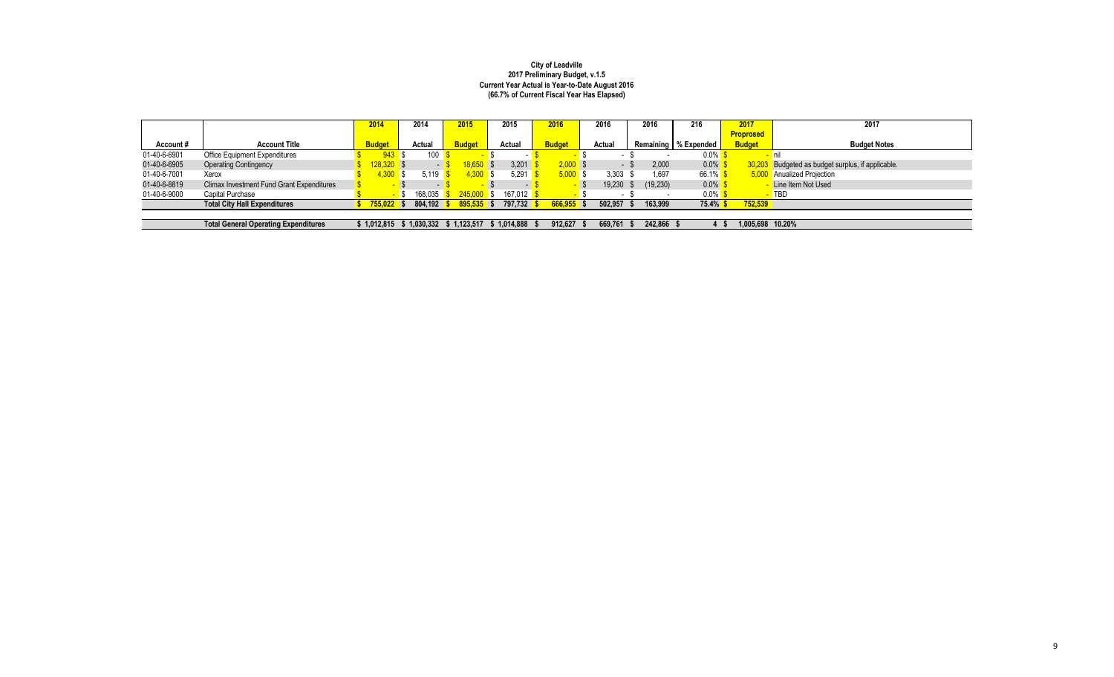|              |                                                  | 2014                    | 2014                   | 2015          | 2015              | 2016          | 2016   |         | 2016      | 216                    | 2017             | 2017                                       |
|--------------|--------------------------------------------------|-------------------------|------------------------|---------------|-------------------|---------------|--------|---------|-----------|------------------------|------------------|--------------------------------------------|
|              |                                                  |                         |                        |               |                   |               |        |         |           |                        | <b>Proprosed</b> |                                            |
| Account#     | <b>Account Title</b>                             | <b>Budget</b>           | Actual                 | <b>Budget</b> | Actual            | <b>Budget</b> | Actual |         |           | Remaining   % Expended | <b>Budget</b>    | <b>Budget Notes</b>                        |
| 01-40-6-6901 | <b>Office Equipment Expenditures</b>             |                         | 100<br>943 \$          |               |                   |               |        |         |           | $0.0\%$                |                  |                                            |
| 01-40-6-6905 | <b>Operating Contingency</b>                     | <mark>128,320</mark> \$ | $\sim$                 | 18,650 \$     | 3,201             | $2,000$ \$    |        |         | 2,000     | $0.0\%$                | 30.203           | Budgeted as budget surplus, if applicable. |
| 01-40-6-7001 | Xerox                                            | 1,300S                  | 5.119                  | $4,300$ \$    | 5,291             | $5,000$ \$    |        | 3,303   | 1,697     | $66.1\%$               |                  | 5,000 Anualized Projection                 |
| 01-40-6-8819 | <b>Climax Investment Fund Grant Expenditures</b> |                         | $\sim$                 |               | $\sim$            |               |        | 19,230  | (19, 230) | $0.0\%$                |                  | Line Item Not Used                         |
| 01-40-6-9000 | Capital Purchase                                 |                         | 168.035 <mark> </mark> | $245,000$ \$  | 167.012 <b>\$</b> |               |        |         |           | $0.0\%$                |                  | <b>TBD</b>                                 |
|              | <b>Total City Hall Expenditures</b>              | $755,022$ \$            | $804,192$ \$           | $895,535$ \$  | 797,732 \$        | $666,955$ \$  |        | 502,957 | 163,999   | 75.4%                  | 752,539          |                                            |
|              |                                                  |                         |                        |               |                   |               |        |         |           |                        |                  |                                            |
|              | <b>Total General Operating Expenditures</b>      | \$1,012,815             | \$1,030,332            | 1.123.517     | $$1,014,888$ \$   | 912,627       |        | 669,761 | 242,866   |                        | 1,005,698 10.20% |                                            |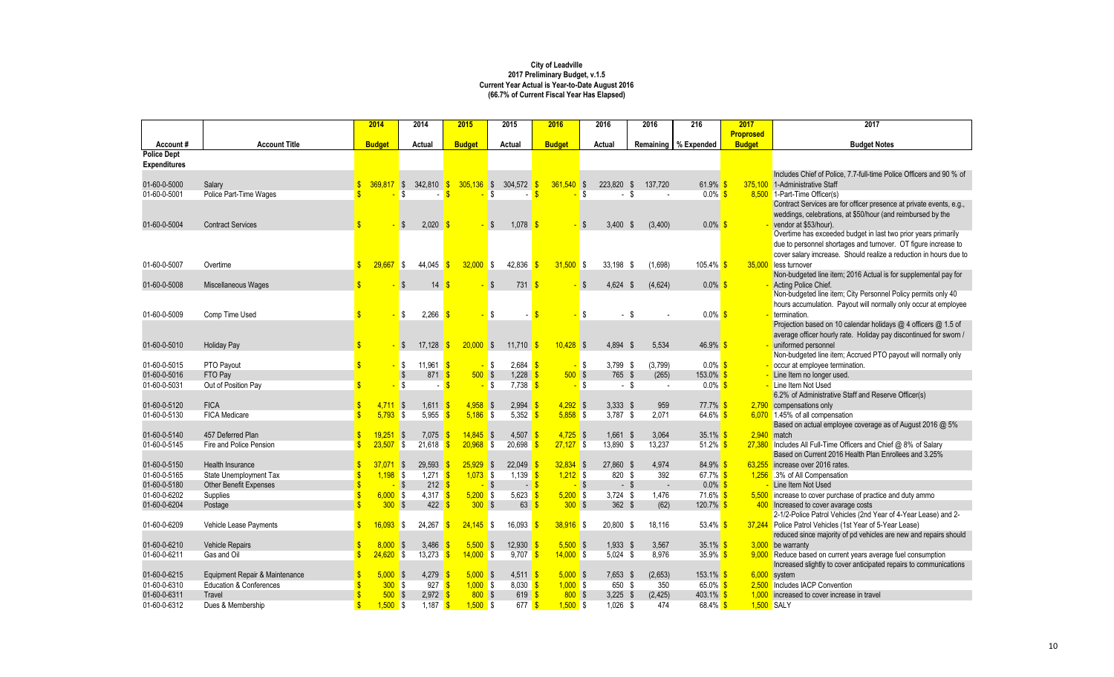|                              |                                            | 2014                        | 2014                                       | 2015                      | 2015                       | 2016                      | 2016                          | 2016         | 216                    | 2017             | 2017                                                                                          |
|------------------------------|--------------------------------------------|-----------------------------|--------------------------------------------|---------------------------|----------------------------|---------------------------|-------------------------------|--------------|------------------------|------------------|-----------------------------------------------------------------------------------------------|
|                              |                                            |                             |                                            |                           |                            |                           |                               |              |                        | <b>Proprosed</b> |                                                                                               |
| Account#                     | <b>Account Title</b>                       | <b>Budget</b>               | <b>Actual</b>                              | <b>Budget</b>             | <b>Actual</b>              | <b>Budget</b>             | Actual                        |              | Remaining   % Expended | <b>Budget</b>    | <b>Budget Notes</b>                                                                           |
| <b>Police Dept</b>           |                                            |                             |                                            |                           |                            |                           |                               |              |                        |                  |                                                                                               |
| <b>Expenditures</b>          |                                            |                             |                                            |                           |                            |                           |                               |              |                        |                  |                                                                                               |
| 01-60-0-5000                 |                                            | 369.817                     | 342,810 \$<br>IS.                          | $305,136$ \$              | 304,572 \$                 | $361,540$ \$              | 223,820 \$                    | 137,720      | 61.9% \$               | 375,100          | Includes Chief of Police, 7.7-full-time Police Officers and 90 % of<br>1-Administrative Staff |
| 01-60-0-5001                 | Salary<br>Police Part-Time Wages           |                             |                                            |                           |                            |                           | \$.                           | - \$         | $0.0\%$ \$             | 8,500            | 1-Part-Time Officer(s)                                                                        |
|                              |                                            |                             |                                            |                           |                            |                           |                               |              |                        |                  | Contract Services are for officer presence at private events, e.g.,                           |
|                              |                                            |                             |                                            |                           |                            |                           |                               |              |                        |                  | weddings, celebrations, at \$50/hour (and reimbursed by the                                   |
| 01-60-0-5004                 | <b>Contract Services</b>                   |                             | 2,020                                      |                           | $1,078$ \$<br>-S           |                           | $3,400$ \$<br>-S              | (3,400)      | $0.0\%$ \$             |                  | vendor at \$53/hour).                                                                         |
|                              |                                            |                             |                                            |                           |                            |                           |                               |              |                        |                  | Overtime has exceeded budget in last two prior years primarily                                |
|                              |                                            |                             |                                            |                           |                            |                           |                               |              |                        |                  | due to personnel shortages and turnover. OT figure increase to                                |
|                              |                                            |                             |                                            |                           |                            |                           |                               |              |                        |                  | cover salary imcrease. Should realize a reduction in hours due to                             |
| 01-60-0-5007                 | Overtime                                   | 29,667                      | 44,045<br>l S                              | $32,000$ \$               | 42,836 \$                  | $31,500$ \$               | $33,198$ \$                   | (1,698)      | 105.4% $$$             | 35,000           | less turnover                                                                                 |
|                              |                                            |                             |                                            |                           |                            |                           |                               |              |                        |                  | Non-budgeted line item; 2016 Actual is for supplemental pay for                               |
| 01-60-0-5008                 | Miscellaneous Wages                        |                             | 14                                         |                           | 731                        |                           | 4,624 \$<br>S.                | (4,624)      | $0.0\%$ \$             |                  | Acting Police Chief.                                                                          |
|                              |                                            |                             |                                            |                           |                            |                           |                               |              |                        |                  | Non-budgeted line item; City Personnel Policy permits only 40                                 |
|                              |                                            |                             |                                            |                           |                            |                           |                               |              |                        |                  | hours accumulation. Payout will normally only occur at employee                               |
| 01-60-0-5009                 | Comp Time Used                             |                             | 2,266<br>- \$                              |                           | -\$                        |                           | \$.                           | - \$         | $0.0\%$ \$             |                  | termination.<br>Projection based on 10 calendar holidays @ 4 officers @ 1.5 of                |
|                              |                                            |                             |                                            |                           |                            |                           |                               |              |                        |                  | average officer hourly rate. Holiday pay discontinued for sworn /                             |
| 01-60-0-5010                 | <b>Holiday Pay</b>                         |                             | 17,128<br>- \$                             | $20,000$ \$               | 11,710                     | $10,428$ \$               | 4,894 \$                      | 5,534        | 46.9% \$               |                  | uniformed personnel                                                                           |
|                              |                                            |                             |                                            |                           |                            |                           |                               |              |                        |                  | Non-budgeted line item; Accrued PTO payout will normally only                                 |
| 01-60-0-5015                 | PTO Payout                                 |                             | 11,961 $\frac{\text{S}}{\text{S}}$<br>- \$ |                           | 2,684<br><mark>-</mark> \$ |                           | 3,799 \$<br><mark>-</mark> \$ | (3,799)      | $0.0\%$ \$             |                  | occur at employee termination.                                                                |
| 01-60-0-5016                 | FTO Pay                                    |                             | $871$ \$                                   | $500$ \$                  | $1,228$ \$                 | $500$ \$                  | 765 \$                        | (265)        | 153.0% S               |                  | Line Item no longer used.                                                                     |
| 01-60-0-5031                 | Out of Position Pay                        |                             | -\$<br>$\sim$                              |                           | 7,738<br>- \$              |                           | <mark>–</mark> \$             | - \$         | $0.0\%$ \$             |                  | Line Item Not Used                                                                            |
|                              |                                            |                             |                                            |                           |                            |                           |                               |              |                        |                  | 6.2% of Administrative Staff and Reserve Officer(s)                                           |
| 01-60-0-5120                 | <b>FICA</b>                                | 4,711                       | 1,611<br>$\sqrt{S}$                        | $4,958$ \$                | 2,994                      | $4,292$ \$                | $3,333$ \$                    | 959          | $77.7\%$ \$            | 2,790            | compensations only                                                                            |
| 01-60-0-5130                 | <b>FICA Medicare</b>                       | $5,793$ \$                  | 5,955                                      | $5,186$ \$                | 5,352                      | $5,858$ \$                | $3,787$ \$                    | 2,071        | $64.6\%$ \$            |                  | 6,070 1.45% of all compensation                                                               |
|                              |                                            |                             |                                            |                           |                            |                           |                               |              |                        |                  | Based on actual employee coverage as of August 2016 @ 5%                                      |
| 01-60-0-5140                 | 457 Deferred Plan                          | 19,251                      | 7,075<br>l \$                              | $14,845$ \$               | 4,507 \$                   | $4,725$ \$                | $1,661$ \$                    | 3,064        | $35.1\%$ \$            |                  | $2,940$ match                                                                                 |
| 01-60-0-5145                 | Fire and Police Pension                    | $23,507$ \$                 | 21,618                                     | $20,968$ \$               | 20,698                     | $27,127$ \$               | 13,890 \$                     | 13,237       | 51.2% $$$              |                  | $27,380$ Includes All Full-Time Officers and Chief $@$ 8% of Salary                           |
|                              |                                            |                             |                                            |                           |                            |                           |                               |              |                        |                  | Based on Current 2016 Health Plan Enrollees and 3.25%                                         |
| 01-60-0-5150<br>01-60-0-5165 | Health Insurance<br>State Unemployment Tax | 37,071<br>$1,198$ \$        | 29,593<br>$\sqrt{S}$<br>1,271              | $25,929$ \$<br>$1,073$ \$ | 22,049<br>1,139            | $32,834$ \$<br>$1,212$ \$ | 27,860 \$<br>820 \$           | 4,974<br>392 | 84.9% \$<br>67.7% $$$  |                  | 63,255 increase over 2016 rates.<br>1,256 .3% of All Compensation                             |
| 01-60-0-5180                 | Other Benefit Expenses                     |                             | 212<br>\$                                  |                           | $\sqrt[6]{\frac{1}{2}}$    |                           | \$                            | $-$ \$       | $0.0\%$ \$             |                  | Line Item Not Used                                                                            |
| 01-60-0-6202                 | Supplies                                   | $6,000$ \$                  | 4,317 $\frac{1}{5}$                        | $5,200$ \$                | 5,623                      | $5,200$ \$                | $3,724$ \$                    | 1,476        | $71.6\%$ \$            |                  | 5,500 increase to cover purchase of practice and duty ammo                                    |
| 01-60-0-6204                 | Postage                                    | $300$ \$                    | 422                                        | $300$ \$                  | 63                         | $300$ \$                  | $362$ \$                      | (62)         | 120.7% \$              |                  | 400 Increased to cover avarage costs                                                          |
|                              |                                            |                             |                                            |                           |                            |                           |                               |              |                        |                  | 2-1/2-Police Patrol Vehicles (2nd Year of 4-Year Lease) and 2-                                |
| 01-60-0-6209                 | Vehicle Lease Payments                     | $16,093$ \$                 | 24,267                                     | $24,145$ \$               | 16,093                     | $38,916$ \$               | 20,800 \$                     | 18,116       | 53.4% $$$              |                  | 37,244 Police Patrol Vehicles (1st Year of 5-Year Lease)                                      |
|                              |                                            |                             |                                            |                           |                            |                           |                               |              |                        |                  | reduced since majority of pd vehicles are new and repairs should                              |
| 01-60-0-6210                 | Vehicle Repairs                            | $8,000$ \$                  | 3,486                                      | $5,500$ \$                | $12,930$ \$                | $5,500$ \$                | $1,933$ \$                    | 3,567        | 35.1% \$               |                  | $3,000$ be warranty                                                                           |
| 01-60-0-6211                 | Gas and Oil                                | $24,620$ \$                 | 13,273                                     | $14,000$ \$               | 9,707 \$                   | $14,000$ \$               | 5,024 \$                      | 8,976        | $35.9\%$ \$            |                  | 9,000 Reduce based on current years average fuel consumption                                  |
|                              |                                            |                             |                                            |                           |                            |                           |                               |              |                        |                  | Increased slightly to cover anticipated repairs to communications                             |
| 01-60-0-6215                 | Equipment Repair & Maintenance             | $5,000$ \$                  | 4,279                                      | $5,000$ \$                | $4,511$ \$                 | $5,000$ \$                | 7,653 \$                      | (2,653)      | 153.1% \$              |                  | $6,000$ system                                                                                |
| 01-60-0-6310                 | <b>Education &amp; Conferences</b>         | $300$ \$                    | 927                                        | $1,000$ \$                | $8,030$ \$                 | $1,000$ \$                | 650 \$                        | 350          | 65.0% $$$              |                  | 2,500 Includes IACP Convention                                                                |
| 01-60-0-6311                 | Travel                                     | $500$ \$                    | $2,972$ \$                                 | $800$ \$                  | $619$ \$                   | $800$ \$                  | $3,225$ \$                    | (2, 425)     | $403.1\%$ \$           |                  | 1,000 increased to cover increase in travel                                                   |
| 01-60-0-6312                 | Dues & Membership                          | $1,500$ \$<br>$\sqrt[6]{3}$ | 1,187 <mark>\$</mark>                      | $1,500$ \$                | 677 <sup>8</sup>           | $1,500$ \$                | $1,026$ \$                    | 474          | 68.4% $$$              |                  | 1,500 SALY                                                                                    |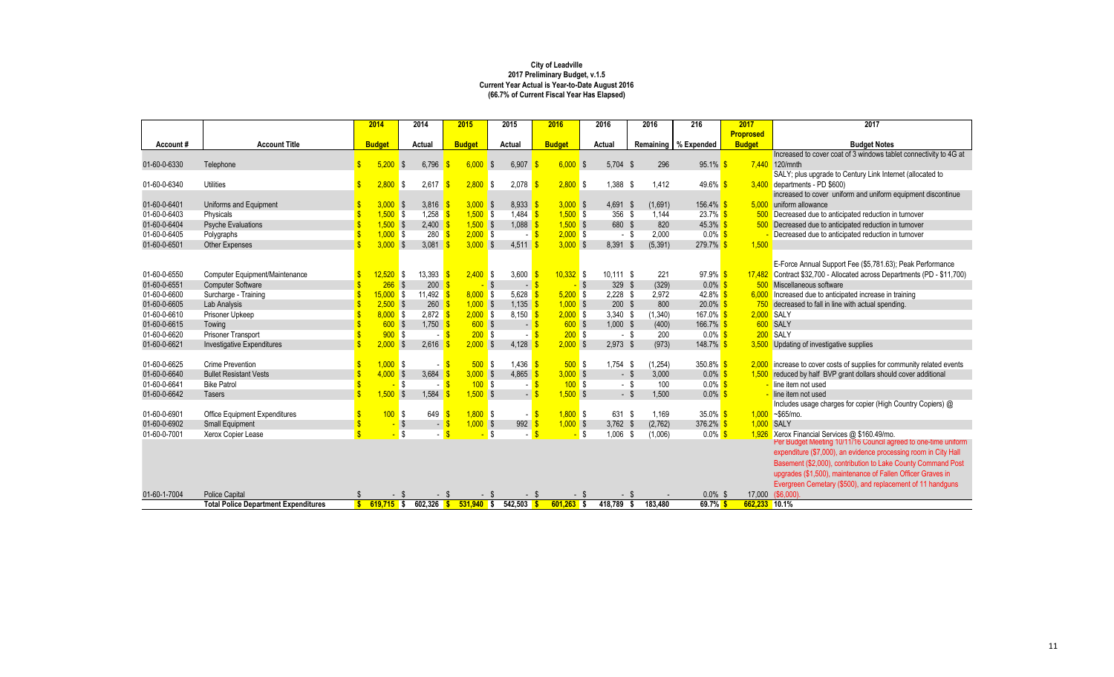|              |                                             | 2014               |              | 2014                       | 2015          | 2015          |                                 | 2016              | 2016        |        | 2016     | 216                    | 2017             | 2017                                                                                                      |
|--------------|---------------------------------------------|--------------------|--------------|----------------------------|---------------|---------------|---------------------------------|-------------------|-------------|--------|----------|------------------------|------------------|-----------------------------------------------------------------------------------------------------------|
|              |                                             |                    |              |                            |               |               |                                 |                   |             |        |          |                        | <b>Proprosed</b> |                                                                                                           |
| Account#     | <b>Account Title</b>                        | <b>Budget</b>      |              | <b>Actual</b>              | <b>Budget</b> | <b>Actual</b> |                                 | <b>Budget</b>     | Actual      |        |          | Remaining   % Expended | <b>Budget</b>    | <b>Budget Notes</b>                                                                                       |
|              |                                             |                    |              |                            |               |               |                                 |                   |             |        |          |                        |                  | Increased to cover coat of 3 windows tablet connectivity to 4G at                                         |
| 01-60-0-6330 | Telephone                                   | \$                 | 5,200        | 6,796<br>-\$               | 6,000         | \$            | 6,907                           | $6,000$ \$        | 5,704       | - \$   | 296      | 95.1%                  |                  | 7,440 120/mnth                                                                                            |
|              |                                             |                    |              |                            |               |               |                                 |                   |             |        |          |                        |                  | SALY; plus upgrade to Century Link Internet (allocated to                                                 |
| 01-60-0-6340 | <b>Utilities</b>                            |                    | 2,800        | <b>S</b><br>2,617          | $2,800$ \$    |               | 2,078                           | $2,800$ \$        | 1,388       | -S     | 1,412    | 49.6%                  |                  | $3,400$ departments - PD \$600)                                                                           |
|              |                                             |                    |              |                            |               |               |                                 |                   |             |        |          |                        |                  | increased to cover uniform and uniform equipment discontinue                                              |
| 01-60-0-6401 | Uniforms and Equipment                      |                    | $3,000$ \$   | 3,816                      | $3,000$ \$    |               | $8,933$ \$                      | $3,000$ \$        | 4,691 \$    |        | (1,691)  | $156.4\%$ \$           | 5,000            | uniform allowance                                                                                         |
| 01-60-0-6403 | Physicals                                   |                    | $1,500$ \$   | 1,258                      | $1,500$ \$    |               | 1,484 $\frac{\text{}}{\text{}}$ | $1,500$ \$        | 356 \$      |        | 1,144    | $23.7\%$ \$            |                  | Decreased due to anticipated reduction in turnover                                                        |
| 01-60-0-6404 | <b>Psyche Evaluations</b>                   |                    | $1,500$ \$   | 2,400                      | $1,500$ \$    |               | $1,088$ \$                      | $1,500$ \$        | 680 \$      |        | 820      | $45.3\%$ \$            |                  | 500 Decreased due to anticipated reduction in turnover                                                    |
| 01-60-0-6405 | Polygraphs                                  |                    | $1,000$ \$   | $280$ $\sqrt{\frac{6}{5}}$ | $2,000$ \$    |               | - <mark>\$</mark>               | $2,000$ \$        |             | - \$   | 2,000    | $0.0\%$ \$             |                  | Decreased due to anticipated reduction in turnover                                                        |
| 01-60-0-6501 | <b>Other Expenses</b>                       |                    | $3,000$ \$   | 3,081                      | $3,000$ \$    |               | 4,511                           | $3,000$ \$        | 8,391       | -S     | (5, 391) | 279.7%                 | 1,500            |                                                                                                           |
|              |                                             |                    |              |                            |               |               |                                 |                   |             |        |          |                        |                  |                                                                                                           |
|              |                                             |                    |              |                            |               |               |                                 |                   |             |        |          |                        |                  | E-Force Annual Support Fee (\$5,781.63); Peak Performance                                                 |
| 01-60-0-6550 | Computer Equipment/Maintenance              |                    | $12,520$ \$  | 13,393                     | $2,400$ \$    |               | 3,600                           | $10,332$ \$       | $10,111$ \$ |        | 221      | $97.9\%$ \$            | 17,482           | Contract \$32,700 - Allocated across Departments (PD - \$11,700)                                          |
| 01-60-0-6551 | <b>Computer Software</b>                    |                    | $266$ \$     | 200                        |               | $-$ \$        | $-$ \$                          | $-$ \$            | 329 \$      |        | (329)    | $0.0\%$ \$             |                  | 500 Miscellaneous software                                                                                |
| 01-60-0-6600 | Surcharge - Training                        |                    | $15,000$ \$  | 11,492                     | $8,000$ \$    |               | 5,628                           | $5,200$ \$        | $2,228$ \$  |        | 2,972    | 42.8% $$$              | 6.000            | Increased due to anticipated increase in training                                                         |
| 01-60-0-6605 | Lab Analysis                                |                    | $2,500$ \$   | 260 <sup>8</sup>           | $1,000$ \$    |               | $1,135$ \$                      | $1,000$ \$        | $200$ \$    |        | 800      | $20.0\%$ \$            |                  | 750 decreased to fall in line with actual spending.                                                       |
| 01-60-0-6610 | Prisoner Upkeep                             |                    | $8,000$ \$   | $2,872$ \$                 | $2,000$ \$    |               | $8,150$ \$                      | $2,000$ \$        | $3,340$ \$  |        | (1,340)  | 167.0% <sup>S</sup>    | 2,000 SALY       |                                                                                                           |
| 01-60-0-6615 | Towing                                      |                    | 600S         | $1,750$ \$                 | $600$ \$      |               | $-5$                            | $600$ \$          | $1,000$ \$  |        | (400)    | 166.7% \$              |                  | 600 SALY                                                                                                  |
| 01-60-0-6620 | Prisoner Transport                          |                    | $900$ \$     |                            | 200S          |               | - <mark>S</mark>                | $200$ \$          |             | $-$ \$ | 200      | $0.0\%$ \$             |                  | 200 SALY                                                                                                  |
| 01-60-0-6621 | <b>Investigative Expenditures</b>           |                    | $2,000$ \$   | 2,616                      | $2,000$ \$    |               | 4,128                           | $2,000$ \$        | $2,973$ \$  |        | (973)    | 148.7%                 | 3,500            | Updating of investigative supplies                                                                        |
|              |                                             |                    |              |                            |               |               |                                 |                   |             |        |          |                        |                  |                                                                                                           |
| 01-60-0-6625 | <b>Crime Prevention</b>                     |                    | $1,000$ \$   |                            | 500S          |               | 1,436 $\frac{1}{5}$             | $500$ \$          | $1,754$ \$  |        | (1, 254) | 350.8% \$              | 2,000            | increase to cover costs of supplies for community related events                                          |
| 01-60-0-6640 | <b>Bullet Resistant Vests</b>               | $\mathbf{\hat{S}}$ | $4,000$ \$   | 3,684                      | $3,000$ \$    |               | 4,865                           | $3,000$ \$        |             | $-$ \$ | 3,000    | $0.0\%$ \$             | 1,500            | reduced by half BVP grant dollars should cover additional                                                 |
| 01-60-0-6641 | <b>Bike Patrol</b>                          |                    |              | l\$                        | 100S          |               | $\blacksquare$                  | 100S              |             | - \$   | 100      | $0.0\%$ \$             |                  | line item not used                                                                                        |
| 01-60-0-6642 | <b>Tasers</b>                               |                    | $1,500$ \$   | 1,584                      | $1,500$ \$    |               | $-$ \$                          | $1,500$ \$        |             | $-$ \$ | 1,500    | $0.0\%$ \$             |                  | line item not used                                                                                        |
|              |                                             |                    |              |                            |               |               |                                 |                   |             |        |          |                        |                  | Includes usage charges for copier (High Country Copiers) @                                                |
| 01-60-0-6901 | <b>Office Equipment Expenditures</b>        |                    | 100S         | 649                        | $1,800$ \$    |               | $\sim$                          | $1,800$ \$        | 631 \$      |        | 1,169    | 35.0% $$$              |                  | $1,000 - $65$ /mo.                                                                                        |
| 01-60-0-6902 | <b>Small Equipment</b>                      |                    |              | $\sqrt[3]{}$<br>$\sim$     | $1,000$ \$    |               | $992$ \$                        | $1,000$ \$        | $3,762$ \$  |        | (2,762)  | 376.2% \$              | 1,000 SALY       |                                                                                                           |
| 01-60-0-7001 | Xerox Copier Lease                          |                    |              | <b>S</b>                   |               | S.            | $\sim$                          | <mark>-</mark> \$ | 1,006       | - \$   | (1,006)  | $0.0\%$ \$             | 1,926            | Xerox Financial Services @ \$160.49/mo.<br>Per Budget Meeting 10/11/16 Council agreed to one-time uniform |
|              |                                             |                    |              |                            |               |               |                                 |                   |             |        |          |                        |                  | expenditure (\$7,000), an evidence processing room in City Hall                                           |
|              |                                             |                    |              |                            |               |               |                                 |                   |             |        |          |                        |                  | Basement (\$2,000), contribution to Lake County Command Post                                              |
|              |                                             |                    |              |                            |               |               |                                 |                   |             |        |          |                        |                  | upgrades (\$1,500), maintenance of Fallen Officer Graves in                                               |
|              |                                             |                    |              |                            |               |               |                                 |                   |             |        |          |                        |                  |                                                                                                           |
|              |                                             |                    |              |                            |               |               |                                 |                   |             |        |          |                        |                  | Evergreen Cemetary (\$500), and replacement of 11 handguns                                                |
| 01-60-1-7004 | <b>Police Capital</b>                       |                    | - \$         |                            |               | - \$          | - \$                            | - 5               |             |        |          | $0.0\%$ \$             | 17,000           | (\$6,000)                                                                                                 |
|              | <b>Total Police Department Expenditures</b> | S                  | $619,715$ \$ | $602,326$ \$               | $531,940$ \$  |               | 542,503                         | $601,263$ \$      | 418,789     | \$     | 183,480  | $69.7\%$ \$            | 662,233          | 10.1%                                                                                                     |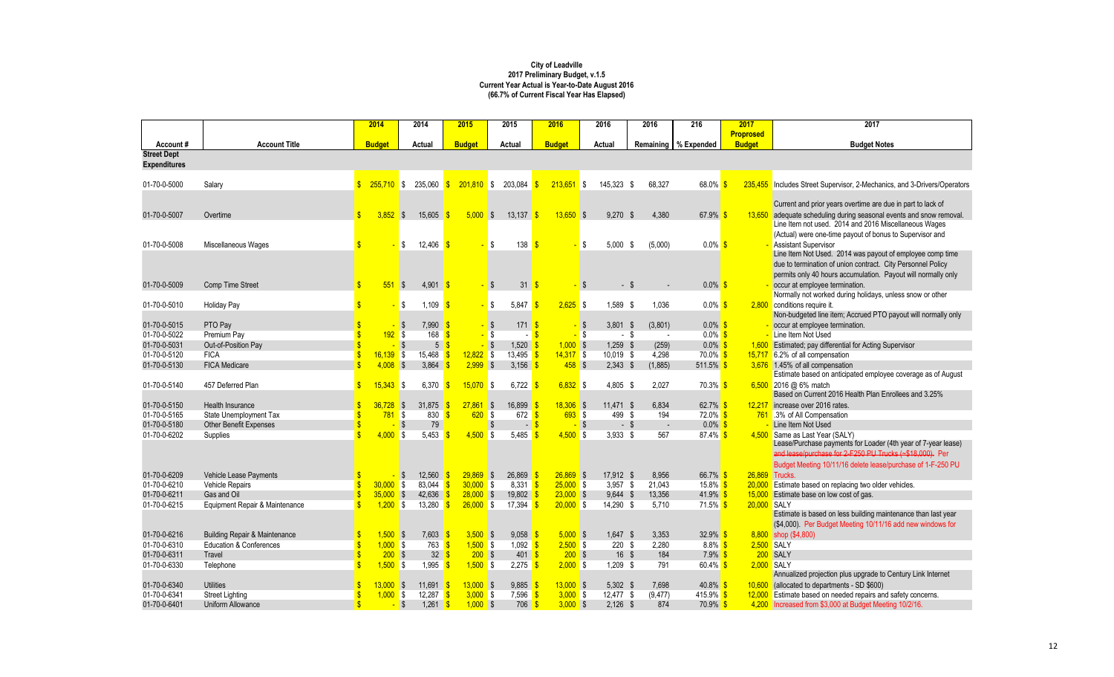|                              |                                          | 2014                   | 2014                         | 2015                   | 2015                                                | 2016                         | 2016                           | 2016              | 216                    | 2017             | 2017                                                                     |
|------------------------------|------------------------------------------|------------------------|------------------------------|------------------------|-----------------------------------------------------|------------------------------|--------------------------------|-------------------|------------------------|------------------|--------------------------------------------------------------------------|
|                              |                                          |                        |                              |                        |                                                     |                              |                                |                   |                        | <b>Proprosed</b> |                                                                          |
| Account#                     | <b>Account Title</b>                     | <b>Budget</b>          | Actual                       | <b>Budget</b>          | Actual                                              | <b>Budget</b>                | <b>Actual</b>                  |                   | Remaining   % Expended | <b>Budget</b>    | <b>Budget Notes</b>                                                      |
| <b>Street Dept</b>           |                                          |                        |                              |                        |                                                     |                              |                                |                   |                        |                  |                                                                          |
| <b>Expenditures</b>          |                                          |                        |                              |                        |                                                     |                              |                                |                   |                        |                  |                                                                          |
| 01-70-0-5000                 | Salary                                   | $255,710$ \$           | 235,060                      | $201,810$ \$<br>-SS    | 203,084                                             | $213,651$ \$<br>$\mathbb{S}$ | 145,323 \$                     | 68,327            | $68.0\%$               |                  | 235,455 Includes Street Supervisor, 2-Mechanics, and 3-Drivers/Operators |
|                              |                                          |                        |                              |                        |                                                     |                              |                                |                   |                        |                  | Current and prior years overtime are due in part to lack of              |
| 01-70-0-5007                 | Overtime                                 | $3,852$ \$             | 15,605                       | 5,000<br>$\sqrt{S}$    | $13,137$ \$                                         | $13,650$ \$                  | $9,270$ \$                     | 4,380             | 67.9% \$               | 13,650           | adequate scheduling during seasonal events and snow removal.             |
|                              |                                          |                        |                              |                        |                                                     |                              |                                |                   |                        |                  | Line Item not used. 2014 and 2016 Miscellaneous Wages                    |
|                              |                                          |                        |                              |                        |                                                     |                              |                                |                   |                        |                  | (Actual) were one-time payout of bonus to Supervisor and                 |
| 01-70-0-5008                 | Miscellaneous Wages                      |                        | 12,406<br><b>S</b>           |                        | 138<br>\$                                           | - \$                         | \$<br>5,000                    | \$<br>(5,000)     | $0.0\%$ \$             |                  | <b>Assistant Supervisor</b>                                              |
|                              |                                          |                        |                              |                        |                                                     |                              |                                |                   |                        |                  | Line Item Not Used. 2014 was payout of employee comp time                |
|                              |                                          |                        |                              |                        |                                                     |                              |                                |                   |                        |                  | due to termination of union contract. City Personnel Policy              |
|                              |                                          |                        |                              |                        |                                                     |                              |                                |                   |                        |                  | permits only 40 hours accumulation. Payout will normally only            |
| 01-70-0-5009                 | Comp Time Street                         | $551$ \$               | $4,901$ \$                   |                        | $31 \overline{\text{S}}$<br>$\sqrt[6]{\frac{1}{2}}$ |                              | $-$ \$                         |                   | $0.0\%$ \$             |                  | occur at employee termination.                                           |
|                              |                                          |                        |                              |                        |                                                     |                              |                                |                   |                        |                  | Normally not worked during holidays, unless snow or other                |
| 01-70-0-5010                 | <b>Holiday Pay</b>                       |                        | 1,109<br>S,                  |                        | 5,847<br>\$                                         | $2,625$ \$<br>- \$           | 1,589 \$                       | 1,036             | $0.0\%$ \$             | 2,800            | conditions require it.                                                   |
|                              |                                          |                        |                              |                        |                                                     |                              |                                |                   |                        |                  | Non-budgeted line item; Accrued PTO payout will normally only            |
| 01-70-0-5015                 | PTO Pay                                  |                        | $7,990$ \$<br>$\sqrt{S}$     | $\sqrt{3}$             | $171 - $$                                           |                              | $3,801$ \$<br><mark>-</mark> ა | (3,801)           | $0.0\%$ \$             |                  | occur at employee termination.                                           |
| 01-70-0-5022                 | Premium Pay                              | $192$ \$               | 168                          |                        | $\sqrt{3}$                                          | -\$                          | $-$ \$<br>- \$                 | $\sim$            | $0.0\%$ \$             |                  | Line Item Not Used                                                       |
| 01-70-0-5031                 | Out-of-Position Pay                      |                        | $\sqrt{3}$<br>5 <sup>5</sup> | $\sqrt{3}$             | $1,520$ \$                                          | $1,000$ \$                   | $1,259$ \$                     | (259)             | $0.0\%$ \$             |                  | Estimated; pay differential for Acting Supervisor                        |
| 01-70-0-5120                 | <b>FICA</b>                              | $16,139$ \$            | 15,468                       | $12,822$ \$            | 13,495 \$                                           | $14,317$ \$                  | 10,019 \$                      | 4,298             | $70.0\%$ \$            | 15,717           | 6.2% of all compensation                                                 |
| 01-70-0-5130                 | <b>FICA Medicare</b>                     | $4,008$ \$             | 3,864                        | $2,999$ \$             | 3,156 $\frac{1}{5}$                                 | $458$ \$                     | $2,343$ \$                     | (1,885)           | $511.5\%$ \$           |                  | 3,676 1.45% of all compensation                                          |
|                              |                                          |                        |                              |                        |                                                     |                              |                                |                   |                        |                  | Estimate based on anticipated employee coverage as of August             |
| 01-70-0-5140                 | 457 Deferred Plan                        | $15,343$ \$            | 6,370                        | $15,070$ \$            | 6,722                                               | $6,832$ \$                   | 4,805 \$                       | 2,027             | $70.3\%$ \$            |                  | $6,500$ 2016 @ 6% match                                                  |
|                              |                                          |                        |                              |                        |                                                     |                              |                                |                   |                        |                  | Based on Current 2016 Health Plan Enrollees and 3.25%                    |
| 01-70-0-5150                 | Health Insurance                         | $36,728$ \$            | 31,875                       | $27,861$ \$            | $16,899$ \$                                         | $18,306$ \$                  | $11,471$ \$                    | 6,834             | 62.7% \$               | 12,217           | increase over 2016 rates.                                                |
| 01-70-0-5165                 | <b>State Unemployment Tax</b>            | $781$ \$               | 830                          | $620$ \$               | 672                                                 | $693$ \$                     | 499 \$                         | 194               | $72.0\%$ \$            |                  | 761 .3% of All Compensation                                              |
| 01-70-0-5180                 | <b>Other Benefit Expenses</b>            |                        | 79                           |                        | \$<br>$\blacksquare$                                |                              | - \$<br>- \$                   | $\sim$            | $0.0\%$ \$             |                  | Line Item Not Used                                                       |
| 01-70-0-6202                 | Supplies                                 | $4,000$ \$             | 5,453                        | $4,500$ \$             | 5,485                                               | $4,500$ \$                   | $3,933$ \$                     | 567               | $87.4\%$ \$            |                  | 4,500 Same as Last Year (SALY)                                           |
|                              |                                          |                        |                              |                        |                                                     |                              |                                |                   |                        |                  | Lease/Purchase payments for Loader (4th year of 7-year lease)            |
|                              |                                          |                        |                              |                        |                                                     |                              |                                |                   |                        |                  | and lease/purchase for 2-F250 PU Trucks (~\$18,000). Per                 |
|                              |                                          |                        |                              |                        |                                                     |                              |                                |                   |                        |                  | Budget Meeting 10/11/16 delete lease/purchase of 1-F-250 PU              |
| 01-70-0-6209                 | Vehicle Lease Payments                   |                        | 12,560                       | $29,869$ \$            | 26,869                                              | $26,869$ \$                  | $17,912$ \$                    | 8,956             | 66.7% \$               | 26,869 Trucks.   |                                                                          |
| 01-70-0-6210                 | Vehicle Repairs                          | $30,000$ \$            | 83,044                       | $30,000$ \$            | 8,331 $\frac{\$}{\$}$                               | $25,000$ \$                  | $3,957$ \$                     | 21,043            | 15.8% <mark>\$</mark>  |                  | 20,000 Estimate based on replacing two older vehicles.                   |
| 01-70-0-6211                 | Gas and Oil                              | $35,000$ \$            | 42,636                       | $28,000$ \$            | 19,802 $\frac{1}{5}$                                | $23,000$ \$                  | $9,644$ \$                     | 13,356            | 41.9% $$$              |                  | 15,000 Estimate base on low cost of gas.                                 |
| 01-70-0-6215                 | Equipment Repair & Maintenance           | $1,200$ \$             | 13,280                       | $26,000$ \$            | 17,394 $\frac{1}{5}$                                | $20,000$ \$                  | 14,290 \$                      | 5,710             | $71.5\%$ \$            | 20,000 SALY      | Estimate is based on less building maintenance than last year            |
|                              |                                          |                        |                              |                        |                                                     |                              |                                |                   |                        |                  | (\$4,000). Per Budget Meeting 10/11/16 add new windows for               |
|                              |                                          |                        |                              |                        |                                                     |                              |                                |                   |                        |                  |                                                                          |
| 01-70-0-6216                 | <b>Building Repair &amp; Maintenance</b> | $1,500$ \$             | $7,603$ \$                   | $3,500$ \$             | $9,058$ \$                                          | $5,000$ \$                   | $1,647$ \$                     | 3,353             | $32.9\%$ \$            |                  | 8,800 shop (\$4,800)                                                     |
| 01-70-0-6310                 | <b>Education &amp; Conferences</b>       | $1,000$ \$<br>$200$ \$ | 763 <mark>\$</mark>          | $1,500$ \$<br>$200$ \$ | $1,092$ \$                                          | $2,500$ \$                   | $220$ \$                       | 2,280             | $8.8\%$ \$             | 2,500 SALY       | 200 SALY                                                                 |
| 01-70-0-6311<br>01-70-0-6330 | Travel                                   |                        | $32 \frac{1}{5}$             |                        | $401 \, \n\sqrt{\frac{5}{2}}$                       | $200$ \$                     | $16 \quad $$                   | 184<br>791        | $7.9\%$ \$             | 2,000 SALY       |                                                                          |
|                              | Telephone                                | $1,500$ \$             | 1,995                        | $1,500$ \$             | $2,275$ \$                                          | $2,000$ \$                   | $1,209$ \$                     |                   | 60.4% $$$              |                  | Annualized projection plus upgrade to Century Link Internet              |
| 01-70-0-6340                 | <b>Utilities</b>                         | $13,000$ \$            | 11,691 \$                    | $13,000$ \$            | $9,885$ \$                                          | $13,000$ \$                  |                                |                   | 40.8% $$$              |                  | 10,600 (allocated to departments - SD \$600)                             |
| 01-70-0-6341                 | <b>Street Lighting</b>                   | $1,000$ \$             | 12,287 \$                    | $3,000$ \$             | $7,596$ $\frac{\$}{\$}$                             | $3,000$ \$                   | $5,302$ \$<br>$12,477$ \$      | 7,698<br>(9, 477) | 415.9% \$              |                  | 12,000 Estimate based on needed repairs and safety concerns.             |
| 01-70-0-6401                 | Uniform Allowance                        |                        | $1,261$ \$<br>$-$ \$         | $1,000$ \$             | $706$ \$                                            | $3,000$ \$                   | $2,126$ \$                     | 874               | $70.9\%$ \$            |                  | 4,200 Increased from \$3,000 at Budget Meeting 10/2/16.                  |
|                              |                                          |                        |                              |                        |                                                     |                              |                                |                   |                        |                  |                                                                          |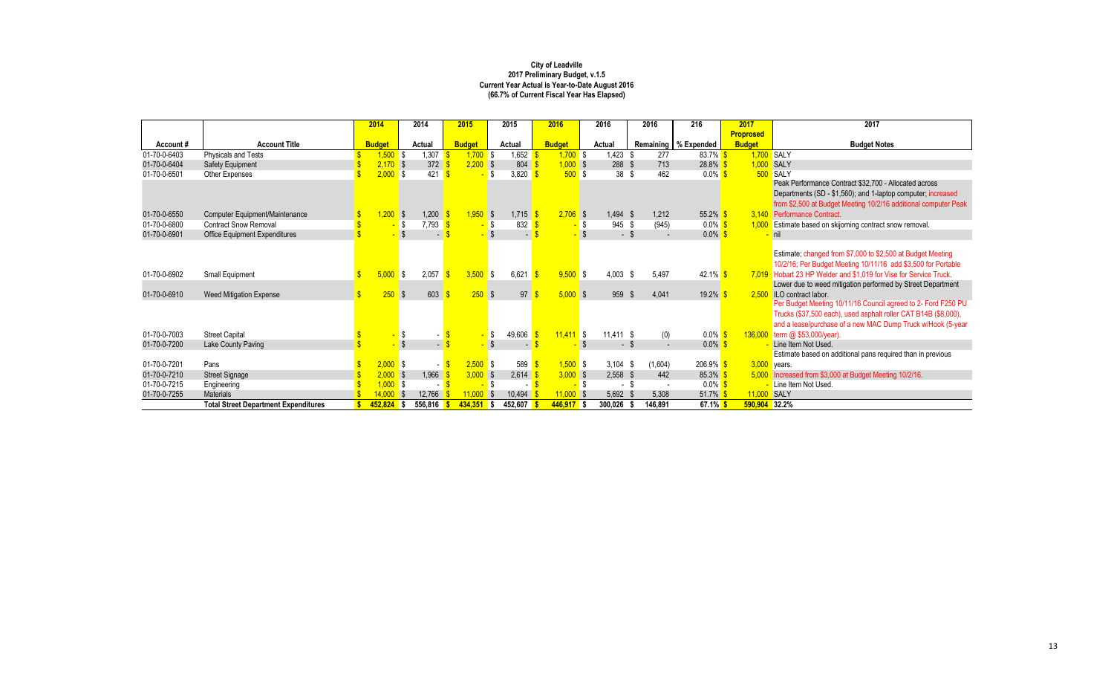|              |                                             | 2014                 | 2014                         |                          | 2015          | 2015           |                   | 2016          | 2016          | 2016                 | 216                    | 2017             | 2017                                                              |
|--------------|---------------------------------------------|----------------------|------------------------------|--------------------------|---------------|----------------|-------------------|---------------|---------------|----------------------|------------------------|------------------|-------------------------------------------------------------------|
|              |                                             |                      |                              |                          |               |                |                   |               |               |                      |                        | <b>Proprosed</b> |                                                                   |
| Account#     | <b>Account Title</b>                        | <b>Budget</b>        | <b>Actual</b>                |                          | <b>Budget</b> | <b>Actual</b>  |                   | <b>Budget</b> | <b>Actual</b> |                      | Remaining   % Expended | <b>Budget</b>    | <b>Budget Notes</b>                                               |
| 01-70-0-6403 | Physicals and Tests                         | $1,500$ \$           | 1,307                        |                          | 1,700         | l S            | 1,652             | $1,700$ \$    | 1,423         | 277                  | $83.7\%$ \$            |                  | 1,700 SALY                                                        |
| 01-70-0-6404 | <b>Safety Equipment</b>                     | $2,170$ \$           | 372                          |                          | 2,200         | $\sqrt{S}$     | 804               | $1,000$ \$    | 288           | 713<br><sup>\$</sup> | $28.8\%$               |                  | 1,000 SALY                                                        |
| 01-70-0-6501 | Other Expenses                              | $2,000$ \$           | 421                          |                          |               | \$             | 3,820             | 500S          | 38            | 462<br>- \$          | $0.0\%$                |                  | 500 SALY                                                          |
|              |                                             |                      |                              |                          |               |                |                   |               |               |                      |                        |                  | Peak Performance Contract \$32,700 - Allocated across             |
|              |                                             |                      |                              |                          |               |                |                   |               |               |                      |                        |                  | Departments (SD - \$1,560); and 1-laptop computer; increased      |
|              |                                             |                      |                              |                          |               |                |                   |               |               |                      |                        |                  | from \$2,500 at Budget Meeting 10/2/16 additional computer Peak   |
| 01-70-0-6550 | Computer Equipment/Maintenance              | <mark>,200</mark> \$ | 1,200                        |                          | $1,950$ \$    |                | $1,715$ \$        | $2,706$ \$    | 1,494         | 1,212<br>-S          | 55.2% \$               |                  | 3,140 Performance Contract.                                       |
| 01-70-0-6800 | <b>Contract Snow Removal</b>                |                      | 7,793 <mark> </mark><br>l \$ |                          |               | \$             | 832 $\frac{1}{5}$ |               | 945 \$        | (945)                | $0.0\%$ \$             | 1,000            | <b>Estimate based on skijorning contract snow removal.</b>        |
| 01-70-0-6901 | <b>Office Equipment Expenditures</b>        |                      |                              | $\overline{\phantom{0}}$ |               |                | $\sim$            |               | - \$          |                      | $0.0\%$ \$             |                  | nil                                                               |
|              |                                             |                      |                              |                          |               |                |                   |               |               |                      |                        |                  |                                                                   |
|              |                                             |                      |                              |                          |               |                |                   |               |               |                      |                        |                  | Estimate; changed from \$7,000 to \$2,500 at Budget Meeting       |
|              |                                             |                      |                              |                          |               |                |                   |               |               |                      |                        |                  | 10/2/16; Per Budget Meeting 10/11/16 add \$3,500 for Portable     |
| 01-70-0-6902 | Small Equipment                             | $5,000$ \$           | 2,057                        |                          | 3,500         | IS.            | 6,621             | $9,500$ \$    | $4,003$ \$    | 5,497                | 42.1%                  |                  | 7,019 Hobart 23 HP Welder and \$1,019 for Vise for Service Truck. |
|              |                                             |                      |                              |                          |               |                |                   |               |               |                      |                        |                  | Lower due to weed mitigation performed by Street Department       |
| 01-70-0-6910 | <b>Weed Mitigation Expense</b>              | $250$ \$             | 603                          |                          | $250$ \$      |                | 97                | $5,000$ \$    | 959           | 4,041<br>-SS         | 19.2%                  | 2.500            | <b>ILO</b> contract labor.                                        |
|              |                                             |                      |                              |                          |               |                |                   |               |               |                      |                        |                  | Per Budget Meeting 10/11/16 Council agreed to 2- Ford F250 PU     |
|              |                                             |                      |                              |                          |               |                |                   |               |               |                      |                        |                  | Trucks (\$37,500 each), used asphalt roller CAT B14B (\$8,000),   |
|              |                                             |                      |                              |                          |               |                |                   |               |               |                      |                        |                  | and a lease/purchase of a new MAC Dump Truck w/Hook (5-year       |
| 01-70-0-7003 | <b>Street Capital</b>                       |                      | \$                           |                          |               | \$             | 49,606            | $11,411$ \$   | $11,411$ \$   |                      | $0.0\%$<br>(0)         | 136,000          | term @ $$53,000/year$ ).                                          |
| 01-70-0-7200 | Lake County Paving                          |                      |                              |                          |               | $\mathfrak{L}$ | $\blacksquare$    |               | $-$ \$        |                      | $0.0\%$                |                  | Line Item Not Used.                                               |
|              |                                             |                      |                              |                          |               |                |                   |               |               |                      |                        |                  | Estimate based on additional pans required than in previous       |
| 01-70-0-7201 | Pans                                        | $2,000$ \$           |                              | $-$ \$                   | $2,500$ \$    |                | 589               | $1,500$ \$    | 3,104         | (1,604)<br>- \$      | 206.9%                 |                  | $3,000$ years.                                                    |
| 01-70-0-7210 | <b>Street Signage</b>                       | $2,000$ \$           | 1,966                        |                          | $3,000$ \$    |                | 2,614             | $3,000$ \$    | $2,558$ \$    | 442                  | 85.3%                  |                  | 5,000 Increased from \$3,000 at Budget Meeting 10/2/16.           |
| 01-70-0-7215 | Engineering                                 | $1,000$ \$           |                              |                          |               | -\$            |                   |               | $\sim$        |                      | $0.0\%$                |                  | Line Item Not Used.                                               |
| 01-70-0-7255 | <b>Materials</b>                            | 14,000               | 12,766<br>$\sqrt{S}$         |                          | 1,000         | l S            | 10,494            | $11,000$ \$   | 5,692         | 5,308                | 51.7%                  | 11,000           | SALY                                                              |
|              | <b>Total Street Department Expenditures</b> | $452,824$ \$         | 556,816                      |                          | $434,351$ \$  | 452,607        |                   | $446,917$ \$  | 300,026       | 146,891              | $67.1\%$ \$            | 590,904 32.2%    |                                                                   |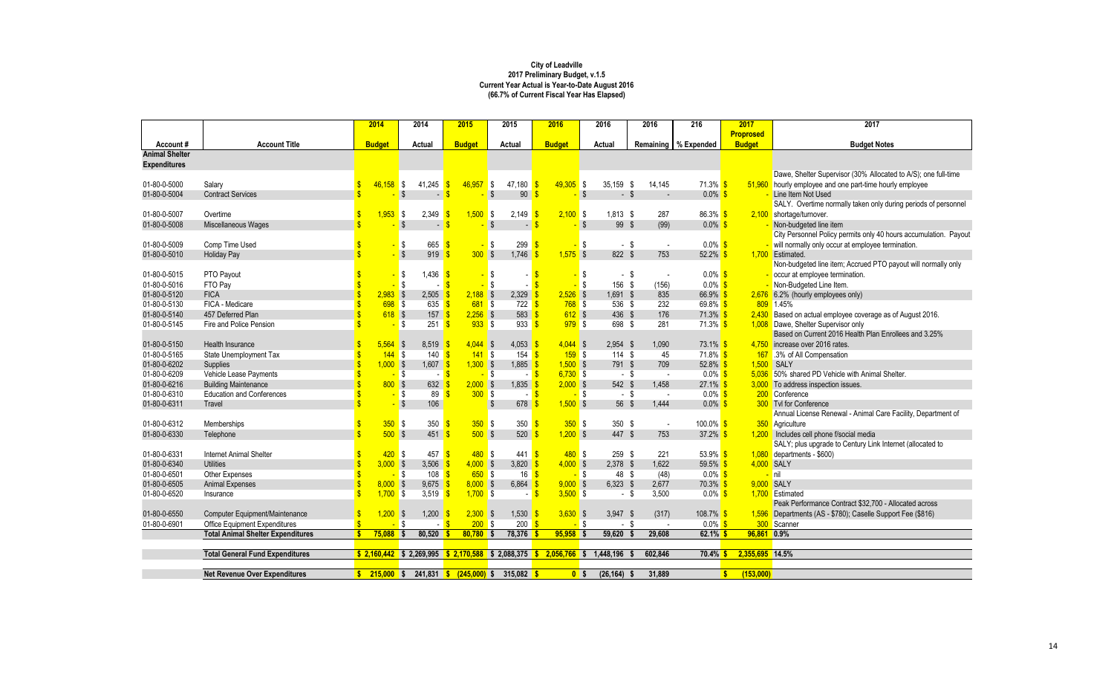|                              |                                          | 2014          | 2014                        | 2015                   | 2015                                                                | 2016          | 2016                        | 2016                            | 216                    | 2017                      | 2017                                                                                 |
|------------------------------|------------------------------------------|---------------|-----------------------------|------------------------|---------------------------------------------------------------------|---------------|-----------------------------|---------------------------------|------------------------|---------------------------|--------------------------------------------------------------------------------------|
|                              |                                          |               |                             |                        |                                                                     |               |                             |                                 |                        | <b>Proprosed</b>          |                                                                                      |
| Account#                     | <b>Account Title</b>                     | <b>Budget</b> | <b>Actual</b>               | <b>Budget</b>          | Actual                                                              | <b>Budget</b> | Actual                      |                                 | Remaining   % Expended | <b>Budget</b>             | <b>Budget Notes</b>                                                                  |
| <b>Animal Shelter</b>        |                                          |               |                             |                        |                                                                     |               |                             |                                 |                        |                           |                                                                                      |
| <b>Expenditures</b>          |                                          |               |                             |                        |                                                                     |               |                             |                                 |                        |                           |                                                                                      |
|                              |                                          |               |                             |                        |                                                                     |               |                             |                                 |                        |                           | Dawe, Shelter Supervisor (30% Allocated to A/S); one full-time                       |
| 01-80-0-5000                 | Salary                                   | 46,158        | 41,245<br>S.                | 46,957                 | 47,180<br>S,                                                        | $49,305$ \$   | $35,159$ \$                 | 14,145                          | $71.3\%$ \$            | 51,960                    | hourly employee and one part-time hourly employee                                    |
| 01-80-0-5004                 | <b>Contract Services</b>                 |               | -\$<br>$\sim$               |                        | 90<br>\$                                                            |               | $-$ \$<br>$-1$ \$           |                                 | $0.0\%$ \$             |                           | Line Item Not Used<br>SALY. Overtime normally taken only during periods of personnel |
|                              |                                          |               |                             |                        |                                                                     |               |                             |                                 |                        |                           |                                                                                      |
| 01-80-0-5007<br>01-80-0-5008 | Overtime                                 | 1,953         | $\sqrt{3}$<br>2,349<br>-\$  | 1,500                  | S S<br>2,149                                                        | $2,100$ \$    | $1,813$ \$<br>99 \$<br>l S  | 287                             | $86.3\%$ \$<br>$0.0\%$ |                           | 2,100 shortage/turnover.<br>Non-budgeted line item                                   |
|                              | Miscellaneous Wages                      |               | $\sim$ 1                    |                        | \$<br>$\sim$                                                        |               |                             | (99)                            |                        |                           | City Personnel Policy permits only 40 hours accumulation. Payout                     |
| 01-80-0-5009                 | Comp Time Used                           |               | 665<br>\$                   |                        | \$<br>299                                                           |               | $-$ \$<br><b>S</b>          |                                 | $0.0\%$ \$             |                           | - will normally only occur at employee termination.                                  |
| 01-80-0-5010                 | <b>Holiday Pay</b>                       |               | $\sqrt{3}$<br>919           | 300S                   | 1,746                                                               | $1,575$ \$    | 822 \$                      | $\overline{\phantom{a}}$<br>753 | 52.2%                  | 1,700                     | Estimated.                                                                           |
|                              |                                          |               |                             |                        |                                                                     |               |                             |                                 |                        |                           | Non-budgeted line item; Accrued PTO payout will normally only                        |
| 01-80-0-5015                 | PTO Payout                               |               | l,436 <mark>\$</mark><br>\$ |                        | \$                                                                  |               | $-$ \$<br>l S               |                                 | $0.0\%$ \$             |                           | occur at employee termination.                                                       |
| 01-80-0-5016                 | FTO Pay                                  |               | \$                          |                        | \$                                                                  |               | 156 \$<br><mark>-</mark> \$ | (156)                           | $0.0\%$ \$             |                           | - Non-Budgeted Line Item.                                                            |
| 01-80-0-5120                 | <b>FICA</b>                              | $2,983$ \$    | $2,505$ \$                  | $2,188$ \$             | 2,329                                                               | $2,526$ \$    | 1,691 \$                    | 835                             | $66.9\%$               | 2,676                     | 6.2% (hourly employees only)                                                         |
| 01-80-0-5130                 | FICA - Medicare                          | $698$ \$      | 635 $S$                     | $681$ \$               | $722$ \$                                                            | $768$ \$      | 536 \$                      | 232                             | $69.8\%$ \$            |                           | 809 1.45%                                                                            |
| 01-80-0-5140                 | 457 Deferred Plan                        | $618$ \$      | $157 - $$                   | $2,256$ \$             | 583                                                                 | $612$ \$      | 436 \$                      | 176                             | $71.3\%$               | 2,430                     | Based on actual employee coverage as of August 2016.                                 |
| 01-80-0-5145                 | Fire and Police Pension                  |               | \$<br>251                   | $933$ \$<br>$\sqrt{3}$ | 933                                                                 | $979$ \$      | 698 \$                      | 281                             | $71.3\%$ \$            |                           | 1,008 Dawe, Shelter Supervisor only                                                  |
|                              |                                          |               |                             |                        |                                                                     |               |                             |                                 |                        |                           | Based on Current 2016 Health Plan Enrollees and 3.25%                                |
| 01-80-0-5150                 | Health Insurance                         | $5,564$ \$    | $8,519$ \$                  | $4,044$ \$             | 4,053 \$                                                            | $4,044$ \$    | $2,954$ \$                  | 1,090                           | 73.1% \$               | 4,750                     | increase over 2016 rates.                                                            |
| 01-80-0-5165                 | State Unemployment Tax                   | $144$ \$      | $140$ $\sqrt{\frac{6}{5}}$  | $141$ \$               | $154$ $\sqrt{\frac{6}{5}}$                                          | $159$ \$      | $114$ \$                    | 45                              | $71.8\%$ \$            |                           | 167 3% of All Compensation                                                           |
| 01-80-0-6202                 | Supplies                                 | $1,000$ \$    | $1,607$ \$                  | $1,300$ \$             | 1,885                                                               | $1,500$ \$    | 791 \$                      | 709                             | $52.8\%$               | 1,500                     | SALY                                                                                 |
| 01-80-0-6209                 | Vehicle Lease Payments                   |               | -\$                         |                        | -\$                                                                 | $6,730$ \$    | - \$                        |                                 | $0.0\%$                | 5,036                     | 50% shared PD Vehicle with Animal Shelter.                                           |
| 01-80-0-6216                 | <b>Building Maintenance</b>              | $800$ \$      | $632 - $$                   | $2,000$ \$             | 1,835                                                               | $2,000$ \$    | 542 \$                      | 1,458                           | 27.1%                  | 3,000                     | To address inspection issues.                                                        |
| 01-80-0-6310                 | <b>Education and Conferences</b>         |               | 89<br>-\$                   | 300S                   |                                                                     |               | $-$ \$<br><mark>-</mark> \$ |                                 | $0.0\%$                |                           | 200 Conference                                                                       |
| 01-80-0-6311                 | Travel                                   |               | $\sqrt[6]{3}$<br>106        |                        | 678<br>\$                                                           | $1,500$ \$    | 56 \$                       | 1,444                           | $0.0\%$ \$             |                           | <b>300</b> Tvl for Conference                                                        |
|                              |                                          |               |                             |                        |                                                                     |               |                             |                                 |                        |                           | Annual License Renewal - Animal Care Facility, Department of                         |
| 01-80-0-6312                 | Memberships                              | $350$ \$      | 350 <sup>o</sup>            | $350$ \$               | 350                                                                 | $350$ \$      | 350 $$$                     | $\sim$                          | $100.0\%$ \$           |                           | 350 Agriculture                                                                      |
| 01-80-0-6330                 | Telephone                                | $500$ \$      | $451$ \$                    | $500$ \$               | 520                                                                 | $1,200$ \$    | 447 \$                      | 753                             | 37.2% \$               |                           | 1,200 Includes cell phone f/social media                                             |
|                              |                                          |               |                             |                        |                                                                     |               |                             |                                 |                        |                           | SALY; plus upgrade to Century Link Internet (allocated to                            |
| 01-80-0-6331                 | <b>Internet Animal Shelter</b>           | 420S          | 457 <sup>8</sup>            | 480S                   | 441                                                                 | $480$ \$      | 259 \$                      | 221                             | 53.9% $$$              | 1,080                     | departments - \$600)                                                                 |
| 01-80-0-6340                 | <b>Utilities</b>                         | $3,000$ \$    | 3,506 \$                    | $4,000$ \$             | 3,820                                                               | $4,000$ \$    | 2,378 \$                    | 1,622                           | 59.5%                  |                           | 4,000 SALY                                                                           |
| 01-80-0-6501                 | Other Expenses                           |               | 108 <sup>o</sup><br>\$      | 650S                   | 16                                                                  |               | 48 \$<br><mark>-</mark> \$  | (48)                            | $0.0\%$ \$             |                           | <mark>- </mark> nil                                                                  |
| 01-80-0-6505                 | <b>Animal Expenses</b>                   | $8,000$ \$    | $9,675$ \$                  | $8,000$ \$             | 6,864 $\frac{\$}{}$                                                 | $9,000$ \$    | $6,323$ \$                  | 2,677                           | $70.3\%$ \$            | 9,000 SALY                |                                                                                      |
| 01-80-0-6520                 | Insurance                                | $1,700$ \$    | 3,519 $\frac{\ }{\ }$       | $1,700$ \$             | $-$ \$                                                              | $3,500$ \$    |                             | 3,500<br>- \$                   | $0.0\%$ \$             |                           | 1,700 Estimated                                                                      |
|                              |                                          |               |                             |                        |                                                                     |               |                             |                                 |                        |                           | Peak Performance Contract \$32,700 - Allocated across                                |
| 01-80-0-6550                 | Computer Equipment/Maintenance           | $1,200$ \$    | $1,200$ \$                  | $2,300$ \$             | $1,530$ \$                                                          | $3,630$ \$    | $3,947$ \$                  | (317)                           | 108.7% \$              |                           | 1,596 Departments (AS - \$780); Caselle Support Fee (\$816)                          |
| 01-80-0-6901                 | <b>Office Equipment Expenditures</b>     |               | $-$ \$<br>$-$ \$            | $200$ \$               | $200 \frac{\text{S}}{\text{S}}$                                     |               | <mark>-</mark> \$<br>- \$   |                                 | $0.0\%$ \$             |                           | 300 Scanner                                                                          |
|                              | <b>Total Animal Shelter Expenditures</b> | $75,088$ \$   | $80,520$ \$                 | $80,780$ \$            | $78,376$ \$                                                         | $95,958$ \$   | $59,620$ \$                 | 29,608                          | $62.1\%$ \$            | 96,861 0.9%               |                                                                                      |
|                              |                                          |               |                             |                        |                                                                     |               |                             |                                 |                        |                           |                                                                                      |
|                              | <b>Total General Fund Expenditures</b>   |               |                             |                        | $$2,160,442$ \$ 2,269,995 \$ 2,170,588 \$ 2,088,375 \$ 2,056,766 \$ |               | 1,448,196                   | 602,846                         | $70.4\%$ \$            | 2,355,695 14.5%           |                                                                                      |
|                              |                                          |               |                             |                        |                                                                     |               |                             |                                 |                        |                           |                                                                                      |
|                              | <b>Net Revenue Over Expenditures</b>     |               |                             |                        |                                                                     |               | $(26, 164)$ \$<br>$0$ \$    | 31,889                          |                        | (153,000)<br>$\mathbf{s}$ |                                                                                      |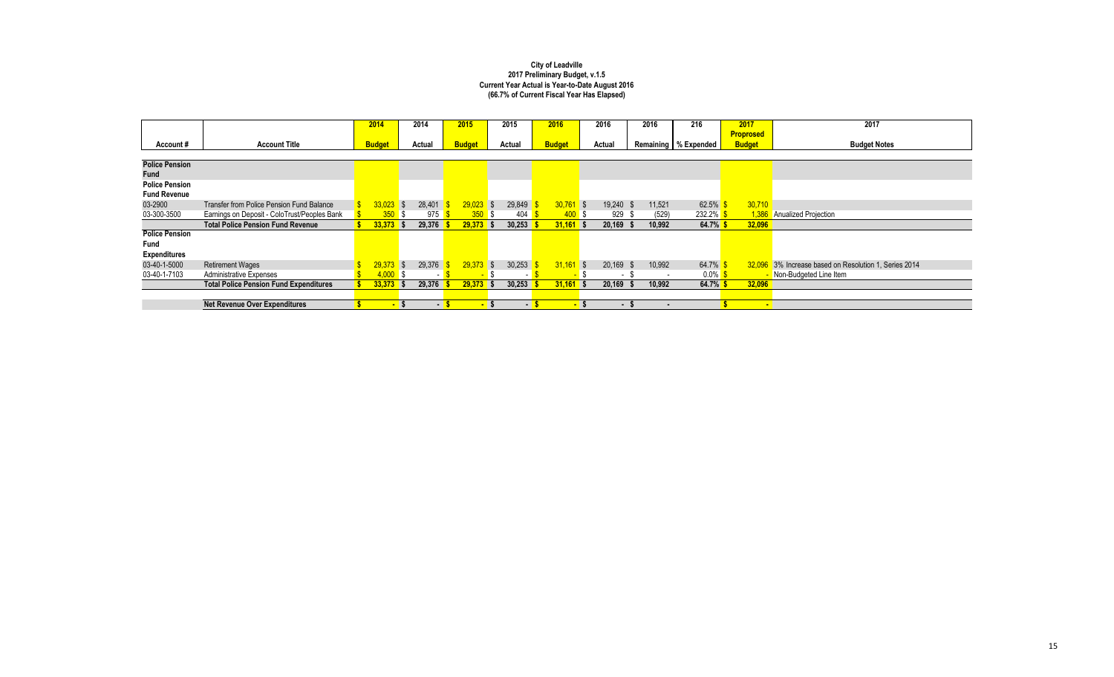|                       |                                               | 2014          |                          | 2014   | 2015          | 2015   | 2016          |                | 2016                     |      | 2016   | 216                    | 2017              | 2017                                           |
|-----------------------|-----------------------------------------------|---------------|--------------------------|--------|---------------|--------|---------------|----------------|--------------------------|------|--------|------------------------|-------------------|------------------------------------------------|
|                       |                                               |               |                          |        |               |        |               |                |                          |      |        |                        | <b>Proprosed</b>  |                                                |
| Account#              | <b>Account Title</b>                          | <b>Budget</b> |                          | Actual | <b>Budget</b> | Actual | <b>Budget</b> |                | <b>Actual</b>            |      |        | Remaining   % Expended | <b>Budget</b>     | <b>Budget Notes</b>                            |
|                       |                                               |               |                          |        |               |        |               |                |                          |      |        |                        |                   |                                                |
| <b>Police Pension</b> |                                               |               |                          |        |               |        |               |                |                          |      |        |                        |                   |                                                |
| <b>Fund</b>           |                                               |               |                          |        |               |        |               |                |                          |      |        |                        |                   |                                                |
| <b>Police Pension</b> |                                               |               |                          |        |               |        |               |                |                          |      |        |                        |                   |                                                |
| <b>Fund Revenue</b>   |                                               |               |                          |        |               |        |               |                |                          |      |        |                        |                   |                                                |
| 03-2900               | Transfer from Police Pension Fund Balance     | $33,023$ \$   |                          | 28,401 | $29,023$ \$   | 29,849 | $30,761$ \$   |                | 19,240                   | - \$ | 11,521 | 62.5%                  | 30,710            |                                                |
| 03-300-3500           | Earnings on Deposit - ColoTrust/Peoples Bank  | 350S          |                          | 975    | $350$ \$      | 404    |               | 400S           | 929                      |      | (529)  | 232.2%                 |                   | 1,386 Anualized Projection                     |
|                       | <b>Total Police Pension Fund Revenue</b>      | $33,373$ \$   |                          | 29,376 | $29,373$ \$   | 30,253 | $31,161$ \$   |                | 20,169                   |      | 10,992 | 64.7% \$               | 32,096            |                                                |
| <b>Police Pension</b> |                                               |               |                          |        |               |        |               |                |                          |      |        |                        |                   |                                                |
| Fund                  |                                               |               |                          |        |               |        |               |                |                          |      |        |                        |                   |                                                |
| <b>Expenditures</b>   |                                               |               |                          |        |               |        |               |                |                          |      |        |                        |                   |                                                |
| 03-40-1-5000          | <b>Retirement Wages</b>                       | 29,373        | $\overline{\phantom{a}}$ | 29,376 | $29,373$ \$   | 30,253 | $31,161$ \$   |                | 20,169                   | -S   | 10,992 | 64.7%                  | 32,096            | 3% Increase based on Resolution 1, Series 2014 |
| 03-40-1-7103          | <b>Administrative Expenses</b>                | $4,000$ \$    |                          |        | $\sim$        |        |               |                | $\overline{\phantom{a}}$ |      | $\sim$ | $0.0\%$ \$             |                   | Non-Budgeted Line Item                         |
|                       | <b>Total Police Pension Fund Expenditures</b> | $33,373$ \$   |                          | 29,376 | $29,373$ \$   | 30,253 | $31,161$ \$   |                | 20,169                   |      | 10,992 | 64.7% \$               | 32,096            |                                                |
|                       |                                               |               |                          |        |               |        |               |                |                          |      |        |                        |                   |                                                |
|                       | <b>Net Revenue Over Expenditures</b>          |               | $\blacksquare$           | $-5$   | - 5           | - S    |               | $\blacksquare$ | - 5                      |      | л.     |                        | <b>CONTRACTOR</b> |                                                |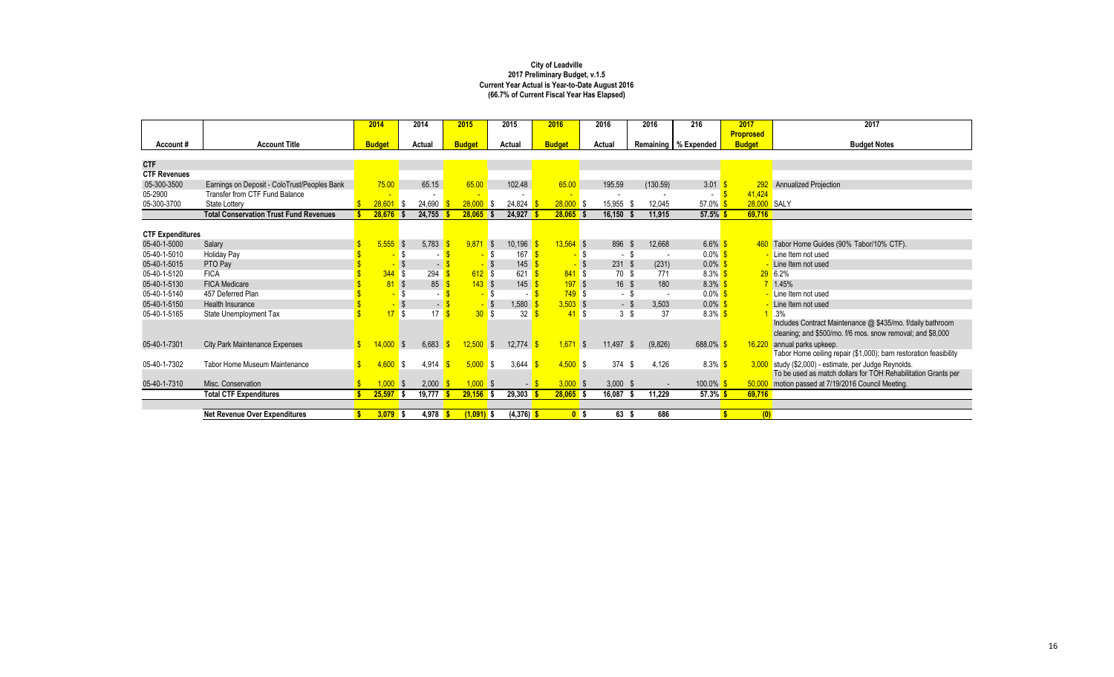|                         |                                               | 2014          |              | 2014   | 2015          |                          | 2015    | 2016          |              | 2016           | 2016            | 216                    | 2017             | 2017                                                              |
|-------------------------|-----------------------------------------------|---------------|--------------|--------|---------------|--------------------------|---------|---------------|--------------|----------------|-----------------|------------------------|------------------|-------------------------------------------------------------------|
|                         |                                               |               |              |        |               |                          |         |               |              |                |                 |                        | <b>Proprosed</b> |                                                                   |
| Account#                | <b>Account Title</b>                          | <b>Budget</b> |              | Actual | <b>Budget</b> |                          | Actual  | <b>Budget</b> |              | <b>Actual</b>  |                 | Remaining   % Expended | <b>Budget</b>    | <b>Budget Notes</b>                                               |
|                         |                                               |               |              |        |               |                          |         |               |              |                |                 |                        |                  |                                                                   |
| <b>CTF</b>              |                                               |               |              |        |               |                          |         |               |              |                |                 |                        |                  |                                                                   |
| <b>CTF Revenues</b>     |                                               |               |              |        |               |                          |         |               |              |                |                 |                        |                  |                                                                   |
| 05-300-3500             | Earnings on Deposit - ColoTrust/Peoples Bank  | 75.00         |              | 65.15  | 65.00         |                          | 102.48  | 65.00         |              | 195.59         | (130.59)        | 3.01                   |                  | Annualized Projection                                             |
| 05-2900                 | Transfer from CTF Fund Balance                |               |              |        |               |                          |         |               |              |                |                 | $\blacksquare$         | 41,424           |                                                                   |
| 05-300-3700             | <b>State Lottery</b>                          | 28,601        | l S          | 24,690 | 28,000        | -\$                      | 24,824  | $28,000$ \$   |              | 15,955         | 12,045          | $57.0\%$               | 28,000 SALY      |                                                                   |
|                         | <b>Total Conservation Trust Fund Revenues</b> | 28,676        |              | 24,755 | 28,065        |                          | 24,927  | $28,065$ \$   |              | 16,150         | 11,915          | $57.5\%$               | 69,716           |                                                                   |
|                         |                                               |               |              |        |               |                          |         |               |              |                |                 |                        |                  |                                                                   |
| <b>CTF Expenditures</b> |                                               |               |              |        |               |                          |         |               |              |                |                 |                        |                  |                                                                   |
| 05-40-1-5000            | Salary                                        | $5,555$ \$    |              | 5,783  | $9,871$ \$    |                          | 10,196  | $13,564$ \$   |              | 896            | 12,668<br>- \$  | 6.6% $$$               |                  | 460 Tabor Home Guides (90% Tabor/10% CTF).                        |
| 05-40-1-5010            | <b>Holiday Pay</b>                            |               | -S           |        |               |                          | 167     |               | - \$         | - \$           |                 | $0.0\%$ \$             |                  | - Line Item not used                                              |
| 05-40-1-5015            | PTO Pay                                       |               |              |        |               |                          | 145     |               | -S           | 231            | (231)<br>- \$   | $0.0\%$ \$             |                  | Line Item not used                                                |
| 05-40-1-5120            | <b>FICA</b>                                   | $344$ \$      |              | 294    | $612$ \$      |                          | 621     | $841$ \$      |              | 70 \$          | 771             | $8.3\%$ \$             |                  | $29$ 6.2%                                                         |
| 05-40-1-5130            | <b>FICA Medicare</b>                          |               | $\sqrt$      | 85     | $143$ \$      |                          | 145     | 197S          |              | $16 \quad$     | 180             | $8.3\%$ \$             |                  | $7 \t1.45%$                                                       |
| 05-40-1-5140            | 457 Deferred Plan                             |               | \$           |        |               | -\$                      |         | 749S          |              | - \$           | $\sim$          | $0.0\%$ \$             |                  | <mark>- Line Item not used</mark>                                 |
| 05-40-1-5150            | Health Insurance                              |               | $\sqrt{3}$   | $\sim$ |               | - \$                     | 1,580   | $3,503$ \$    |              | - \$           | 3,503           | $0.0\%$ \$             |                  | Line Item not used                                                |
| 05-40-1-5165            | State Unemployment Tax                        | 17S           |              | 17     |               | 30S                      | 32      | 41S           |              | 3 <sup>5</sup> | 37              | $8.3\%$ \$             |                  | 3%                                                                |
|                         |                                               |               |              |        |               |                          |         |               |              |                |                 |                        |                  | Includes Contract Maintenance @ \$435/mo. f/daily bathroom        |
|                         |                                               |               |              |        |               |                          |         |               |              |                |                 |                        |                  | cleaning; and \$500/mo. f/6 mos. snow removal; and \$8,000        |
| 05-40-1-7301            | <b>City Park Maintenance Expenses</b>         | 14.000        | $\mathsf{S}$ | 6,683  | 12,500        | $\overline{\phantom{a}}$ | 12,774  | 1,671         | $\mathsf{S}$ | 11,497         | (9,826)<br>- \$ | $688.0\%$              | 16,220           | annual parks upkeep.                                              |
|                         |                                               |               |              |        |               |                          |         |               |              |                |                 |                        |                  | Tabor Home ceiling repair (\$1,000); barn restoration feasibility |
| 05-40-1-7302            | <b>Tabor Home Museum Maintenance</b>          | 4,600         | l \$         | 4,914  | 5.000 S       |                          | 3,644   | $4,500$ \$    |              | 374            | 4,126<br>- \$   | $8.3\%$ \$             |                  | 3,000 study (\$2,000) - estimate, per Judge Reynolds.             |
|                         |                                               |               |              |        |               |                          |         |               |              |                |                 |                        |                  | To be used as match dollars for TOH Rehabilitation Grants per     |
| 05-40-1-7310            | Misc. Conservation                            | 1,000         | $\mathsf{S}$ | 2,000  | $1,000$ \$    |                          |         | $3,000$ \$    |              | $3,000$ \$     |                 | $100.0\%$ \$           | 50,000           | motion passed at 7/19/2016 Council Meeting.                       |
|                         | <b>Total CTF Expenditures</b>                 | 25,597        | l S          | 19,777 | 29,156        |                          | 29,303  | $28,065$ \$   |              | 16,087         | 11,229          | $57.3\%$ \$            | 69,716           |                                                                   |
|                         |                                               |               |              |        |               |                          |         |               |              |                |                 |                        |                  |                                                                   |
|                         | <b>Net Revenue Over Expenditures</b>          | $3,079$ \$    |              | 4,978  | $(1,091)$ \$  |                          | (4,376) | $0$ \$        |              | 63 \$          | 686             |                        | (0)              |                                                                   |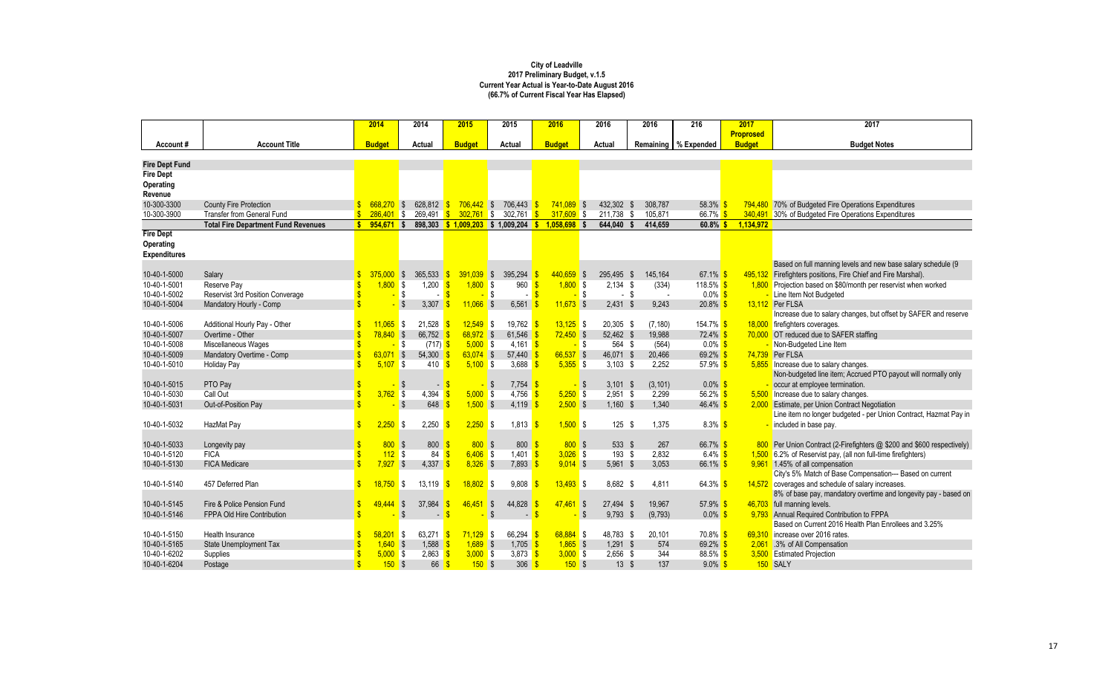|                              |                                            | 2014           | 2014                   |               | 2015                                 | 2015           |                     | 2016           |                   | 2016            | 2016            | 216                    | 2017             | 2017                                                                                                   |
|------------------------------|--------------------------------------------|----------------|------------------------|---------------|--------------------------------------|----------------|---------------------|----------------|-------------------|-----------------|-----------------|------------------------|------------------|--------------------------------------------------------------------------------------------------------|
|                              |                                            |                |                        |               |                                      |                |                     |                |                   |                 |                 |                        | <b>Proprosed</b> |                                                                                                        |
| Account#                     | <b>Account Title</b>                       | <b>Budget</b>  | <b>Actual</b>          |               | <b>Budget</b>                        | <b>Actual</b>  |                     | <b>Budget</b>  |                   | <b>Actual</b>   |                 | Remaining   % Expended | <b>Budget</b>    | <b>Budget Notes</b>                                                                                    |
| <b>Fire Dept Fund</b>        |                                            |                |                        |               |                                      |                |                     |                |                   |                 |                 |                        |                  |                                                                                                        |
| <b>Fire Dept</b>             |                                            |                |                        |               |                                      |                |                     |                |                   |                 |                 |                        |                  |                                                                                                        |
| <b>Operating</b>             |                                            |                |                        |               |                                      |                |                     |                |                   |                 |                 |                        |                  |                                                                                                        |
| Revenue                      |                                            |                |                        |               |                                      |                |                     |                |                   |                 |                 |                        |                  |                                                                                                        |
| 10-300-3300                  | <b>County Fire Protection</b>              | $668,270$ \$   | 628,812                |               | $706,442$ \$                         |                | 706,443             | $741,089$ \$   |                   | 432,302         | 308,787         | 58.3%                  | 794,480          | 70% of Budgeted Fire Operations Expenditures                                                           |
| 10-300-3900                  | <b>Transfer from General Fund</b>          | $286,401$ \$   | 269,491                |               | 302,761                              | $\blacksquare$ | 302,761             | $317,609$ \$   |                   | 211,738         | 105,871         | 66.7% \$               | 340,491          | 30% of Budgeted Fire Operations Expenditures                                                           |
|                              | <b>Total Fire Department Fund Revenues</b> | 954,671        | <b>S</b>               |               | 898,303 \$ 1,009,203 \$ 1,009,204 \$ |                |                     | $1,058,698$ \$ |                   | 644,040         | 414,659         | $60.8\%$ \$            | 1,134,972        |                                                                                                        |
| <b>Fire Dept</b>             |                                            |                |                        |               |                                      |                |                     |                |                   |                 |                 |                        |                  |                                                                                                        |
| <b>Operating</b>             |                                            |                |                        |               |                                      |                |                     |                |                   |                 |                 |                        |                  |                                                                                                        |
| <b>Expenditures</b>          |                                            |                |                        |               |                                      |                |                     |                |                   |                 |                 |                        |                  |                                                                                                        |
|                              |                                            |                |                        |               |                                      |                |                     |                |                   |                 |                 |                        |                  | Based on full manning levels and new base salary schedule (9                                           |
| 10-40-1-5000                 | Salary                                     | 375,000        | 365,533<br><b>S</b>    |               | $391,039$ \$                         |                | 395,294             | $440,659$ \$   |                   | 295,495 \$      | 145,164         | 67.1% \$               | 495,132          | Firefighters positions, Fire Chief and Fire Marshal).                                                  |
| 10-40-1-5001                 | Reserve Pay                                | 1,800          | 1,200<br><b>S</b>      |               | $1,800$ \$                           |                | 960                 | $1,800$ \$     |                   | $2,134$ \$      | (334)           | 118.5% \$              |                  | 1,800 Projection based on \$80/month per reservist when worked                                         |
| 10-40-1-5002                 | <b>Reservist 3rd Position Converage</b>    |                | -\$                    |               |                                      | -\$            | $\blacksquare$      |                | <mark>-</mark> \$ | - \$            |                 | $0.0\%$ \$             |                  | Line Item Not Budgeted                                                                                 |
| 10-40-1-5004                 | Mandatory Hourly - Comp                    |                | 3,307                  |               | $11,066$ \$                          |                | 6,561               | $11,673$ \$    |                   | $2,431$ \$      | 9,243           | $20.8\%$ \$            |                  | 13,112 Per FLSA                                                                                        |
|                              |                                            |                |                        |               |                                      |                |                     |                |                   |                 |                 |                        |                  | Increase due to salary changes, but offset by SAFER and reserve                                        |
| 10-40-1-5006                 | Additional Hourly Pay - Other              | $11,065$ \$    | 21,528                 |               | $12,549$ \$                          |                | 19,762              | $13,125$ \$    |                   | 20,305 \$       | (7, 180)        | 154.7% \$              | 18,000           | firefighters coverages.                                                                                |
| 10-40-1-5007                 | Overtime - Other                           | $78,840$ \$    | 66,752                 |               | $68,972$ \$                          |                | 61,546              | $72,450$ \$    |                   | 52,462 \$       | 19,988          | $72.4\%$ \$            | 70,000           | OT reduced due to SAFER staffing                                                                       |
| 10-40-1-5008                 | Miscellaneous Wages                        |                | (717)<br><b>S</b>      |               | $5,000$ \$                           |                | 4,161               |                | <mark>-</mark> \$ | 564 \$          | (564)           | $0.0\%$ \$             |                  | - Non-Budgeted Line Item                                                                               |
| 10-40-1-5009<br>10-40-1-5010 | Mandatory Overtime - Comp                  | 63,071         | $\sqrt{3}$<br>54,300   |               | $63,074$ \$                          |                | 57,440              | $66,537$ \$    |                   | 46,071 \$       | 20,466<br>2,252 | 69.2% \$               |                  | 74,739 Per FLSA                                                                                        |
|                              | <b>Holiday Pay</b>                         | $5,107$ \$     | 410                    |               | $5,100$ \$                           |                | 3,688               | $5,355$ \$     |                   | $3,103$ \$      |                 | 57.9% $$$              |                  | 5,855 Increase due to salary changes.<br>Non-budgeted line item; Accrued PTO payout will normally only |
| 10-40-1-5015                 | PTO Pay                                    |                | -9                     |               | - \$                                 |                | 7,754               |                | - \$              | $3,101$ \$      | (3, 101)        | $0.0\%$ \$             |                  | occur at employee termination.                                                                         |
| 10-40-1-5030                 | Call Out                                   | $3,762$ \$     | 4,394                  |               | $5,000$ \$                           |                | 4,756               | $5,250$ \$     |                   | $2,951$ \$      | 2,299           | 56.2% \$               |                  | 5,500 Increase due to salary changes.                                                                  |
| 10-40-1-5031                 | Out-of-Position Pay                        |                | 648<br>\$              |               | $1,500$ \$                           |                | 4,119               | $2,500$ \$     |                   | $1,160$ \$      | 1,340           | 46.4% \$               | 2,000            | <b>Estimate, per Union Contract Negotiation</b>                                                        |
|                              |                                            |                |                        |               |                                      |                |                     |                |                   |                 |                 |                        |                  | Line item no longer budgeted - per Union Contract, Hazmat Pay in                                       |
| 10-40-1-5032                 | HazMat Pay                                 | 2,250          | 2,250<br>I\$           |               | 2,250                                | $\sqrt{3}$     | 1,813               | $1,500$ \$     |                   | $125$ \$        | 1,375           | $8.3\%$ \$             |                  | included in base pay.                                                                                  |
|                              |                                            |                |                        |               |                                      |                |                     |                |                   |                 |                 |                        |                  |                                                                                                        |
| 10-40-1-5033                 | Longevity pay                              | 800            | 800<br>$\sqrt{3}$      |               | $800$ \$                             |                | 800                 | $800$ \$       |                   | 533 \$          | 267             | 66.7% \$               |                  | 800 Per Union Contract (2-Firefighters @ \$200 and \$600 respectively)                                 |
| 10-40-1-5120                 | <b>FICA</b>                                | $112$ \$       | 84                     |               | $6,406$ \$                           |                | 1,401               | $3,026$ \$     |                   | $193$ \$        | 2,832           | 6.4% $$$               | 1,500            | 6.2% of Reservist pay, (all non full-time firefighters)                                                |
| 10-40-1-5130                 | <b>FICA Medicare</b>                       | $7,927$ \$     | 4,337                  |               | $8,326$ \$                           |                | 7,893               | $9,014$ \$     |                   | 5,961 \$        | 3,053           | 66.1% \$               |                  | 9,961 1.45% of all compensation                                                                        |
|                              |                                            |                |                        |               |                                      |                |                     |                |                   |                 |                 |                        |                  | City's 5% Match of Base Compensation--- Based on current                                               |
| 10-40-1-5140                 | 457 Deferred Plan                          | $18,750$ \$    | 13,119                 | $\sqrt{3}$    | $18.802$ \$                          |                | 9,808               | $13,493$ \$    |                   | 8,682           | 4,811<br>-\$    | 64.3% $$$              | 14,572           | coverages and schedule of salary increases.                                                            |
|                              |                                            |                |                        |               |                                      |                |                     |                |                   |                 |                 |                        |                  | 8% of base pay, mandatory overtime and longevity pay - based on                                        |
| 10-40-1-5145                 | Fire & Police Pension Fund                 | $49,444$ \$    | 37,984 $\frac{\$}{}$   |               | $46,451$ \$                          |                | 44,828 \$           | $47,461$ \$    |                   | 27,494 \$       | 19,967          | 57.9% $$$              |                  | 46,703 full manning levels.                                                                            |
| 10-40-1-5146                 | FPPA Old Hire Contribution                 |                | - \$                   | $-5$          |                                      | -\$            | $-13$               |                | $-$ \$            | $9,793$ \$      | (9, 793)        | $0.0\%$ \$             | 9,793            | Annual Required Contribution to FPPA                                                                   |
|                              |                                            |                |                        |               |                                      |                |                     |                |                   |                 |                 |                        |                  | Based on Current 2016 Health Plan Enrollees and 3.25%                                                  |
| 10-40-1-5150                 | Health Insurance                           | $58,201$ \$    | 63,271                 |               | $71,129$ \$                          |                | $66,294$ \$         | $68,884$ \$    |                   | 48,783 \$       | 20,101          | $70.8\%$ \$            |                  | 69,310 increase over 2016 rates.                                                                       |
| 10-40-1-5165                 | <b>State Unemployment Tax</b>              | $1,640$ \$     | 1,588                  |               | $1,689$ \$                           |                | $1,705$ \$          | $1,865$ \$     |                   | $1,291$ \$      | 574             | 69.2% \$               |                  | 2,061 .3% of All Compensation                                                                          |
| 10-40-1-6202                 | Supplies                                   | $5,000$ \$     | $2,863$ $\frac{\ }{5}$ |               | $3,000$ \$                           |                | 3,873 $\frac{1}{5}$ | $3,000$ \$     |                   | 2,656 \$        | 344             | 88.5% $$$              |                  | 3,500 Estimated Projection                                                                             |
| 10-40-1-6204                 | Postage                                    | \$<br>$150$ \$ |                        | $66\frac{\$}$ | $150$ \$                             |                | $306$ \$            | 150S           |                   | $13 \text{ } $$ | 137             | $9.0\%$ \$             |                  | 150 SALY                                                                                               |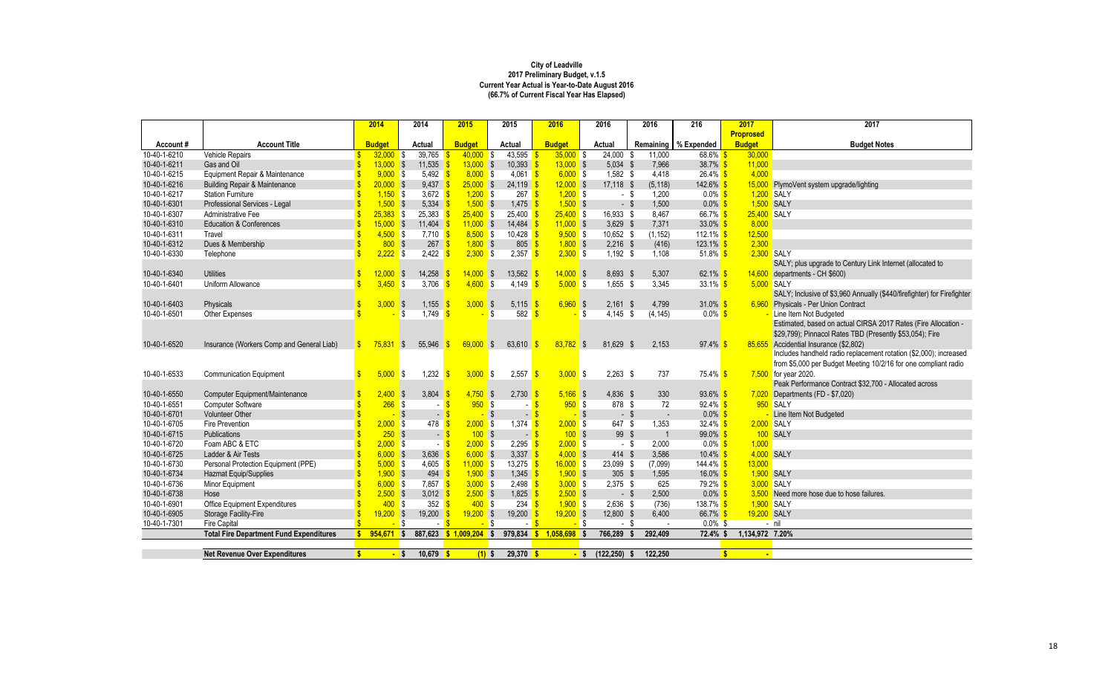|                          |                                                | 2014                  |            | 2014                                                                                                                                                                                                                                                                                                                                                                                                                                                                                                                   | 2015                    | 2015                    |                                   | 2016                         | 2016                     | 2016            | 216                                | 2017                          | 2017                                                                    |
|--------------------------|------------------------------------------------|-----------------------|------------|------------------------------------------------------------------------------------------------------------------------------------------------------------------------------------------------------------------------------------------------------------------------------------------------------------------------------------------------------------------------------------------------------------------------------------------------------------------------------------------------------------------------|-------------------------|-------------------------|-----------------------------------|------------------------------|--------------------------|-----------------|------------------------------------|-------------------------------|-------------------------------------------------------------------------|
|                          |                                                |                       |            |                                                                                                                                                                                                                                                                                                                                                                                                                                                                                                                        |                         |                         |                                   |                              |                          |                 |                                    | <b>Proprosed</b>              |                                                                         |
| Account#<br>10-40-1-6210 | <b>Account Title</b>                           | <b>Budget</b>         |            | <b>Actual</b><br>39,765                                                                                                                                                                                                                                                                                                                                                                                                                                                                                                | <b>Budget</b><br>40,000 | <b>Actual</b><br>43,595 |                                   | <b>Budget</b><br>$35,000$ \$ | <b>Actual</b><br>24,000  |                 | Remaining   % Expended<br>$68.6\%$ | <b>Budget</b><br>30,000       | <b>Budget Notes</b>                                                     |
| 10-40-1-6211             | Vehicle Repairs                                | 32,000<br>$13,000$ \$ | - \$       | 11,535                                                                                                                                                                                                                                                                                                                                                                                                                                                                                                                 | $13,000$ \$             | -S                      | $10,393$ $\frac{6}{5}$            | $13,000$ \$                  |                          | 11,000<br>7,966 | 38.7% \$                           | 11,000                        |                                                                         |
| 10-40-1-6215             | Gas and Oil<br>Equipment Repair & Maintenance  |                       | $9,000$ \$ | 5,492                                                                                                                                                                                                                                                                                                                                                                                                                                                                                                                  | $8,000$ \$              |                         | $4,061$ \$                        | $6,000$ \$                   | $5,034$ \$<br>$1,582$ \$ |                 | $26.4\%$ \$                        | 4,000                         |                                                                         |
|                          |                                                |                       |            |                                                                                                                                                                                                                                                                                                                                                                                                                                                                                                                        |                         |                         |                                   |                              |                          | 4,418           |                                    |                               |                                                                         |
| 10-40-1-6216             | <b>Building Repair &amp; Maintenance</b>       | $20,000$ \$           |            | $9,437$ \$                                                                                                                                                                                                                                                                                                                                                                                                                                                                                                             | $25,000$ \$             |                         | $24,119$ \$                       | $12,000$ \$                  | 17,118 \$                | (5, 118)        | $142.6\%$                          |                               | 15,000 PlymoVent system upgrade/lighting                                |
| 10-40-1-6217             | <b>Station Furniture</b>                       |                       | $1,150$ \$ | 3,672 $\frac{\ }{5}$                                                                                                                                                                                                                                                                                                                                                                                                                                                                                                   | $1,200$ \$              |                         | $267 \frac{\text{S}}{2}$          | $1,200$ \$                   | - \$                     | 1,200           | $0.0\%$ \$                         |                               | 1,200 SALY                                                              |
| 10-40-1-6301             | Professional Services - Legal                  |                       | $1,500$ \$ | $5,334$ \$                                                                                                                                                                                                                                                                                                                                                                                                                                                                                                             | $1,500$ \$              |                         | $1,475$ \$                        | $1,500$ \$                   | $-$ \$                   | 1,500           | $0.0\%$                            |                               | 1,500 SALY                                                              |
| 10-40-1-6307             | Administrative Fee                             | $25,383$ \$           |            | 25,383                                                                                                                                                                                                                                                                                                                                                                                                                                                                                                                 | $25,400$ \$             |                         | $25,400$ \$                       | $25,400$ \$                  | 16,933 \$                | 8,467           | 66.7% \$                           | 25,400 SALY                   |                                                                         |
| 10-40-1-6310             | <b>Education &amp; Conferences</b>             | $15,000$ \$           |            | $11,404$ \$                                                                                                                                                                                                                                                                                                                                                                                                                                                                                                            | $11,000$ \$             |                         | $14,484$ \$                       | $11,000$ \$                  | $3,629$ \$               | 7,371           | $33.0\%$                           | 8,000                         |                                                                         |
| 10-40-1-6311             | Travel                                         |                       | $4,500$ \$ | $7,710$ \$                                                                                                                                                                                                                                                                                                                                                                                                                                                                                                             | $8,500$ \$              |                         | $10,428$ \$                       | $9,500$ \$                   | 10,652 \$                | (1, 152)        | 112.1% $$$                         | 12,500                        |                                                                         |
| 10-40-1-6312             | Dues & Membership                              |                       | $800$ \$   | $267 \frac{\$}$                                                                                                                                                                                                                                                                                                                                                                                                                                                                                                        | $1,800$ \$              |                         | $805 - $$                         | $1,800$ \$                   | $2,216$ \$               | (416)           | 123.1%                             | 2,300                         |                                                                         |
| 10-40-1-6330             | Telephone                                      |                       | $2,222$ \$ | $2,422$ \$                                                                                                                                                                                                                                                                                                                                                                                                                                                                                                             | $2,300$ \$              |                         | 2,357 $\frac{\epsilon}{2}$        | $2,300$ \$                   | $1,192$ \$               | 1,108           | 51.8% $$$                          |                               | 2,300 SALY                                                              |
|                          |                                                |                       |            |                                                                                                                                                                                                                                                                                                                                                                                                                                                                                                                        |                         |                         |                                   |                              |                          |                 |                                    |                               | SALY; plus upgrade to Century Link Internet (allocated to               |
| 10-40-1-6340             | <b>Utilities</b>                               | 12,000                | $\sqrt{S}$ | 14,258                                                                                                                                                                                                                                                                                                                                                                                                                                                                                                                 | 14,000                  | $\sqrt{3}$              | $13,562$ \$                       | $14,000$ \$                  | 8,693 \$                 | 5,307           | 62.1% \$                           | 14,600                        | departments - CH \$600)                                                 |
| 10-40-1-6401             | Uniform Allowance                              | 3,450                 | $\sqrt{3}$ | 3,706                                                                                                                                                                                                                                                                                                                                                                                                                                                                                                                  | 4,600                   | S.<br>4,149             |                                   | $5,000$ \$                   | $1,655$ \$               | 3,345           | 33.1% $$$                          |                               | $5,000$ SALY                                                            |
|                          |                                                |                       |            |                                                                                                                                                                                                                                                                                                                                                                                                                                                                                                                        |                         |                         |                                   |                              |                          |                 |                                    |                               | SALY; Inclusive of \$3,960 Annually (\$440/firefighter) for Firefighter |
| 10-40-1-6403             | Physicals                                      | 3,000                 | $\sqrt{S}$ | 1,155                                                                                                                                                                                                                                                                                                                                                                                                                                                                                                                  | $3,000$ \$              |                         | 5,115 \$                          | $6,960$ \$                   | $2,161$ \$               | 4,799           | 31.0% \$                           |                               | 6,960 Physicals - Per Union Contract                                    |
| 10-40-1-6501             | Other Expenses                                 |                       | -\$        | 1,749                                                                                                                                                                                                                                                                                                                                                                                                                                                                                                                  |                         | \$                      | 582 $\frac{1}{5}$                 |                              | $4,145$ \$<br>- \$       | (4, 145)        | $0.0\%$ \$                         |                               | Line Item Not Budgeted                                                  |
|                          |                                                |                       |            |                                                                                                                                                                                                                                                                                                                                                                                                                                                                                                                        |                         |                         |                                   |                              |                          |                 |                                    |                               | Estimated, based on actual CIRSA 2017 Rates (Fire Allocation -          |
|                          |                                                |                       |            |                                                                                                                                                                                                                                                                                                                                                                                                                                                                                                                        |                         |                         |                                   |                              |                          |                 |                                    |                               | \$29,799); Pinnacol Rates TBD (Presently \$53,054); Fire                |
| 10-40-1-6520             | Insurance (Workers Comp and General Liab)      | 75,831                | S.         | 55,946                                                                                                                                                                                                                                                                                                                                                                                                                                                                                                                 | 69,000                  | 63,610<br>\$            |                                   | $83,782$ \$                  | 81,629 \$                | 2,153           | 97.4%                              | 85,655                        | Accidential Insurance (\$2,802)                                         |
|                          |                                                |                       |            |                                                                                                                                                                                                                                                                                                                                                                                                                                                                                                                        |                         |                         |                                   |                              |                          |                 |                                    |                               | Includes handheld radio replacement rotation (\$2,000); increased       |
|                          |                                                |                       |            |                                                                                                                                                                                                                                                                                                                                                                                                                                                                                                                        |                         |                         |                                   |                              |                          |                 |                                    |                               | from \$5,000 per Budget Meeting 10/2/16 for one compliant radio         |
| 10-40-1-6533             | <b>Communication Equipment</b>                 | 5,000                 | IS.        | 1,232                                                                                                                                                                                                                                                                                                                                                                                                                                                                                                                  | $3,000$ \$              | 2,557                   |                                   | $3,000$ \$                   | $2,263$ \$               | 737             | 75.4% <mark>\$</mark>              |                               | 7,500 for year 2020.                                                    |
|                          |                                                |                       |            |                                                                                                                                                                                                                                                                                                                                                                                                                                                                                                                        |                         |                         |                                   |                              |                          |                 |                                    |                               | Peak Performance Contract \$32,700 - Allocated across                   |
| 10-40-1-6550             | Computer Equipment/Maintenance                 |                       | $2,400$ \$ | 3,804                                                                                                                                                                                                                                                                                                                                                                                                                                                                                                                  | 4,750                   | $\sqrt{3}$              | $2,730$ \$                        | $5,166$ \$                   | 4,836 \$                 | 330             | $93.6\%$ \$                        |                               | $7,020$ Departments (FD - \$7,020)                                      |
| 10-40-1-6551             | <b>Computer Software</b>                       |                       | $266$ \$   |                                                                                                                                                                                                                                                                                                                                                                                                                                                                                                                        | 950                     | <b>S</b>                |                                   | $950$ \$                     | 878 \$                   | 72              | $92.4\%$ \$                        |                               | 950 SALY                                                                |
| 10-40-1-6701             | <b>Volunteer Other</b>                         |                       | - \$       | $-$ \$                                                                                                                                                                                                                                                                                                                                                                                                                                                                                                                 |                         | \$                      | $-$ \$                            | - \$                         | - \$                     | $\sim$          | $0.0\%$ \$                         |                               | Line Item Not Budgeted                                                  |
| 10-40-1-6705             | <b>Fire Prevention</b>                         |                       | $2,000$ \$ | $478$ \$                                                                                                                                                                                                                                                                                                                                                                                                                                                                                                               | $2,000$ \$              |                         | $1,374$ \$                        | $2,000$ \$                   | 647 \$                   | 1,353           | 32.4% $\frac{\text{}}{\text{}}$    |                               | 2,000 SALY                                                              |
| 10-40-1-6715             | Publications                                   |                       | $250$ \$   | $-$ \$                                                                                                                                                                                                                                                                                                                                                                                                                                                                                                                 | 100S                    |                         | $-$ \$                            | 100S                         | 99 \$                    |                 | $99.0\%$ \$                        |                               | 100 SALY                                                                |
| 10-40-1-6720             | Foam ABC & ETC                                 |                       | $2,000$ \$ | $-$ \$                                                                                                                                                                                                                                                                                                                                                                                                                                                                                                                 | $2,000$ \$              |                         | 2,295 $\frac{1}{5}$               | $2,000$ \$                   | - \$                     | 2,000           | $0.0\%$ \$                         | 1,000                         |                                                                         |
| 10-40-1-6725             | Ladder & Air Tests                             |                       | $6,000$ \$ | 3,636 $\frac{1}{5}$                                                                                                                                                                                                                                                                                                                                                                                                                                                                                                    | $6,000$ \$              |                         | 3,337 \$                          | $4,000$ \$                   | $414$ \$                 | 3,586           | $10.4\%$ \$                        |                               | 4,000 SALY                                                              |
| 10-40-1-6730             | Personal Protection Equipment (PPE)            |                       | $5,000$ \$ | 4,605 \$                                                                                                                                                                                                                                                                                                                                                                                                                                                                                                               | $11,000$ \$             |                         | $13,275$ \$                       | $16,000$ \$                  | 23,099 \$                | (7,099)         | $144.4\%$ \$                       | 13,000                        |                                                                         |
| 10-40-1-6734             | Hazmat Equip/Supplies                          |                       | $1,900$ \$ | $494$ \$                                                                                                                                                                                                                                                                                                                                                                                                                                                                                                               | $1,900$ \$              |                         | $1,345$ \$                        | $1,900$ \$                   | $305$ \$                 | 1,595           | 16.0% \$                           |                               | 1,900 SALY                                                              |
| 10-40-1-6736             | Minor Equipment                                |                       | $6,000$ \$ | 7,857 <mark>\$</mark>                                                                                                                                                                                                                                                                                                                                                                                                                                                                                                  | $3,000$ \$              |                         | 2,498 $\frac{\epsilon}{\sqrt{2}}$ | $3,000$ \$                   | 2,375 \$                 | 625             | 79.2% \$                           |                               | 3,000 SALY                                                              |
| 10-40-1-6738             | Hose                                           |                       | $2,500$ \$ | 3,012 $\frac{1}{9}$                                                                                                                                                                                                                                                                                                                                                                                                                                                                                                    | $2,500$ \$              |                         | 1,825 \$                          | $2,500$ \$                   | $-$ \$                   | 2,500           | $0.0\%$ \$                         |                               | 3,500 Need more hose due to hose failures.                              |
| 10-40-1-6901             | <b>Office Equipment Expenditures</b>           |                       | $400$ \$   | $352$ $\frac{\text{}}{\text{}}\frac{\text{}}{\text{}}\frac{\text{}}{\text{}}\frac{\text{}}{\text{}}\frac{\text{}}{\text{}}\frac{\text{}}{\text{}}\frac{\text{}}{\text{}}\frac{\text{}}{\text{}}\frac{\text{}}{\text{}}\frac{\text{}}{\text{}}\frac{\text{}}{\text{}}\frac{\text{}}{\text{}}\frac{\text{}}{\text{}}\frac{\text{}}{\text{}}\frac{\text{}}{\text{}}\frac{\text{}}{\text{}}\frac{\text{}}{\text{}}\frac{\text{}}{\text{}}\frac{\text{}}{\text{}}\frac{\text{}}{\text{}}\frac{\text{}}{\text{}}\frac{\text$ | $400$ \$                |                         | $234$ \$                          | $1,900$ \$                   | 2,636 \$                 | (736)           | 138.7% \$                          |                               | 1,900 SALY                                                              |
| 10-40-1-6905             | <b>Storage Facility-Fire</b>                   | $19,200$ \$           |            | $19,200$ \$                                                                                                                                                                                                                                                                                                                                                                                                                                                                                                            | $19,200$ \$             |                         | $19,200$ \$                       | $19,200$ \$                  | $12,800$ \$              | 6,400           | 66.7% \$                           | 19,200 SALY                   |                                                                         |
| 10-40-1-7301             | Fire Capital                                   |                       | $-$ \$     | $-$ \$                                                                                                                                                                                                                                                                                                                                                                                                                                                                                                                 | <mark>-</mark> \$       |                         | $-8$                              | <mark>-</mark> \$            | - \$                     |                 | $0.0\%$ \$                         |                               | $-$ nil                                                                 |
|                          | <b>Total Fire Department Fund Expenditures</b> | $954,671$ \$          |            |                                                                                                                                                                                                                                                                                                                                                                                                                                                                                                                        | 887,623 \$ 1,009,204 \$ |                         |                                   | 979,834 \$ 1,058,698 \$      | 766,289                  | 292,409<br>Ŝ.   | 72.4% \$                           | 1,134,972 7.20%               |                                                                         |
|                          |                                                |                       |            |                                                                                                                                                                                                                                                                                                                                                                                                                                                                                                                        |                         |                         |                                   |                              |                          |                 |                                    |                               |                                                                         |
|                          | <b>Net Revenue Over Expenditures</b>           |                       | $-$ \$     | $10,679$ \$                                                                                                                                                                                                                                                                                                                                                                                                                                                                                                            | $(1)$ \$                |                         | $29,370$ \$                       |                              | $-$ \$ (122,250) \$      | 122,250         |                                    | $\sqrt[6]{3}$<br>$\mathbf{r}$ |                                                                         |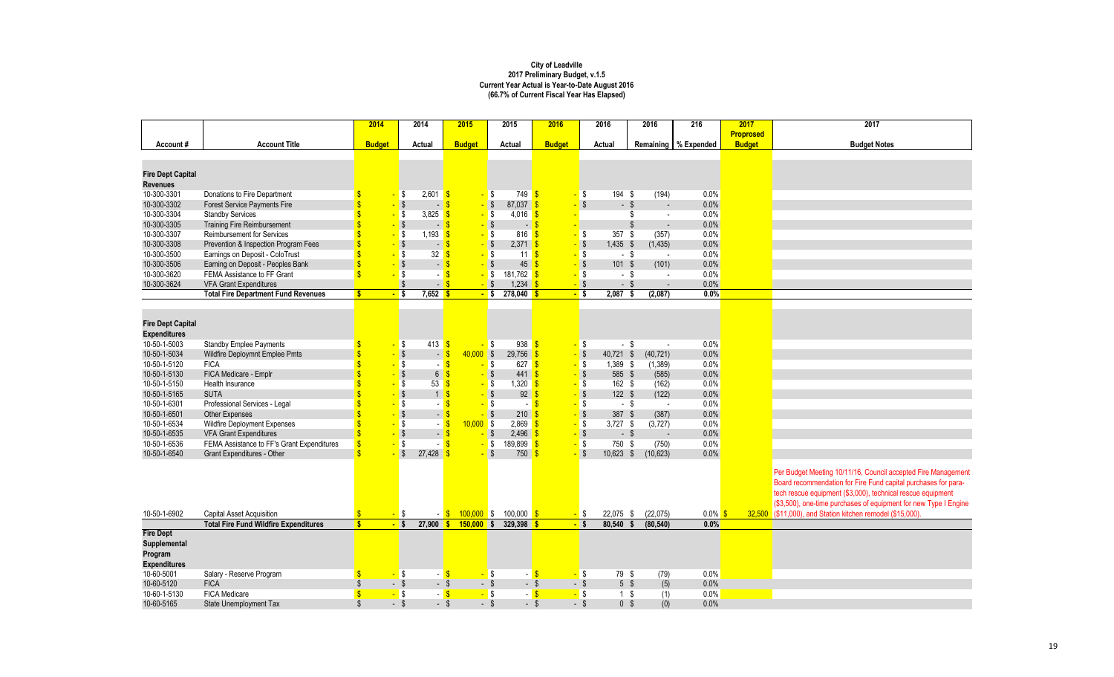| 2017             | 2017                                                             |
|------------------|------------------------------------------------------------------|
| <b>Proprosed</b> |                                                                  |
| <b>Budget</b>    | <b>Budget Notes</b>                                              |
|                  |                                                                  |
|                  |                                                                  |
|                  |                                                                  |
|                  |                                                                  |
|                  |                                                                  |
|                  |                                                                  |
|                  |                                                                  |
|                  |                                                                  |
|                  |                                                                  |
|                  |                                                                  |
|                  |                                                                  |
|                  |                                                                  |
|                  |                                                                  |
|                  |                                                                  |
|                  |                                                                  |
|                  |                                                                  |
|                  |                                                                  |
|                  |                                                                  |
|                  |                                                                  |
|                  |                                                                  |
|                  |                                                                  |
|                  |                                                                  |
|                  |                                                                  |
|                  |                                                                  |
|                  | Per Budget Meeting 10/11/16, Council accepted Fire Management    |
|                  | Board recommendation for Fire Fund capital purchases for para-   |
|                  | tech rescue equipment (\$3,000), technical rescue equipment      |
|                  | (\$3,500), one-time purchases of equipment for new Type I Engine |
| 32,500           | (\$11,000), and Station kitchen remodel (\$15,000).              |
|                  |                                                                  |
|                  |                                                                  |
|                  |                                                                  |
|                  |                                                                  |
|                  |                                                                  |
|                  |                                                                  |
|                  |                                                                  |

|                          |                                              | 2014                    |                         | 2014                     |                           | 2015          |                         | 2015                | 2016          |                   | 2016                            | 2016      |                          | 216                    | 2017             | 2017                                        |
|--------------------------|----------------------------------------------|-------------------------|-------------------------|--------------------------|---------------------------|---------------|-------------------------|---------------------|---------------|-------------------|---------------------------------|-----------|--------------------------|------------------------|------------------|---------------------------------------------|
|                          |                                              |                         |                         |                          |                           |               |                         |                     |               |                   |                                 |           |                          |                        | <b>Proprosed</b> |                                             |
| Account#                 | <b>Account Title</b>                         | <b>Budget</b>           |                         | <b>Actual</b>            |                           | <b>Budget</b> |                         | <b>Actual</b>       | <b>Budget</b> |                   | <b>Actual</b>                   |           |                          | Remaining   % Expended | <b>Budget</b>    | <b>Budget N</b>                             |
|                          |                                              |                         |                         |                          |                           |               |                         |                     |               |                   |                                 |           |                          |                        |                  |                                             |
|                          |                                              |                         |                         |                          |                           |               |                         |                     |               |                   |                                 |           |                          |                        |                  |                                             |
| <b>Fire Dept Capital</b> |                                              |                         |                         |                          |                           |               |                         |                     |               |                   |                                 |           |                          |                        |                  |                                             |
| <b>Revenues</b>          |                                              |                         |                         |                          |                           |               |                         |                     |               |                   |                                 |           |                          |                        |                  |                                             |
| 10-300-3301              | Donations to Fire Department                 |                         | <b>S</b>                | 2,601                    | $\sqrt[3]{3}$             |               | <b>\$</b>               | $749$ \$            |               | - \$              | 194 \$                          |           | (194)                    | 0.0%                   |                  |                                             |
| 10-300-3302              | <b>Forest Service Payments Fire</b>          |                         | $\frac{1}{3}$           | æ.,                      |                           |               | $-$ \$                  | 87,037 \$           |               |                   | $\sqrt{3}$<br>$-$ \$            |           | $\sim$                   | 0.0%                   |                  |                                             |
| 10-300-3304              | <b>Standby Services</b>                      |                         |                         | 3,825                    | S                         |               | I\$                     | 4,016               | S             |                   |                                 |           | $\sim$                   | 0.0%                   |                  |                                             |
| 10-300-3305              | <b>Training Fire Reimbursement</b>           |                         | $\frac{1}{3}$           | Æ,                       |                           |               | $\sqrt{3}$              | $\sim$              |               |                   |                                 | \$        | $\overline{\phantom{a}}$ | 0.0%                   |                  |                                             |
| 10-300-3307              | <b>Reimbursement for Services</b>            |                         |                         | 1,193                    | <b>S</b>                  |               | \$                      | 816                 |               | - \$              | 357 $$$                         |           | (357)                    | 0.0%                   |                  |                                             |
| 10-300-3308              | Prevention & Inspection Program Fees         |                         | $\sqrt{ }$              | $\blacksquare$           |                           |               | $\sqrt{3}$              | 2,371               | -\$           | $-$ \$            | $1,435$ \$                      | (1, 435)  |                          | 0.0%                   |                  |                                             |
| 10-300-3500              | Earnings on Deposit - ColoTrust              | \$                      | $\sqrt{3}$              | 32                       |                           |               | \$                      | 11                  | -\$           |                   | $\sqrt{3}$<br>$-$ \$            |           | $\overline{\phantom{a}}$ | 0.0%                   |                  |                                             |
| 10-300-3506              | Earning on Deposit - Peoples Bank            | \$                      | $\sqrt{3}$              | $\overline{\phantom{a}}$ | $\mathbf{\hat{s}}$        |               | $\sqrt{3}$              | 45                  |               |                   | $\sqrt{3}$<br>$101 \text{ }$ \$ |           | (101)                    | 0.0%                   |                  |                                             |
| 10-300-3620              | FEMA Assistance to FF Grant                  | $\overline{\mathbb{S}}$ | S,                      |                          | $\mathbf{\hat{s}}$        |               | I\$                     | 181,762 \$          |               | <mark>-</mark> \$ | - \$                            |           | $\sim$                   | 0.0%                   |                  |                                             |
| 10-300-3624              | <b>VFA Grant Expenditures</b>                |                         | $\sqrt{3}$              | $\sim$                   | -\$                       |               | $-$ \$                  | $1,234$ \$          |               | $-$ \$            | $-$ \$                          |           |                          | 0.0%                   |                  |                                             |
|                          | <b>Total Fire Department Fund Revenues</b>   | $\mathbf{s}$            | $\frac{1}{\sqrt{2}}$    | $7,652$ \$               |                           |               | $-$ \$                  | $278,040$ \$        |               | <mark>-</mark> \$ | $2,087$ \$                      | (2,087)   |                          | $0.0\%$                |                  |                                             |
|                          |                                              |                         |                         |                          |                           |               |                         |                     |               |                   |                                 |           |                          |                        |                  |                                             |
|                          |                                              |                         |                         |                          |                           |               |                         |                     |               |                   |                                 |           |                          |                        |                  |                                             |
| <b>Fire Dept Capital</b> |                                              |                         |                         |                          |                           |               |                         |                     |               |                   |                                 |           |                          |                        |                  |                                             |
| <b>Expenditures</b>      |                                              |                         |                         |                          |                           |               |                         |                     |               |                   |                                 |           |                          |                        |                  |                                             |
| 10-50-1-5003             | <b>Standby Emplee Payments</b>               |                         | S,                      | 413                      | -\$                       |               | \$                      | $938$ $\frac{8}{5}$ |               | - \$              | $-$ \$                          |           |                          | 0.0%                   |                  |                                             |
| 10-50-1-5034             | Wildfire Deploymnt Emplee Pmts               |                         | $\sqrt{ }$              |                          | $-$ \$                    | $40,000$ \$   |                         | 29,756              | $\sqrt[6]{3}$ | $-$ \$            | 40,721 \$                       | (40, 721) |                          | 0.0%                   |                  |                                             |
| 10-50-1-5120             | <b>FICA</b>                                  |                         | \$                      |                          | $\boldsymbol{\mathsf{s}}$ |               | \$                      | 627                 | $\sqrt[6]{3}$ | $-$ \$            | 1,389 \$                        | (1, 389)  |                          | 0.0%                   |                  |                                             |
| 10-50-1-5130             | FICA Medicare - Emplr                        |                         | $\sqrt{3}$              | $6\phantom{.}$           | $\overline{\mathbf{3}}$   |               | - \$                    | 441                 | $\sqrt[6]{3}$ | $-$ \$            | 585 \$                          |           | (585)                    | 0.0%                   |                  |                                             |
| 10-50-1-5150             | Health Insurance                             |                         | $\sqrt{3}$              | 53                       | $\sqrt[6]{3}$             |               | \$                      | 1,320               | -S            |                   | $\sqrt{3}$<br>162 \$            |           | (162)                    | 0.0%                   |                  |                                             |
| 10-50-1-5165             | <b>SUTA</b>                                  |                         | $\sqrt[3]{3}$           | $\mathbf{1}$             | $\sqrt[6]{3}$             |               | $\sqrt{3}$              | 92                  | -S            | $-$ \$            | $122$ \$                        |           | (122)                    | 0.0%                   |                  |                                             |
| 10-50-1-6301             | Professional Services - Legal                |                         | $\sqrt{3}$              |                          | $\boldsymbol{\mathsf{s}}$ |               | \$                      |                     | <b>S</b>      | $-$ \$            | $-$ \$                          |           |                          | 0.0%                   |                  |                                             |
| 10-50-1-6501             | <b>Other Expenses</b>                        |                         | $\sqrt{ }$              | <u>a y</u>               | $\sqrt[3]{3}$             |               | $\sqrt{3}$              | 210                 | -S            | $-$ \$            | 387 \$                          |           | (387)                    | 0.0%                   |                  |                                             |
| 10-50-1-6534             | Wildfire Deployment Expenses                 |                         | $\sqrt{3}$              | $\sim$                   | $\sqrt[3]{3}$             | $10,000$ \$   |                         | 2,869               | $\sqrt[3]{3}$ | $-$ \$            | $3,727$ \$                      | (3,727)   |                          | 0.0%                   |                  |                                             |
| 10-50-1-6535             | <b>VFA Grant Expenditures</b>                | \$                      | $\sqrt{ }$              | $\blacksquare$           | $\sqrt{3}$                |               | $\sqrt[6]{\frac{1}{2}}$ | 2,496               | $\sqrt{3}$    | $-$ \$            | $-$ \$                          |           | $\overline{\phantom{a}}$ | 0.0%                   |                  |                                             |
| 10-50-1-6536             | FEMA Assistance to FF's Grant Expenditures   | $\sqrt[6]{\frac{1}{2}}$ | $\sqrt{ }$              |                          | $\sqrt{3}$                |               | <mark>-</mark> \$       | 189,899             | $\sqrt[6]{3}$ | $-$ \$            | 750 \$                          |           | (750)                    | 0.0%                   |                  |                                             |
| 10-50-1-6540             | Grant Expenditures - Other                   | $\overline{\mathbb{S}}$ | $\sqrt[6]{\frac{1}{2}}$ | 27,428                   |                           |               | $\mathcal{S}$           | 750 <sup>o</sup>    |               |                   | $\sqrt[6]{3}$<br>$10,623$ \$    | (10, 623) |                          | 0.0%                   |                  |                                             |
|                          |                                              |                         |                         |                          |                           |               |                         |                     |               |                   |                                 |           |                          |                        |                  |                                             |
|                          |                                              |                         |                         |                          |                           |               |                         |                     |               |                   |                                 |           |                          |                        |                  | Per Budget Meeting 10/11/16, Cour           |
|                          |                                              |                         |                         |                          |                           |               |                         |                     |               |                   |                                 |           |                          |                        |                  | <b>Board recommendation for Fire Fur</b>    |
|                          |                                              |                         |                         |                          |                           |               |                         |                     |               |                   |                                 |           |                          |                        |                  | tech rescue equipment (\$3,000), te         |
|                          |                                              |                         |                         |                          |                           |               |                         |                     |               |                   |                                 |           |                          |                        |                  | (\$3,500), one-time purchases of eq         |
| 10-50-1-6902             | <b>Capital Asset Acquisition</b>             | $\sqrt[6]{\frac{1}{2}}$ | <mark>-</mark> \$       |                          | $-5$                      | $100,000$ \$  |                         | 100,000 \$          |               | - \$              | 22,075 \$                       | (22, 075) |                          | $0.0\%$ \$             |                  | 32,500 (\$11,000), and Station kitchen remo |
|                          | <b>Total Fire Fund Wildfire Expenditures</b> | $\overline{\mathbf{s}}$ | $-$ \$                  | $27,900$ \$              |                           | $150,000$ \$  |                         | 329,398 \$          |               | $-$ \$            | $80,540$ \$                     | (80, 540) |                          | $0.0\%$                |                  |                                             |
| <b>Fire Dept</b>         |                                              |                         |                         |                          |                           |               |                         |                     |               |                   |                                 |           |                          |                        |                  |                                             |
| <b>Supplemental</b>      |                                              |                         |                         |                          |                           |               |                         |                     |               |                   |                                 |           |                          |                        |                  |                                             |
| Program                  |                                              |                         |                         |                          |                           |               |                         |                     |               |                   |                                 |           |                          |                        |                  |                                             |
| <b>Expenditures</b>      |                                              |                         |                         |                          |                           |               |                         |                     |               |                   |                                 |           |                          |                        |                  |                                             |
|                          |                                              |                         |                         |                          |                           |               |                         |                     |               |                   |                                 |           |                          |                        |                  |                                             |
| 10-60-5001               | Salary - Reserve Program                     |                         | $-$ \$                  |                          | $-$ \$                    |               | <mark>-</mark> \$       |                     | $-$ \$        | - \$              | 79 \$                           |           | (79)                     | 0.0%                   |                  |                                             |
| 10-60-5120               | <b>FICA</b>                                  |                         | $-$ \$                  | $-$ \$                   |                           |               | $-$ \$                  | - \$                |               | $-$ \$            | $5 \text{ } $$                  |           | (5)                      | 0.0%                   |                  |                                             |
| 10-60-1-5130             | <b>FICA Medicare</b>                         | $\sqrt[6]{\frac{1}{2}}$ | <mark>-</mark> \$       |                          | $-5$                      |               | <mark>-</mark> \$       | $-$ \$              |               | - \$              | $1 \quad$                       |           | (1)                      | 0.0%                   |                  |                                             |
| 10-60-5165               | <b>State Unemployment Tax</b>                | $\sqrt[6]{\frac{1}{2}}$ | $-$ \$                  | $-$ \$                   |                           |               | $-$ \$                  | $-$ \$              |               | $-$ \$            | 0 <sup>5</sup>                  |           | (0)                      | 0.0%                   |                  |                                             |